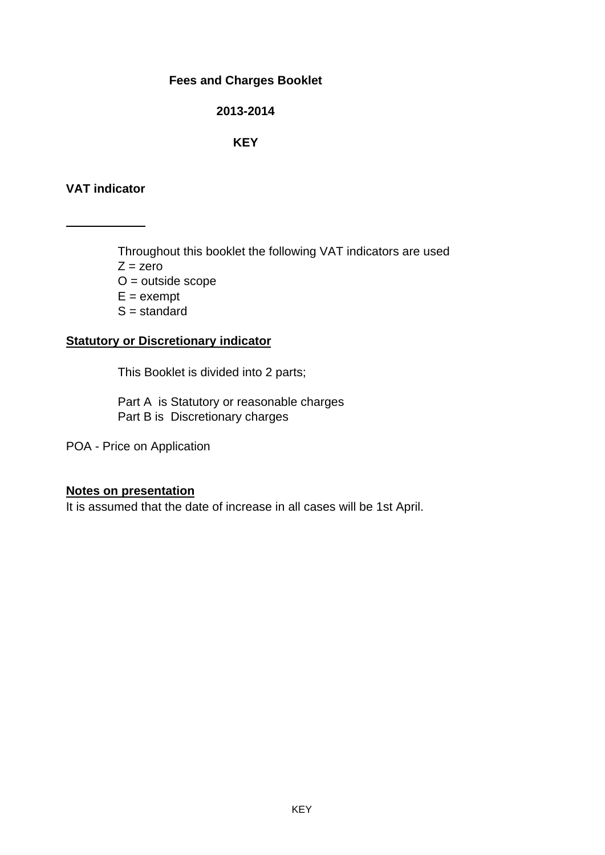#### **Fees and Charges Booklet**

#### **2013-2014**

#### **KEY**

### **VAT indicator**

Throughout this booklet the following VAT indicators are used  $Z = zero$  $O =$  outside scope  $E =$  exempt  $S =$  standard

### **Statutory or Discretionary indicator**

This Booklet is divided into 2 parts;

Part A is Statutory or reasonable charges Part B is Discretionary charges

POA - Price on Application

#### **Notes on presentation**

It is assumed that the date of increase in all cases will be 1st April.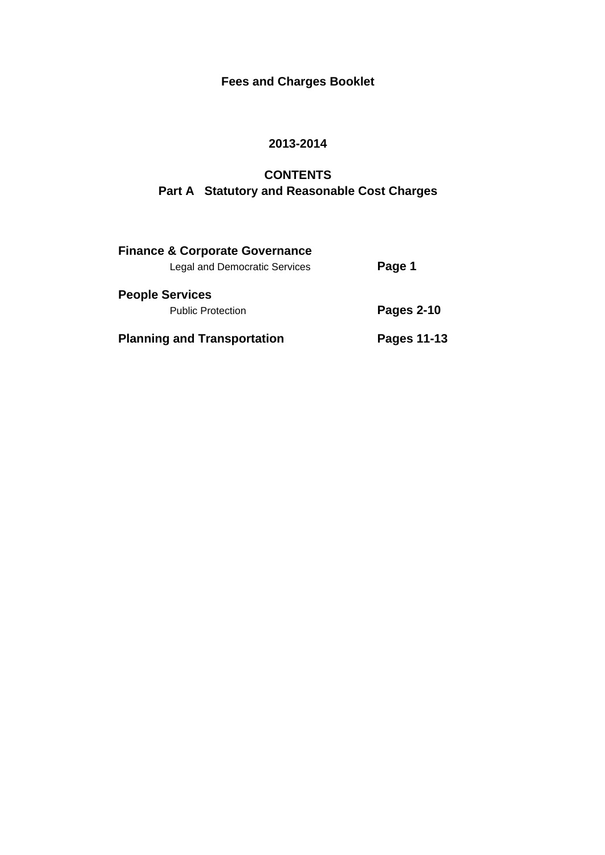# **Fees and Charges Booklet**

### **2013-2014**

## **CONTENTS Part A Statutory and Reasonable Cost Charges**

| <b>Finance &amp; Corporate Governance</b> |                   |
|-------------------------------------------|-------------------|
| <b>Legal and Democratic Services</b>      | Page 1            |
| <b>People Services</b>                    |                   |
| <b>Public Protection</b>                  | <b>Pages 2-10</b> |
| <b>Planning and Transportation</b>        | Pages 11-13       |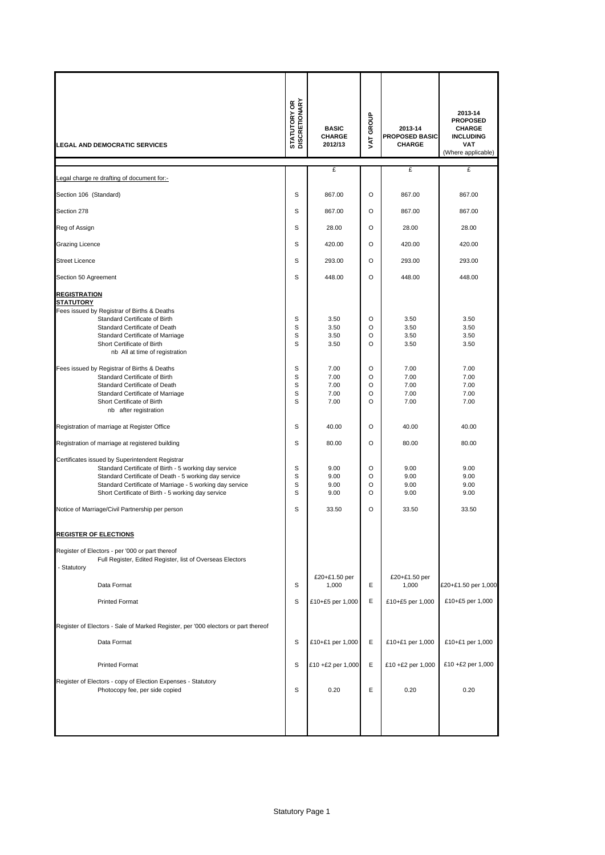| <b>LEGAL AND DEMOCRATIC SERVICES</b>                                                                                                                                                                                                                                                                                                                                                                                                                                                                                                                                                                                                                                                                                                                                                                                                                                      | <b>STATUTORY OR<br/>DISCRETIONARY</b>                                        | <b>BASIC</b><br><b>CHARGE</b><br>2012/13                                                                                        | GROUP<br>Š                                                                                                                         | 2013-14<br><b>PROPOSED BASIC</b><br><b>CHARGE</b>                                                                               | 2013-14<br><b>PROPOSED</b><br>CHARGE<br><b>INCLUDING</b><br><b>VAT</b><br>(Where applicable)                                    |
|---------------------------------------------------------------------------------------------------------------------------------------------------------------------------------------------------------------------------------------------------------------------------------------------------------------------------------------------------------------------------------------------------------------------------------------------------------------------------------------------------------------------------------------------------------------------------------------------------------------------------------------------------------------------------------------------------------------------------------------------------------------------------------------------------------------------------------------------------------------------------|------------------------------------------------------------------------------|---------------------------------------------------------------------------------------------------------------------------------|------------------------------------------------------------------------------------------------------------------------------------|---------------------------------------------------------------------------------------------------------------------------------|---------------------------------------------------------------------------------------------------------------------------------|
| Legal charge re drafting of document for:-                                                                                                                                                                                                                                                                                                                                                                                                                                                                                                                                                                                                                                                                                                                                                                                                                                |                                                                              | £                                                                                                                               |                                                                                                                                    | £                                                                                                                               | £                                                                                                                               |
| Section 106 (Standard)                                                                                                                                                                                                                                                                                                                                                                                                                                                                                                                                                                                                                                                                                                                                                                                                                                                    | S                                                                            | 867.00                                                                                                                          | $\circ$                                                                                                                            | 867.00                                                                                                                          | 867.00                                                                                                                          |
| Section 278                                                                                                                                                                                                                                                                                                                                                                                                                                                                                                                                                                                                                                                                                                                                                                                                                                                               | S                                                                            | 867.00                                                                                                                          | $\circ$                                                                                                                            | 867.00                                                                                                                          | 867.00                                                                                                                          |
| Reg of Assign                                                                                                                                                                                                                                                                                                                                                                                                                                                                                                                                                                                                                                                                                                                                                                                                                                                             | S                                                                            | 28.00                                                                                                                           | $\circ$                                                                                                                            | 28.00                                                                                                                           | 28.00                                                                                                                           |
| <b>Grazing Licence</b>                                                                                                                                                                                                                                                                                                                                                                                                                                                                                                                                                                                                                                                                                                                                                                                                                                                    | S                                                                            | 420.00                                                                                                                          | $\circ$                                                                                                                            | 420.00                                                                                                                          | 420.00                                                                                                                          |
| <b>Street Licence</b>                                                                                                                                                                                                                                                                                                                                                                                                                                                                                                                                                                                                                                                                                                                                                                                                                                                     | S                                                                            | 293.00                                                                                                                          | $\circ$                                                                                                                            | 293.00                                                                                                                          | 293.00                                                                                                                          |
| Section 50 Agreement                                                                                                                                                                                                                                                                                                                                                                                                                                                                                                                                                                                                                                                                                                                                                                                                                                                      | S                                                                            | 448.00                                                                                                                          | $\circ$                                                                                                                            | 448.00                                                                                                                          | 448.00                                                                                                                          |
| <b>REGISTRATION</b><br><b>STATUTORY</b>                                                                                                                                                                                                                                                                                                                                                                                                                                                                                                                                                                                                                                                                                                                                                                                                                                   |                                                                              |                                                                                                                                 |                                                                                                                                    |                                                                                                                                 |                                                                                                                                 |
| Fees issued by Registrar of Births & Deaths<br>Standard Certificate of Birth<br>Standard Certificate of Death<br>Standard Certificate of Marriage<br>Short Certificate of Birth<br>nb All at time of registration<br>Fees issued by Registrar of Births & Deaths<br>Standard Certificate of Birth<br>Standard Certificate of Death<br>Standard Certificate of Marriage<br>Short Certificate of Birth<br>nb after registration<br>Registration of marriage at Register Office<br>Registration of marriage at registered building<br>Certificates issued by Superintendent Registrar<br>Standard Certificate of Birth - 5 working day service<br>Standard Certificate of Death - 5 working day service<br>Standard Certificate of Marriage - 5 working day service<br>Short Certificate of Birth - 5 working day service<br>Notice of Marriage/Civil Partnership per person | S<br>S<br>S<br>S<br>S<br>S<br>S<br>S<br>S<br>S<br>S<br>S<br>s<br>S<br>S<br>S | 3.50<br>3.50<br>3.50<br>3.50<br>7.00<br>7.00<br>7.00<br>7.00<br>7.00<br>40.00<br>80.00<br>9.00<br>9.00<br>9.00<br>9.00<br>33.50 | $\circ$<br>O<br>O<br>O<br>O<br>$\circ$<br>O<br>$\circ$<br>$\circ$<br>O<br>$\circ$<br>$\circ$<br>$\circ$<br>O<br>$\circ$<br>$\circ$ | 3.50<br>3.50<br>3.50<br>3.50<br>7.00<br>7.00<br>7.00<br>7.00<br>7.00<br>40.00<br>80.00<br>9.00<br>9.00<br>9.00<br>9.00<br>33.50 | 3.50<br>3.50<br>3.50<br>3.50<br>7.00<br>7.00<br>7.00<br>7.00<br>7.00<br>40.00<br>80.00<br>9.00<br>9.00<br>9.00<br>9.00<br>33.50 |
|                                                                                                                                                                                                                                                                                                                                                                                                                                                                                                                                                                                                                                                                                                                                                                                                                                                                           |                                                                              |                                                                                                                                 |                                                                                                                                    |                                                                                                                                 |                                                                                                                                 |
| <b>REGISTER OF ELECTIONS</b><br>Register of Electors - per '000 or part thereof<br>Full Register, Edited Register, list of Overseas Electors<br>- Statutory<br>Data Format<br><b>Printed Format</b>                                                                                                                                                                                                                                                                                                                                                                                                                                                                                                                                                                                                                                                                       | S<br>S                                                                       | £20+£1.50 per<br>1,000<br>£10+£5 per 1,000                                                                                      | E<br>Ε                                                                                                                             | £20+£1.50 per<br>1,000<br>£10+£5 per 1,000                                                                                      | £20+£1.50 per 1,000<br>£10+£5 per 1,000                                                                                         |
| Register of Electors - Sale of Marked Register, per '000 electors or part thereof                                                                                                                                                                                                                                                                                                                                                                                                                                                                                                                                                                                                                                                                                                                                                                                         |                                                                              |                                                                                                                                 |                                                                                                                                    |                                                                                                                                 |                                                                                                                                 |
| Data Format                                                                                                                                                                                                                                                                                                                                                                                                                                                                                                                                                                                                                                                                                                                                                                                                                                                               | s                                                                            | £10+£1 per 1,000                                                                                                                | Ε                                                                                                                                  | £10+£1 per 1,000                                                                                                                | £10+£1 per 1,000                                                                                                                |
| <b>Printed Format</b>                                                                                                                                                                                                                                                                                                                                                                                                                                                                                                                                                                                                                                                                                                                                                                                                                                                     | s                                                                            | £10 +£2 per 1,000                                                                                                               | Ε                                                                                                                                  | £10 +£2 per 1,000                                                                                                               | £10 +£2 per 1,000                                                                                                               |
| Register of Electors - copy of Election Expenses - Statutory<br>Photocopy fee, per side copied                                                                                                                                                                                                                                                                                                                                                                                                                                                                                                                                                                                                                                                                                                                                                                            | S                                                                            | 0.20                                                                                                                            | E                                                                                                                                  | 0.20                                                                                                                            | 0.20                                                                                                                            |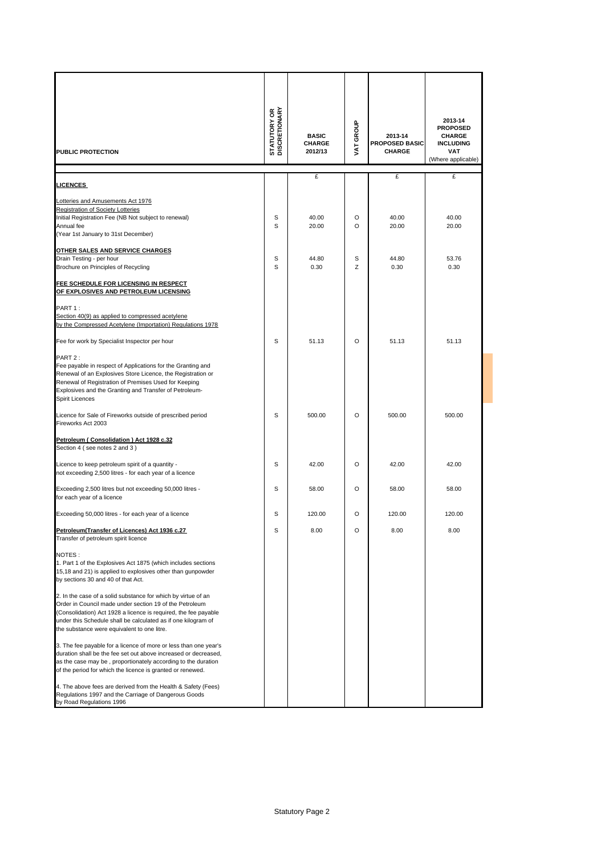| PUBLIC PROTECTION                                                                                                                                                                                                                                                                                           | <b>STATUTORY OR</b><br>DISCRETIONARY | <b>BASIC</b><br><b>CHARGE</b><br>2012/13 | VAT GROUP | 2013-14<br><b>PROPOSED BASIC</b><br><b>CHARGE</b> | 2013-14<br><b>PROPOSED</b><br><b>CHARGE</b><br><b>INCLUDING</b><br><b>VAT</b><br>(Where applicable) |
|-------------------------------------------------------------------------------------------------------------------------------------------------------------------------------------------------------------------------------------------------------------------------------------------------------------|--------------------------------------|------------------------------------------|-----------|---------------------------------------------------|-----------------------------------------------------------------------------------------------------|
|                                                                                                                                                                                                                                                                                                             |                                      | £                                        |           | £                                                 | £                                                                                                   |
| <b>LICENCES</b>                                                                                                                                                                                                                                                                                             |                                      |                                          |           |                                                   |                                                                                                     |
| Lotteries and Amusements Act 1976                                                                                                                                                                                                                                                                           |                                      |                                          |           |                                                   |                                                                                                     |
| Registration of Society Lotteries                                                                                                                                                                                                                                                                           |                                      |                                          |           |                                                   |                                                                                                     |
| Initial Registration Fee (NB Not subject to renewal)<br>Annual fee                                                                                                                                                                                                                                          | s<br>S                               | 40.00<br>20.00                           | O<br>O    | 40.00<br>20.00                                    | 40.00<br>20.00                                                                                      |
| (Year 1st January to 31st December)                                                                                                                                                                                                                                                                         |                                      |                                          |           |                                                   |                                                                                                     |
| OTHER SALES AND SERVICE CHARGES                                                                                                                                                                                                                                                                             |                                      |                                          |           |                                                   |                                                                                                     |
| Drain Testing - per hour                                                                                                                                                                                                                                                                                    | s                                    | 44.80                                    | S         | 44.80                                             | 53.76                                                                                               |
| Brochure on Principles of Recycling                                                                                                                                                                                                                                                                         | S                                    | 0.30                                     | Z         | 0.30                                              | 0.30                                                                                                |
| FEE SCHEDULE FOR LICENSING IN RESPECT<br>OF EXPLOSIVES AND PETROLEUM LICENSING                                                                                                                                                                                                                              |                                      |                                          |           |                                                   |                                                                                                     |
| PART 1:                                                                                                                                                                                                                                                                                                     |                                      |                                          |           |                                                   |                                                                                                     |
| Section 40(9) as applied to compressed acetylene                                                                                                                                                                                                                                                            |                                      |                                          |           |                                                   |                                                                                                     |
| by the Compressed Acetylene (Importation) Regulations 1978                                                                                                                                                                                                                                                  |                                      |                                          |           |                                                   |                                                                                                     |
| Fee for work by Specialist Inspector per hour                                                                                                                                                                                                                                                               | s                                    | 51.13                                    | O         | 51.13                                             | 51.13                                                                                               |
| PART 2:<br>Fee payable in respect of Applications for the Granting and<br>Renewal of an Explosives Store Licence, the Registration or<br>Renewal of Registration of Premises Used for Keeping<br>Explosives and the Granting and Transfer of Petroleum-<br><b>Spirit Licences</b>                           |                                      |                                          |           |                                                   |                                                                                                     |
| Licence for Sale of Fireworks outside of prescribed period<br>Fireworks Act 2003                                                                                                                                                                                                                            | S                                    | 500.00                                   | O         | 500.00                                            | 500.00                                                                                              |
| Petroleum (Consolidation) Act 1928 c.32<br>Section 4 (see notes 2 and 3)                                                                                                                                                                                                                                    |                                      |                                          |           |                                                   |                                                                                                     |
| Licence to keep petroleum spirit of a quantity -<br>not exceeding 2,500 litres - for each year of a licence                                                                                                                                                                                                 | s                                    | 42.00                                    | O         | 42.00                                             | 42.00                                                                                               |
| Exceeding 2,500 litres but not exceeding 50,000 litres -<br>for each year of a licence                                                                                                                                                                                                                      | s                                    | 58.00                                    | O         | 58.00                                             | 58.00                                                                                               |
| Exceeding 50,000 litres - for each year of a licence                                                                                                                                                                                                                                                        | s                                    | 120.00                                   | O         | 120.00                                            | 120.00                                                                                              |
| Petroleum(Transfer of Licences) Act 1936 c.27<br>Transfer of petroleum spirit licence                                                                                                                                                                                                                       | S                                    | 8.00                                     | O         | 8.00                                              | 8.00                                                                                                |
| NOTES:<br>1. Part 1 of the Explosives Act 1875 (which includes sections<br>15,18 and 21) is applied to explosives other than gunpowder<br>by sections 30 and 40 of that Act.                                                                                                                                |                                      |                                          |           |                                                   |                                                                                                     |
| 2. In the case of a solid substance for which by virtue of an<br>Order in Council made under section 19 of the Petroleum<br>(Consolidation) Act 1928 a licence is required, the fee payable<br>under this Schedule shall be calculated as if one kilogram of<br>the substance were equivalent to one litre. |                                      |                                          |           |                                                   |                                                                                                     |
| 3. The fee payable for a licence of more or less than one year's<br>duration shall be the fee set out above increased or decreased,<br>as the case may be, proportionately according to the duration<br>of the period for which the licence is granted or renewed.                                          |                                      |                                          |           |                                                   |                                                                                                     |
| 4. The above fees are derived from the Health & Safety (Fees)<br>Regulations 1997 and the Carriage of Dangerous Goods<br>by Road Regulations 1996                                                                                                                                                           |                                      |                                          |           |                                                   |                                                                                                     |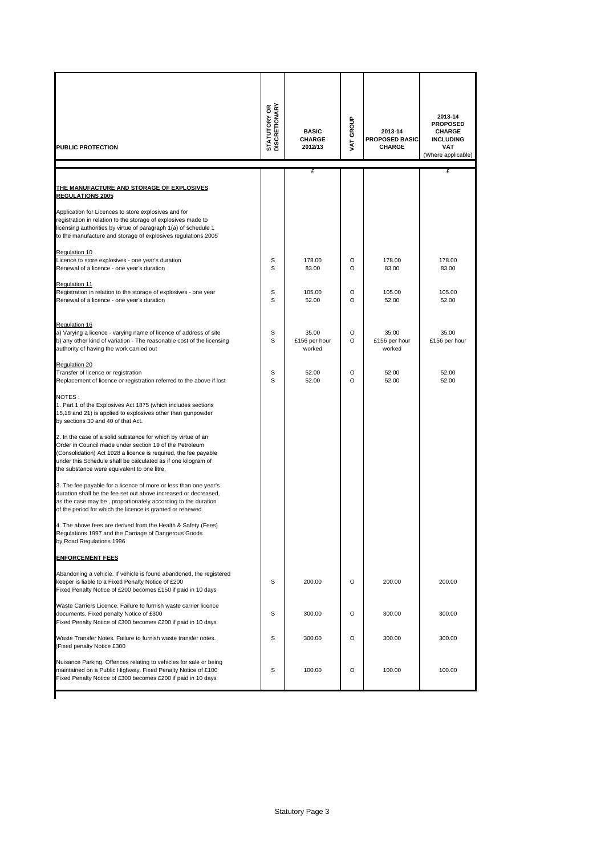| PUBLIC PROTECTION                                                                                                                                                                                                                                                                                           | <b>STATUTORY OR</b><br>DISCRETIONARY | <b>BASIC</b><br><b>CHARGE</b><br>2012/13 | VAT GROUP | 2013-14<br><b>PROPOSED BASIC</b><br><b>CHARGE</b> | 2013-14<br><b>PROPOSED</b><br><b>CHARGE</b><br><b>INCLUDING</b><br>VAT<br>(Where applicable) |
|-------------------------------------------------------------------------------------------------------------------------------------------------------------------------------------------------------------------------------------------------------------------------------------------------------------|--------------------------------------|------------------------------------------|-----------|---------------------------------------------------|----------------------------------------------------------------------------------------------|
|                                                                                                                                                                                                                                                                                                             |                                      | £                                        |           |                                                   | £                                                                                            |
| THE MANUFACTURE AND STORAGE OF EXPLOSIVES<br><b>REGULATIONS 2005</b><br>Application for Licences to store explosives and for<br>registration in relation to the storage of explosives made to<br>licensing authorities by virtue of paragraph 1(a) of schedule 1                                            |                                      |                                          |           |                                                   |                                                                                              |
| to the manufacture and storage of explosives regulations 2005                                                                                                                                                                                                                                               |                                      |                                          |           |                                                   |                                                                                              |
| Regulation 10<br>Licence to store explosives - one year's duration<br>Renewal of a licence - one year's duration<br><b>Regulation 11</b>                                                                                                                                                                    | S<br>S                               | 178.00<br>83.00                          | O<br>O    | 178.00<br>83.00                                   | 178.00<br>83.00                                                                              |
| Registration in relation to the storage of explosives - one year<br>Renewal of a licence - one year's duration                                                                                                                                                                                              | S<br>S                               | 105.00<br>52.00                          | O<br>O    | 105.00<br>52.00                                   | 105.00<br>52.00                                                                              |
| Regulation 16<br>a) Varying a licence - varying name of licence of address of site<br>b) any other kind of variation - The reasonable cost of the licensing<br>authority of having the work carried out                                                                                                     | S<br>S                               | 35.00<br>£156 per hour<br>worked         | O<br>O    | 35.00<br>£156 per hour<br>worked                  | 35.00<br>£156 per hour                                                                       |
| Regulation 20<br>Transfer of licence or registration<br>Replacement of licence or registration referred to the above if lost                                                                                                                                                                                | S<br>S                               | 52.00<br>52.00                           | O<br>O    | 52.00<br>52.00                                    | 52.00<br>52.00                                                                               |
| NOTES:<br>1. Part 1 of the Explosives Act 1875 (which includes sections<br>15,18 and 21) is applied to explosives other than gunpowder<br>by sections 30 and 40 of that Act.                                                                                                                                |                                      |                                          |           |                                                   |                                                                                              |
| 2. In the case of a solid substance for which by virtue of an<br>Order in Council made under section 19 of the Petroleum<br>(Consolidation) Act 1928 a licence is required, the fee payable<br>under this Schedule shall be calculated as if one kilogram of<br>the substance were equivalent to one litre. |                                      |                                          |           |                                                   |                                                                                              |
| 3. The fee payable for a licence of more or less than one year's<br>duration shall be the fee set out above increased or decreased,<br>as the case may be, proportionately according to the duration<br>of the period for which the licence is granted or renewed.                                          |                                      |                                          |           |                                                   |                                                                                              |
| The above fees are derived from the Health & Safety (Fees)<br>Regulations 1997 and the Carriage of Dangerous Goods<br>by Road Regulations 1996                                                                                                                                                              |                                      |                                          |           |                                                   |                                                                                              |
| <b>ENFORCEMENT FEES</b>                                                                                                                                                                                                                                                                                     |                                      |                                          |           |                                                   |                                                                                              |
| Abandoning a vehicle. If vehicle is found abandoned, the registered<br>keeper is liable to a Fixed Penalty Notice of £200<br>Fixed Penalty Notice of £200 becomes £150 if paid in 10 days                                                                                                                   | S                                    | 200.00                                   | O         | 200.00                                            | 200.00                                                                                       |
| Waste Carriers Licence. Failure to furnish waste carrier licence<br>documents. Fixed penalty Notice of £300<br>Fixed Penalty Notice of £300 becomes £200 if paid in 10 days                                                                                                                                 | S                                    | 300.00                                   | O         | 300.00                                            | 300.00                                                                                       |
| Waste Transfer Notes. Failure to furnish waste transfer notes.<br>Fixed penalty Notice £300                                                                                                                                                                                                                 | S                                    | 300.00                                   | O         | 300.00                                            | 300.00                                                                                       |
| Nuisance Parking. Offences relating to vehicles for sale or being<br>maintained on a Public Highway. Fixed Penalty Notice of £100<br>Fixed Penalty Notice of £300 becomes £200 if paid in 10 days                                                                                                           | S                                    | 100.00                                   | O         | 100.00                                            | 100.00                                                                                       |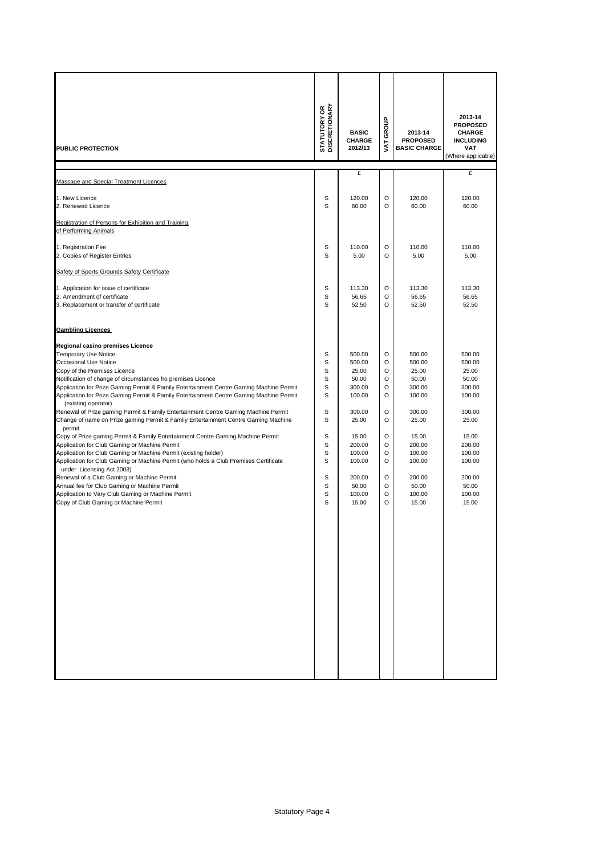| <b>PUBLIC PROTECTION</b>                                                                                                                                                                                                                                                                                                                                                                                                                                                                                                                                                                                                                                                                                                                                                                                                                                                                                                                                                                                                                                                                                                                        | <b>STATUTORY OR</b><br>DISCRETIONARY                                         | <b>BASIC</b><br><b>CHARGE</b><br>2012/13                                                                                                               | GROUP<br><b>TAV</b>                                                                                                                      | 2013-14<br><b>PROPOSED</b><br><b>BASIC CHARGE</b>                                                                                                      | 2013-14<br><b>PROPOSED</b><br><b>CHARGE</b><br><b>INCLUDING</b><br>VAT<br>(Where applicable)                                                           |
|-------------------------------------------------------------------------------------------------------------------------------------------------------------------------------------------------------------------------------------------------------------------------------------------------------------------------------------------------------------------------------------------------------------------------------------------------------------------------------------------------------------------------------------------------------------------------------------------------------------------------------------------------------------------------------------------------------------------------------------------------------------------------------------------------------------------------------------------------------------------------------------------------------------------------------------------------------------------------------------------------------------------------------------------------------------------------------------------------------------------------------------------------|------------------------------------------------------------------------------|--------------------------------------------------------------------------------------------------------------------------------------------------------|------------------------------------------------------------------------------------------------------------------------------------------|--------------------------------------------------------------------------------------------------------------------------------------------------------|--------------------------------------------------------------------------------------------------------------------------------------------------------|
| Massage and Special Treatment Licences                                                                                                                                                                                                                                                                                                                                                                                                                                                                                                                                                                                                                                                                                                                                                                                                                                                                                                                                                                                                                                                                                                          |                                                                              | £                                                                                                                                                      |                                                                                                                                          |                                                                                                                                                        | £                                                                                                                                                      |
| 1. New Licence<br>2. Renewed Licence                                                                                                                                                                                                                                                                                                                                                                                                                                                                                                                                                                                                                                                                                                                                                                                                                                                                                                                                                                                                                                                                                                            | s<br>S                                                                       | 120.00<br>60.00                                                                                                                                        | O<br>$\circ$                                                                                                                             | 120.00<br>60.00                                                                                                                                        | 120.00<br>60.00                                                                                                                                        |
| Registration of Persons for Exhibition and Training<br>of Performing Animals                                                                                                                                                                                                                                                                                                                                                                                                                                                                                                                                                                                                                                                                                                                                                                                                                                                                                                                                                                                                                                                                    |                                                                              |                                                                                                                                                        |                                                                                                                                          |                                                                                                                                                        |                                                                                                                                                        |
| 1. Registration Fee<br>2. Copies of Register Entries                                                                                                                                                                                                                                                                                                                                                                                                                                                                                                                                                                                                                                                                                                                                                                                                                                                                                                                                                                                                                                                                                            | s<br>S                                                                       | 110.00<br>5.00                                                                                                                                         | O<br>$\circ$                                                                                                                             | 110.00<br>5.00                                                                                                                                         | 110.00<br>5.00                                                                                                                                         |
| Safety of Sports Grounds Safety Certificate<br>1. Application for issue of certificate<br>2. Amendment of certificate<br>3. Replacement or transfer of certificate                                                                                                                                                                                                                                                                                                                                                                                                                                                                                                                                                                                                                                                                                                                                                                                                                                                                                                                                                                              | s<br>S<br>S                                                                  | 113.30<br>56.65<br>52.50                                                                                                                               | $\circ$<br>$\circ$<br>$\circ$                                                                                                            | 113.30<br>56.65<br>52.50                                                                                                                               | 113.30<br>56.65<br>52.50                                                                                                                               |
| <b>Gambling Licences</b><br>Regional casino premises Licence<br><b>Temporary Use Notice</b><br>Occasional Use Notice<br>Copy of the Premises Licence<br>Notification of change of circumstances fro premises Licence<br>Application for Prize Gaming Permit & Family Entertainment Centre Gaming Machine Permit<br>Application for Prize Gaming Permit & Family Entertainment Centre Gaming Machine Permit<br>(existing operator)<br>Renewal of Prize gaming Permit & Family Entertainment Centre Gaming Machine Permit<br>Change of name on Prize gaming Permit & Family Entertainment Centre Gaming Machine<br>permit<br>Copy of Prize gaming Permit & Family Entertainment Centre Gaming Machine Permit<br>Application for Club Gaming or Machine Permit<br>Application for Club Gaming or Machine Permit (existing holder)<br>Application for Club Gaming or Machine Permit (who holds a Club Premises Certificate<br>under Licensing Act 2003)<br>Renewal of a Club Gaming or Machine Permit<br>Annual fee for Club Gaming or Machine Permit<br>Application to Vary Club Gaming or Machine Permit<br>Copy of Club Gaming or Machine Permit | s<br>s<br>S<br>s<br>S<br>S<br>S<br>S<br>S<br>S<br>S<br>S<br>S<br>S<br>S<br>S | 500.00<br>500.00<br>25.00<br>50.00<br>300.00<br>100.00<br>300.00<br>25.00<br>15.00<br>200.00<br>100.00<br>100.00<br>200.00<br>50.00<br>100.00<br>15.00 | O<br>O<br>O<br>$\circ$<br>O<br>$\circ$<br>$\circ$<br>$\circ$<br>$\circ$<br>O<br>$\circ$<br>$\circ$<br>$\circ$<br>O<br>$\circ$<br>$\circ$ | 500.00<br>500.00<br>25.00<br>50.00<br>300.00<br>100.00<br>300.00<br>25.00<br>15.00<br>200.00<br>100.00<br>100.00<br>200.00<br>50.00<br>100.00<br>15.00 | 500.00<br>500.00<br>25.00<br>50.00<br>300.00<br>100.00<br>300.00<br>25.00<br>15.00<br>200.00<br>100.00<br>100.00<br>200.00<br>50.00<br>100.00<br>15.00 |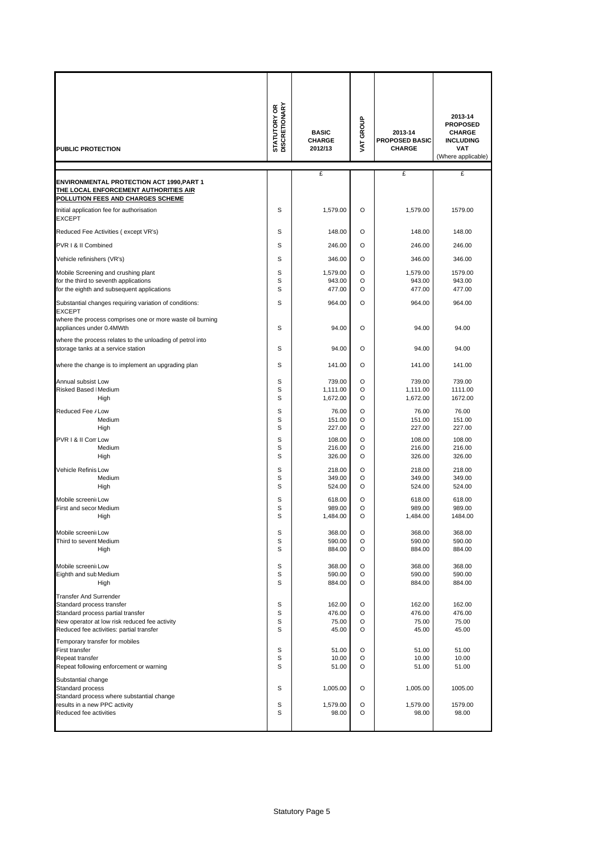| <b>PUBLIC PROTECTION</b>                                                                                                                                                              | <b>STATUTORY OR<br/>DISCRETIONARY</b> | <b>BASIC</b><br><b>CHARGE</b><br>2012/13 | VAT GROUP          | 2013-14<br><b>PROPOSED BASIC</b><br><b>CHARGE</b> | 2013-14<br><b>PROPOSED</b><br><b>CHARGE</b><br><b>INCLUDING</b><br><b>VAT</b><br>(Where applicable) |
|---------------------------------------------------------------------------------------------------------------------------------------------------------------------------------------|---------------------------------------|------------------------------------------|--------------------|---------------------------------------------------|-----------------------------------------------------------------------------------------------------|
|                                                                                                                                                                                       |                                       | £                                        |                    | £                                                 | £                                                                                                   |
| <b>ENVIRONMENTAL PROTECTION ACT 1990, PART 1</b><br><b>THE LOCAL ENFORCEMENT AUTHORITIES AIR</b>                                                                                      |                                       |                                          |                    |                                                   |                                                                                                     |
| <u>POLLUTION FEES AND CHARGES SCHEME</u><br>Initial application fee for authorisation<br><b>EXCEPT</b>                                                                                | S                                     | 1,579.00                                 | O                  | 1,579.00                                          | 1579.00                                                                                             |
| Reduced Fee Activities (except VR's)                                                                                                                                                  | S                                     | 148.00                                   | O                  | 148.00                                            | 148.00                                                                                              |
| PVR I & II Combined                                                                                                                                                                   | S                                     | 246.00                                   | O                  | 246.00                                            | 246.00                                                                                              |
| Vehicle refinishers (VR's)                                                                                                                                                            | S                                     | 346.00                                   | $\Omega$           | 346.00                                            | 346.00                                                                                              |
| Mobile Screening and crushing plant<br>for the third to seventh applications<br>for the eighth and subsequent applications                                                            | S<br>S<br>S                           | 1,579.00<br>943.00<br>477.00             | O<br>O<br>$\Omega$ | 1,579.00<br>943.00<br>477.00                      | 1579.00<br>943.00<br>477.00                                                                         |
| Substantial changes requiring variation of conditions:<br><b>EXCEPT</b><br>where the process comprises one or more waste oil burning                                                  | S                                     | 964.00                                   | $\Omega$           | 964.00                                            | 964.00                                                                                              |
| appliances under 0.4MWth<br>where the process relates to the unloading of petrol into                                                                                                 | S                                     | 94.00                                    | O                  | 94.00                                             | 94.00                                                                                               |
| storage tanks at a service station                                                                                                                                                    | S                                     | 94.00                                    | O                  | 94.00                                             | 94.00                                                                                               |
| where the change is to implement an upgrading plan                                                                                                                                    | S                                     | 141.00                                   | O                  | 141.00                                            | 141.00                                                                                              |
| Annual subsist Low<br>Risked Based   Medium<br>High                                                                                                                                   | S<br>S<br>S                           | 739.00<br>1,111.00<br>1,672.00           | O<br>O<br>O        | 739.00<br>1,111.00<br>1,672.00                    | 739.00<br>1111.00<br>1672.00                                                                        |
| Reduced Fee / Low<br>Medium<br>High                                                                                                                                                   | S<br>S<br>S                           | 76.00<br>151.00<br>227.00                | O<br>O<br>O        | 76.00<br>151.00<br>227.00                         | 76.00<br>151.00<br>227.00                                                                           |
| PVR I & II Corr Low<br>Medium<br>High                                                                                                                                                 | S<br>S<br>S                           | 108.00<br>216.00<br>326.00               | O<br>O<br>O        | 108.00<br>216.00<br>326.00                        | 108.00<br>216.00<br>326.00                                                                          |
| Vehicle Refinis Low<br>Medium<br>High                                                                                                                                                 | S<br>S<br>S                           | 218.00<br>349.00<br>524.00               | O<br>O<br>O        | 218.00<br>349.00<br>524.00                        | 218.00<br>349.00<br>524.00                                                                          |
| Mobile screenii Low<br>First and secor Medium                                                                                                                                         | S<br>S                                | 618.00<br>989.00                         | O<br>O<br>$\Omega$ | 618.00<br>989.00                                  | 618.00<br>989.00                                                                                    |
| High<br>Mobile screenii Low                                                                                                                                                           | S<br>S                                | 1,484.00<br>368.00                       | O                  | 1,484.00<br>368.00                                | 1484.00                                                                                             |
| Third to sevent Medium<br>High                                                                                                                                                        | S<br>S                                | 590.00<br>884.00                         | O<br>O             | 590.00<br>884.00                                  | 368.00<br>590.00<br>884.00                                                                          |
| Mobile screenii Low<br>Eighth and sub Medium<br>High                                                                                                                                  | S<br>S<br>S                           | 368.00<br>590.00<br>884.00               | O<br>O<br>O        | 368.00<br>590.00<br>884.00                        | 368.00<br>590.00<br>884.00                                                                          |
| Transfer And Surrender<br>Standard process transfer<br>Standard process partial transfer<br>New operator at low risk reduced fee activity<br>Reduced fee activities: partial transfer | S<br>S<br>S<br>S                      | 162.00<br>476.00<br>75.00<br>45.00       | O<br>O<br>O<br>O   | 162.00<br>476.00<br>75.00<br>45.00                | 162.00<br>476.00<br>75.00<br>45.00                                                                  |
| Temporary transfer for mobiles<br>First transfer<br>Repeat transfer<br>Repeat following enforcement or warning                                                                        | S<br>S<br>S                           | 51.00<br>10.00<br>51.00                  | O<br>O<br>O        | 51.00<br>10.00<br>51.00                           | 51.00<br>10.00<br>51.00                                                                             |
| Substantial change<br>Standard process                                                                                                                                                | S                                     | 1,005.00                                 | O                  | 1,005.00                                          | 1005.00                                                                                             |
| Standard process where substantial change<br>results in a new PPC activity<br>Reduced fee activities                                                                                  | S<br>S                                | 1,579.00<br>98.00                        | O<br>O             | 1,579.00<br>98.00                                 | 1579.00<br>98.00                                                                                    |
|                                                                                                                                                                                       |                                       |                                          |                    |                                                   |                                                                                                     |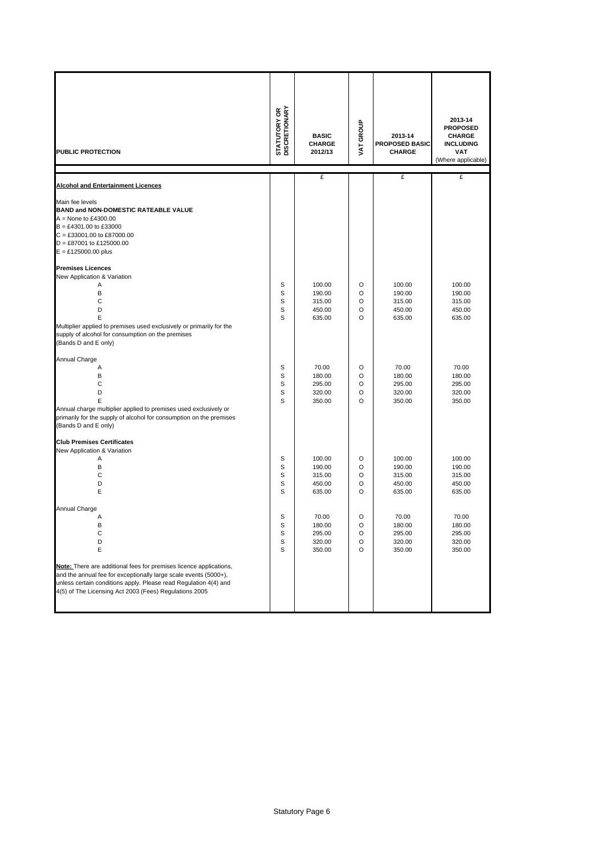| PUBLIC PROTECTION                                                                                                                                                                                         | <b>STATUTORY OR<br/>DISCRETIONARY</b> | <b>BASIC</b><br><b>CHARGE</b><br>2012/13       | VAT GROUP                   | 2013-14<br><b>PROPOSED BASIC</b><br><b>CHARGE</b> | 2013-14<br><b>PROPOSED</b><br><b>CHARGE</b><br><b>INCLUDING</b><br><b>VAT</b><br>(Where applicable) |
|-----------------------------------------------------------------------------------------------------------------------------------------------------------------------------------------------------------|---------------------------------------|------------------------------------------------|-----------------------------|---------------------------------------------------|-----------------------------------------------------------------------------------------------------|
|                                                                                                                                                                                                           |                                       | £                                              |                             | £                                                 | £                                                                                                   |
| <b>Alcohol and Entertainment Licences</b>                                                                                                                                                                 |                                       |                                                |                             |                                                   |                                                                                                     |
| Main fee levels<br><b>BAND and NON-DOMESTIC RATEABLE VALUE</b><br>$A = None$ to £4300.00<br>$B = £4301.00$ to £33000<br>C = £33001.00 to £87000.00<br>D = £87001 to £125000.00<br>$E = £125000.00$ plus   |                                       |                                                |                             |                                                   |                                                                                                     |
| <b>Premises Licences</b>                                                                                                                                                                                  |                                       |                                                |                             |                                                   |                                                                                                     |
| New Application & Variation<br>Α<br>B<br>C<br>D<br>E<br>Multiplier applied to premises used exclusively or primarily for the<br>supply of alcohol for consumption on the premises<br>(Bands D and E only) | S<br>S<br>S<br>S<br>S                 | 100.00<br>190.00<br>315.00<br>450.00<br>635.00 | O<br>O<br>O<br>O<br>O       | 100.00<br>190.00<br>315.00<br>450.00<br>635.00    | 100.00<br>190.00<br>315.00<br>450.00<br>635.00                                                      |
| Annual Charge                                                                                                                                                                                             |                                       |                                                |                             |                                                   |                                                                                                     |
| Α<br>B<br>С<br>D<br>E<br>Annual charge multiplier applied to premises used exclusively or<br>primarily for the supply of alcohol for consumption on the premises<br>(Bands D and E only)                  | S<br>S<br>S<br>S<br>S                 | 70.00<br>180.00<br>295.00<br>320.00<br>350.00  | O<br>O<br>O<br>O<br>$\circ$ | 70.00<br>180.00<br>295.00<br>320.00<br>350.00     | 70.00<br>180.00<br>295.00<br>320.00<br>350.00                                                       |
| <b>Club Premises Certificates</b>                                                                                                                                                                         |                                       |                                                |                             |                                                   |                                                                                                     |
| New Application & Variation<br>Α<br>B<br>C<br>D<br>E                                                                                                                                                      | S<br>S<br>S<br>S<br>S                 | 100.00<br>190.00<br>315.00<br>450.00<br>635.00 | O<br>O<br>O<br>O<br>O       | 100.00<br>190.00<br>315.00<br>450.00<br>635.00    | 100.00<br>190.00<br>315.00<br>450.00<br>635.00                                                      |
| Annual Charge                                                                                                                                                                                             |                                       |                                                |                             |                                                   |                                                                                                     |
| Α<br>в<br>С<br>D<br>Ε<br>Note: There are additional fees for premises licence applications,                                                                                                               | S<br>S<br>S<br>S<br>S                 | 70.00<br>180.00<br>295.00<br>320.00<br>350.00  | O<br>O<br>O<br>O<br>O       | 70.00<br>180.00<br>295.00<br>320.00<br>350.00     | 70.00<br>180.00<br>295.00<br>320.00<br>350.00                                                       |
| and the annual fee for exceptionally large scale events (5000+),<br>unless certain conditions apply. Please read Regulation 4(4) and<br>4(5) of The Licensing Act 2003 (Fees) Regulations 2005            |                                       |                                                |                             |                                                   |                                                                                                     |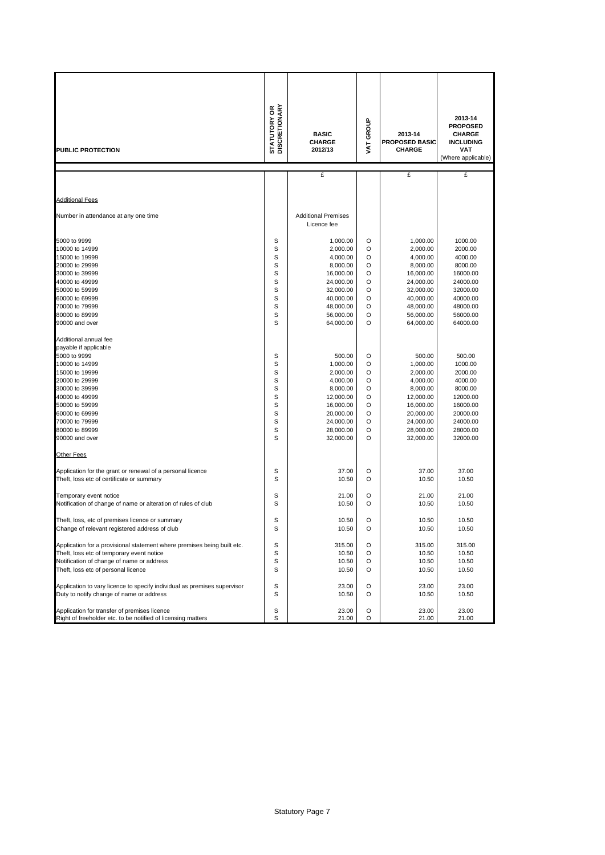| PUBLIC PROTECTION                                                        | <b>STATUTORY OR<br/>DISCRETIONARY</b> | <b>BASIC</b><br><b>CHARGE</b><br>2012/13  | VAT GROUP | 2013-14<br><b>PROPOSED BASIC</b><br><b>CHARGE</b> | 2013-14<br><b>PROPOSED</b><br><b>CHARGE</b><br><b>INCLUDING</b><br>VAT<br>(Where applicable) |
|--------------------------------------------------------------------------|---------------------------------------|-------------------------------------------|-----------|---------------------------------------------------|----------------------------------------------------------------------------------------------|
|                                                                          |                                       | £                                         |           | £                                                 | £                                                                                            |
|                                                                          |                                       |                                           |           |                                                   |                                                                                              |
| <b>Additional Fees</b>                                                   |                                       |                                           |           |                                                   |                                                                                              |
|                                                                          |                                       |                                           |           |                                                   |                                                                                              |
| Number in attendance at any one time                                     |                                       | <b>Additional Premises</b><br>Licence fee |           |                                                   |                                                                                              |
|                                                                          |                                       |                                           |           |                                                   |                                                                                              |
| 5000 to 9999                                                             | S                                     | 1,000.00                                  | O         | 1,000.00                                          | 1000.00                                                                                      |
| 10000 to 14999                                                           | S                                     | 2,000.00                                  | O         | 2,000.00                                          | 2000.00                                                                                      |
| 15000 to 19999                                                           | S                                     | 4,000.00                                  | O         | 4,000.00                                          | 4000.00                                                                                      |
| 20000 to 29999                                                           | S                                     | 8,000.00                                  | O         | 8,000.00                                          | 8000.00                                                                                      |
| 30000 to 39999<br>40000 to 49999                                         | S<br>S                                | 16,000.00<br>24,000.00                    | O<br>O    | 16,000.00<br>24,000.00                            | 16000.00<br>24000.00                                                                         |
| 50000 to 59999                                                           | S                                     | 32,000.00                                 | O         | 32,000.00                                         | 32000.00                                                                                     |
| 60000 to 69999                                                           | S                                     | 40,000.00                                 | O         | 40,000.00                                         | 40000.00                                                                                     |
| 70000 to 79999                                                           | S                                     | 48,000.00                                 | O         | 48,000.00                                         | 48000.00                                                                                     |
| 80000 to 89999                                                           | S                                     | 56,000.00                                 | O         | 56,000.00                                         | 56000.00                                                                                     |
| 90000 and over                                                           | S                                     | 64,000.00                                 | O         | 64,000.00                                         | 64000.00                                                                                     |
| Additional annual fee                                                    |                                       |                                           |           |                                                   |                                                                                              |
| payable if applicable                                                    |                                       |                                           |           |                                                   |                                                                                              |
| 5000 to 9999                                                             | S                                     | 500.00                                    | O         | 500.00                                            | 500.00                                                                                       |
| 10000 to 14999                                                           | S                                     | 1,000.00                                  | O         | 1,000.00                                          | 1000.00                                                                                      |
| 15000 to 19999                                                           | S                                     | 2,000.00                                  | O         | 2,000.00                                          | 2000.00                                                                                      |
| 20000 to 29999                                                           | S                                     | 4,000.00                                  | O         | 4,000.00                                          | 4000.00                                                                                      |
| 30000 to 39999                                                           | S                                     | 8,000.00                                  | O         | 8,000.00                                          | 8000.00                                                                                      |
| 40000 to 49999                                                           | S                                     | 12,000.00                                 | O         | 12,000.00                                         | 12000.00                                                                                     |
| 50000 to 59999                                                           | S                                     | 16,000.00                                 | O         | 16,000.00                                         | 16000.00                                                                                     |
| 60000 to 69999                                                           | S                                     | 20,000.00                                 | O         | 20,000.00                                         | 20000.00                                                                                     |
| 70000 to 79999                                                           | S                                     | 24,000.00                                 | O         | 24,000.00                                         | 24000.00                                                                                     |
| 80000 to 89999                                                           | S                                     | 28,000.00                                 | O         | 28,000.00                                         | 28000.00                                                                                     |
| 90000 and over                                                           | S                                     | 32,000.00                                 | O         | 32,000.00                                         | 32000.00                                                                                     |
| Other Fees                                                               |                                       |                                           |           |                                                   |                                                                                              |
| Application for the grant or renewal of a personal licence               | S                                     | 37.00                                     | O         | 37.00                                             | 37.00                                                                                        |
| Theft, loss etc of certificate or summary                                | S                                     | 10.50                                     | O         | 10.50                                             | 10.50                                                                                        |
| Temporary event notice                                                   | S                                     | 21.00                                     | O         | 21.00                                             | 21.00                                                                                        |
| Notification of change of name or alteration of rules of club            | S                                     | 10.50                                     | O         | 10.50                                             | 10.50                                                                                        |
| Theft, loss, etc of premises licence or summary                          | S                                     | 10.50                                     | O         | 10.50                                             | 10.50                                                                                        |
| Change of relevant registered address of club                            | S                                     | 10.50                                     | O         | 10.50                                             | 10.50                                                                                        |
|                                                                          |                                       |                                           |           |                                                   |                                                                                              |
| Application for a provisional statement where premises being built etc.  | S                                     | 315.00                                    | O         | 315.00                                            | 315.00                                                                                       |
| Theft, loss etc of temporary event notice                                | S                                     | 10.50                                     | O         | 10.50                                             | 10.50                                                                                        |
| Notification of change of name or address                                | S                                     | 10.50                                     | O         | 10.50                                             | 10.50                                                                                        |
| Theft, loss etc of personal licence                                      | S                                     | 10.50                                     | O         | 10.50                                             | 10.50                                                                                        |
| Application to vary licence to specify individual as premises supervisor | S                                     | 23.00                                     | O         | 23.00                                             | 23.00                                                                                        |
| Duty to notify change of name or address                                 | S                                     | 10.50                                     | O         | 10.50                                             | 10.50                                                                                        |
|                                                                          |                                       |                                           |           |                                                   |                                                                                              |
| Application for transfer of premises licence                             | S                                     | 23.00                                     | O         | 23.00                                             | 23.00                                                                                        |
| Right of freeholder etc. to be notified of licensing matters             | S                                     | 21.00                                     | O         | 21.00                                             | 21.00                                                                                        |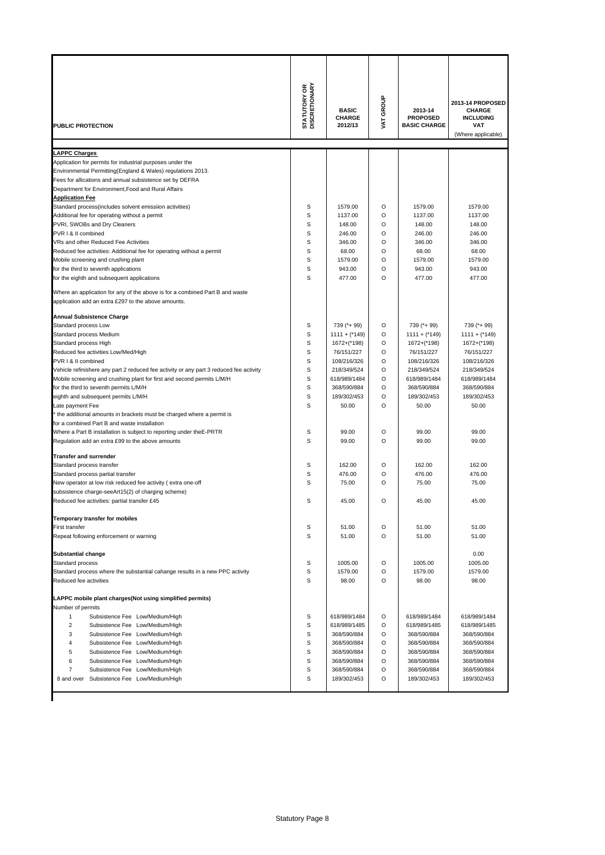| PUBLIC PROTECTION                                                                                                                   | <b>STATUTORY OR<br/>DISCRETIONARY</b> | <b>BASIC</b><br><b>CHARGE</b><br>2012/13 | VAT GROUP | 2013-14<br><b>PROPOSED</b><br><b>BASIC CHARGE</b> | 2013-14 PROPOSED<br><b>CHARGE</b><br><b>INCLUDING</b><br><b>VAT</b><br>(Where applicable) |
|-------------------------------------------------------------------------------------------------------------------------------------|---------------------------------------|------------------------------------------|-----------|---------------------------------------------------|-------------------------------------------------------------------------------------------|
| <b>LAPPC Charges</b>                                                                                                                |                                       |                                          |           |                                                   |                                                                                           |
| Application for permits for industrial purposes under the                                                                           |                                       |                                          |           |                                                   |                                                                                           |
| Environmental Permitting(England & Wales) regulations 2013.                                                                         |                                       |                                          |           |                                                   |                                                                                           |
| Fees for allications and annual subsistence set by DEFRA                                                                            |                                       |                                          |           |                                                   |                                                                                           |
| Department for Environment. Food and Rural Affairs                                                                                  |                                       |                                          |           |                                                   |                                                                                           |
| <b>Application Fee</b>                                                                                                              |                                       |                                          |           |                                                   |                                                                                           |
| Standard process(includes solvent emissiion activities)<br>Additional fee for operating without a permit                            | S<br>S                                | 1579.00<br>1137.00                       | O<br>O    | 1579.00<br>1137.00                                | 1579.00<br>1137.00                                                                        |
| PVRI, SWOBs and Dry Cleaners                                                                                                        | S                                     | 148.00                                   | O         | 148.00                                            | 148.00                                                                                    |
| PVR I & II combined                                                                                                                 | S                                     | 246.00                                   | O         | 246.00                                            | 246.00                                                                                    |
| VRs and other Reduced Fee Activities                                                                                                | S                                     | 346.00                                   | O         | 346.00                                            | 346.00                                                                                    |
| Reduced fee activities: Additional fee for operating without a permit                                                               | S                                     | 68.00                                    | O         | 68.00                                             | 68.00                                                                                     |
| Mobile screening and crushing plant                                                                                                 | S                                     | 1579.00                                  | O         | 1579.00                                           | 1579.00                                                                                   |
| for the third to seventh applications                                                                                               | S                                     | 943.00                                   | O         | 943.00                                            | 943.00                                                                                    |
| for the eighth and subsequent applications                                                                                          | S                                     | 477.00                                   | O         | 477.00                                            | 477.00                                                                                    |
| Where an application for any of the above is for a combined Part B and waste<br>application add an extra £297 to the above amounts. |                                       |                                          |           |                                                   |                                                                                           |
| <b>Annual Subsistence Charge</b>                                                                                                    |                                       |                                          |           |                                                   |                                                                                           |
| Standard process Low                                                                                                                | S                                     | 739 (*+ 99)                              | O         | 739 (*+ 99)                                       | 739 (*+ 99)                                                                               |
| Standard process Medium                                                                                                             | S                                     | $1111 + (*149)$                          | O         | $1111 +$ (*149)                                   | $1111 +$ (*149)                                                                           |
| Standard process High                                                                                                               | S                                     | 1672+(*198)                              | O         | 1672+(*198)                                       | 1672+(*198)                                                                               |
| Reduced fee activities Low/Med/High                                                                                                 | S                                     | 76/151/227                               | O         | 76/151/227                                        | 76/151/227                                                                                |
| PVR I & II combined                                                                                                                 | S                                     | 108/216/326                              | O         | 108/216/326                                       | 108/216/326                                                                               |
| Vehicle refinishere any part 2 reduced fee activity or any part 3 reduced fee activity                                              | S                                     | 218/349/524                              | O         | 218/349/524                                       | 218/349/524                                                                               |
| Mobile screening and crushing plant for first and second permits L/M/H<br>for the third to seventh permits L/M/H                    | S<br>S                                | 618/989/1484<br>368/590/884              | O<br>O    | 618/989/1484<br>368/590/884                       | 618/989/1484<br>368/590/884                                                               |
| eighth and subsequent permits L/M/H                                                                                                 | S                                     | 189/302/453                              | O         | 189/302/453                                       | 189/302/453                                                                               |
| Late payment Fee                                                                                                                    | S                                     | 50.00                                    | O         | 50.00                                             | 50.00                                                                                     |
| the additional amounts in brackets must be charged where a permit is                                                                |                                       |                                          |           |                                                   |                                                                                           |
| for a combined Part B and waste installation                                                                                        |                                       |                                          |           |                                                   |                                                                                           |
| Where a Part B installation is subject to reporting under the E-PRTR                                                                | S                                     | 99.00                                    | O         | 99.00                                             | 99.00                                                                                     |
| Regulation add an extra £99 to the above amounts                                                                                    | S                                     | 99.00                                    | O         | 99.00                                             | 99.00                                                                                     |
| <b>Transfer and surrender</b>                                                                                                       |                                       |                                          |           |                                                   |                                                                                           |
| Standard process transfer                                                                                                           | S                                     | 162.00                                   | O         | 162.00                                            | 162.00                                                                                    |
| Standard process partial transfer                                                                                                   | S                                     | 476.00                                   | O         | 476.00                                            | 476.00                                                                                    |
| New operator at low risk reduced fee activity (extra one-off                                                                        | S                                     | 75.00                                    | O         | 75.00                                             | 75.00                                                                                     |
| subsistence charge-seeArt15(2) of charging scheme)                                                                                  |                                       |                                          |           |                                                   |                                                                                           |
| Reduced fee activities: partial transfer £45                                                                                        | S                                     | 45.00                                    | O         | 45.00                                             | 45.00                                                                                     |
| Temporary transfer for mobiles                                                                                                      |                                       |                                          |           |                                                   |                                                                                           |
| <b>First transfer</b>                                                                                                               | S                                     | 51.00                                    | O         | 51.00                                             | 51.00                                                                                     |
| Repeat following enforcement or warning                                                                                             | S                                     | 51.00                                    | O         | 51.00                                             | 51.00                                                                                     |
| <b>Substantial change</b>                                                                                                           |                                       |                                          |           |                                                   | 0.00                                                                                      |
| Standard process                                                                                                                    | S                                     | 1005.00                                  | O         | 1005.00                                           | 1005.00                                                                                   |
| Standard process where the substantial cahange results in a new PPC activity                                                        | S                                     | 1579.00                                  | O         | 1579.00                                           | 1579.00                                                                                   |
| Reduced fee activities                                                                                                              | S                                     | 98.00                                    | O         | 98.00                                             | 98.00                                                                                     |
| LAPPC mobile plant charges(Not using simplified permits)<br>Number of permits                                                       |                                       |                                          |           |                                                   |                                                                                           |
| 1<br>Subsistence Fee Low/Medium/High                                                                                                | S                                     | 618/989/1484                             | O         | 618/989/1484                                      | 618/989/1484                                                                              |
| 2<br>Subsistence Fee Low/Medium/High                                                                                                | S                                     | 618/989/1485                             | O         | 618/989/1485                                      | 618/989/1485                                                                              |
| 3<br>Subsistence Fee Low/Medium/High                                                                                                | S                                     | 368/590/884                              | O         | 368/590/884                                       | 368/590/884                                                                               |
| Subsistence Fee Low/Medium/High<br>4                                                                                                | S                                     | 368/590/884                              | O         | 368/590/884                                       | 368/590/884                                                                               |
| 5<br>Subsistence Fee Low/Medium/High                                                                                                | S                                     | 368/590/884                              | O         | 368/590/884                                       | 368/590/884                                                                               |
| 6<br>Subsistence Fee Low/Medium/High                                                                                                | S                                     | 368/590/884                              | O         | 368/590/884                                       | 368/590/884                                                                               |
| $\overline{7}$<br>Subsistence Fee Low/Medium/High                                                                                   | S                                     | 368/590/884                              | O         | 368/590/884                                       | 368/590/884                                                                               |
| 8 and over Subsistence Fee Low/Medium/High                                                                                          | S                                     | 189/302/453                              | O         | 189/302/453                                       | 189/302/453                                                                               |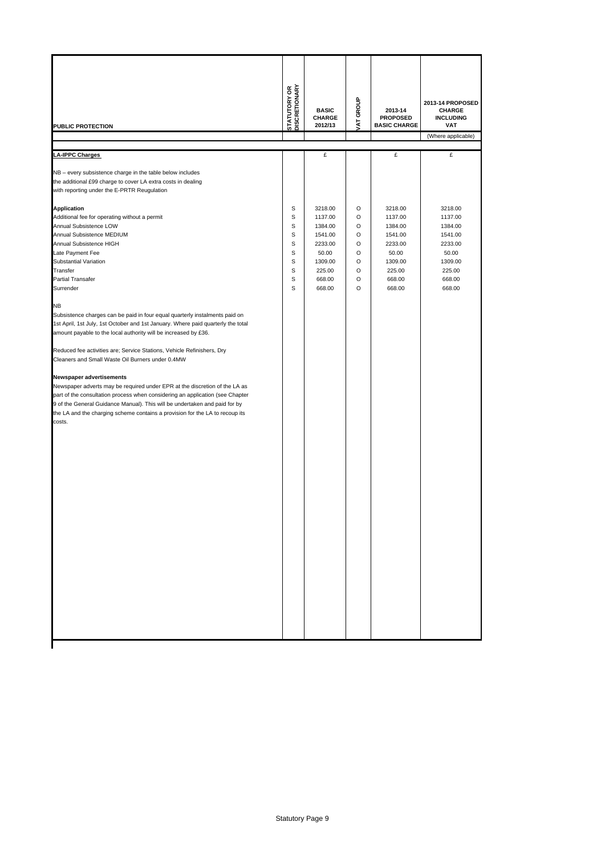| PUBLIC PROTECTION                                                                                                                                                                                                                                                                                                                                                                                                                                                                                                                                                                                                                                                                                                                                                                                                                                                                                                                                                                                           | <b>STATUTORY OR</b><br>DISCRETIONARY           | <b>BASIC</b><br><b>CHARGE</b><br>2012/13                                                              | AT GROUP                                       | 2013-14<br><b>PROPOSED</b><br><b>BASIC CHARGE</b>                                                     | 2013-14 PROPOSED<br><b>CHARGE</b><br><b>INCLUDING</b><br>VAT<br>(Where applicable)                    |
|-------------------------------------------------------------------------------------------------------------------------------------------------------------------------------------------------------------------------------------------------------------------------------------------------------------------------------------------------------------------------------------------------------------------------------------------------------------------------------------------------------------------------------------------------------------------------------------------------------------------------------------------------------------------------------------------------------------------------------------------------------------------------------------------------------------------------------------------------------------------------------------------------------------------------------------------------------------------------------------------------------------|------------------------------------------------|-------------------------------------------------------------------------------------------------------|------------------------------------------------|-------------------------------------------------------------------------------------------------------|-------------------------------------------------------------------------------------------------------|
| <b>LA-IPPC Charges</b>                                                                                                                                                                                                                                                                                                                                                                                                                                                                                                                                                                                                                                                                                                                                                                                                                                                                                                                                                                                      |                                                | £                                                                                                     |                                                | £                                                                                                     | £                                                                                                     |
| NB - every subsistence charge in the table below includes<br>the additional £99 charge to cover LA extra costs in dealing<br>with reporting under the E-PRTR Reugulation                                                                                                                                                                                                                                                                                                                                                                                                                                                                                                                                                                                                                                                                                                                                                                                                                                    |                                                |                                                                                                       |                                                |                                                                                                       |                                                                                                       |
| <b>Application</b><br>Additional fee for operating without a permit<br>Annual Subsistence LOW<br>Annual Subsistence MEDIUM<br>Annual Subsistence HIGH<br>Late Payment Fee<br>Substantial Variation<br>Transfer<br><b>Partial Transafer</b><br>Surrender<br><b>NB</b><br>Subsistence charges can be paid in four equal quarterly instalments paid on<br>1st April, 1st July, 1st October and 1st January. Where paid quarterly the total<br>amount payable to the local authority will be increased by £36.<br>Reduced fee activities are; Service Stations, Vehicle Refinishers, Dry<br>Cleaners and Small Waste Oil Burners under 0.4MW<br>Newspaper advertisements<br>Newspaper adverts may be required under EPR at the discretion of the LA as<br>part of the consultation process when considering an application (see Chapter<br>9 of the General Guidance Manual). This will be undertaken and paid for by<br>the LA and the charging scheme contains a provision for the LA to recoup its<br>costs. | S<br>s<br>S<br>s<br>s<br>S<br>S<br>s<br>S<br>S | 3218.00<br>1137.00<br>1384.00<br>1541.00<br>2233.00<br>50.00<br>1309.00<br>225.00<br>668.00<br>668.00 | O<br>O<br>O<br>O<br>O<br>O<br>O<br>O<br>O<br>O | 3218.00<br>1137.00<br>1384.00<br>1541.00<br>2233.00<br>50.00<br>1309.00<br>225.00<br>668.00<br>668.00 | 3218.00<br>1137.00<br>1384.00<br>1541.00<br>2233.00<br>50.00<br>1309.00<br>225.00<br>668.00<br>668.00 |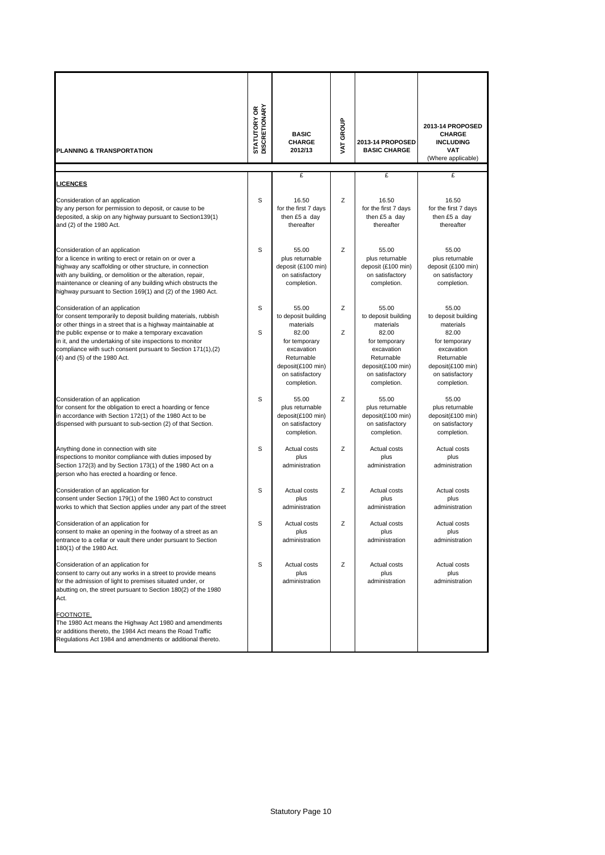| PLANNING & TRANSPORTATION                                                                                                                                                                                                                                                                                                                                                              | <b>STATUTORY OR<br/>DISCRETIONARY</b> | <b>BASIC</b><br><b>CHARGE</b><br>2012/13                                                                                                               | VAT GROUP | 2013-14 PROPOSED<br><b>BASIC CHARGE</b>                                                                                                                | 2013-14 PROPOSED<br><b>CHARGE</b><br><b>INCLUDING</b><br><b>VAT</b><br>(Where applicable)                                                              |
|----------------------------------------------------------------------------------------------------------------------------------------------------------------------------------------------------------------------------------------------------------------------------------------------------------------------------------------------------------------------------------------|---------------------------------------|--------------------------------------------------------------------------------------------------------------------------------------------------------|-----------|--------------------------------------------------------------------------------------------------------------------------------------------------------|--------------------------------------------------------------------------------------------------------------------------------------------------------|
| <b>LICENCES</b>                                                                                                                                                                                                                                                                                                                                                                        |                                       | £                                                                                                                                                      |           | £                                                                                                                                                      | £                                                                                                                                                      |
| Consideration of an application<br>by any person for permission to deposit, or cause to be<br>deposited, a skip on any highway pursuant to Section139(1)<br>and (2) of the 1980 Act.                                                                                                                                                                                                   | S                                     | 16.50<br>for the first 7 days<br>then £5 a day<br>thereafter                                                                                           | Z         | 16.50<br>for the first 7 days<br>then £5 a day<br>thereafter                                                                                           | 16.50<br>for the first 7 days<br>then £5 a day<br>thereafter                                                                                           |
| Consideration of an application<br>for a licence in writing to erect or retain on or over a<br>highway any scaffolding or other structure, in connection<br>with any building, or demolition or the alteration, repair,<br>maintenance or cleaning of any building which obstructs the<br>highway pursuant to Section 169(1) and (2) of the 1980 Act.                                  | S                                     | 55.00<br>plus returnable<br>deposit (£100 min)<br>on satisfactory<br>completion.                                                                       | Z         | 55.00<br>plus returnable<br>deposit (£100 min)<br>on satisfactory<br>completion.                                                                       | 55.00<br>plus returnable<br>deposit (£100 min)<br>on satisfactory<br>completion.                                                                       |
| Consideration of an application<br>for consent temporarily to deposit building materials, rubbish<br>or other things in a street that is a highway maintainable at<br>the public expense or to make a temporary excavation<br>in it, and the undertaking of site inspections to monitor<br>compliance with such consent pursuant to Section 171(1),(2)<br>(4) and (5) of the 1980 Act. | S<br>S                                | 55.00<br>to deposit building<br>materials<br>82.00<br>for temporary<br>excavation<br>Returnable<br>deposit(£100 min)<br>on satisfactory<br>completion. | Z<br>Z    | 55.00<br>to deposit building<br>materials<br>82.00<br>for temporary<br>excavation<br>Returnable<br>deposit(£100 min)<br>on satisfactory<br>completion. | 55.00<br>to deposit building<br>materials<br>82.00<br>for temporary<br>excavation<br>Returnable<br>deposit(£100 min)<br>on satisfactory<br>completion. |
| Consideration of an application<br>for consent for the obligation to erect a hoarding or fence<br>in accordance with Section 172(1) of the 1980 Act to be<br>dispensed with pursuant to sub-section (2) of that Section.                                                                                                                                                               | S                                     | 55.00<br>plus returnable<br>deposit(£100 min)<br>on satisfactory<br>completion.                                                                        | Z         | 55.00<br>plus returnable<br>deposit(£100 min)<br>on satisfactory<br>completion.                                                                        | 55.00<br>plus returnable<br>deposit(£100 min)<br>on satisfactory<br>completion.                                                                        |
| Anything done in connection with site<br>inspections to monitor compliance with duties imposed by<br>Section 172(3) and by Section 173(1) of the 1980 Act on a<br>person who has erected a hoarding or fence.                                                                                                                                                                          | S                                     | Actual costs<br>plus<br>administration                                                                                                                 | Z         | Actual costs<br>plus<br>administration                                                                                                                 | Actual costs<br>plus<br>administration                                                                                                                 |
| Consideration of an application for<br>consent under Section 179(1) of the 1980 Act to construct<br>works to which that Section applies under any part of the street                                                                                                                                                                                                                   | S                                     | Actual costs<br>plus<br>administration                                                                                                                 | Z         | Actual costs<br>plus<br>administration                                                                                                                 | Actual costs<br>plus<br>administration                                                                                                                 |
| Consideration of an application for<br>consent to make an opening in the footway of a street as an<br>entrance to a cellar or vault there under pursuant to Section<br>180(1) of the 1980 Act.                                                                                                                                                                                         | S                                     | Actual costs<br>plus<br>administration                                                                                                                 | Ζ         | Actual costs<br>plus<br>administration                                                                                                                 | Actual costs<br>plus<br>administration                                                                                                                 |
| Consideration of an application for<br>consent to carry out any works in a street to provide means<br>for the admission of light to premises situated under, or<br>abutting on, the street pursuant to Section 180(2) of the 1980<br>Act.                                                                                                                                              | S                                     | Actual costs<br>plus<br>administration                                                                                                                 | Ζ         | Actual costs<br>plus<br>administration                                                                                                                 | Actual costs<br>plus<br>administration                                                                                                                 |
| FOOTNOTE.<br>The 1980 Act means the Highway Act 1980 and amendments<br>or additions thereto, the 1984 Act means the Road Traffic<br>Regulations Act 1984 and amendments or additional thereto.                                                                                                                                                                                         |                                       |                                                                                                                                                        |           |                                                                                                                                                        |                                                                                                                                                        |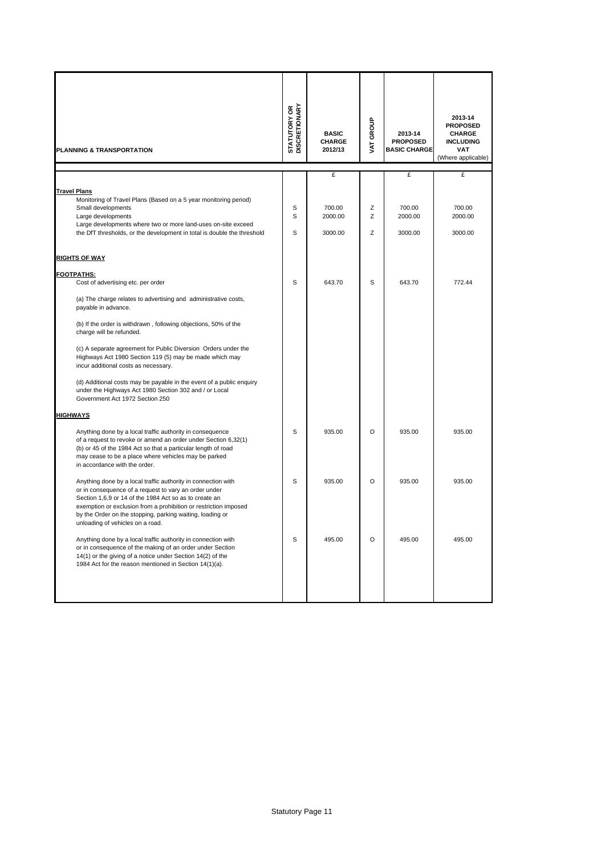| PLANNING & TRANSPORTATION                                                                                                                                                                                                                                                                                                                             | <b>STATUTORY OR</b><br>DISCRETIONARY | <b>BASIC</b><br><b>CHARGE</b><br>2012/13 | VAT GROUP   | 2013-14<br><b>PROPOSED</b><br><b>BASIC CHARGE</b> | 2013-14<br><b>PROPOSED</b><br><b>CHARGE</b><br><b>INCLUDING</b><br>VAT<br>(Where applicable) |
|-------------------------------------------------------------------------------------------------------------------------------------------------------------------------------------------------------------------------------------------------------------------------------------------------------------------------------------------------------|--------------------------------------|------------------------------------------|-------------|---------------------------------------------------|----------------------------------------------------------------------------------------------|
|                                                                                                                                                                                                                                                                                                                                                       |                                      | £                                        |             | £                                                 | £                                                                                            |
| <b>Travel Plans</b>                                                                                                                                                                                                                                                                                                                                   |                                      |                                          |             |                                                   |                                                                                              |
| Monitoring of Travel Plans (Based on a 5 year monitoring period)<br>Small developments<br>Large developments<br>Large developments where two or more land-uses on-site exceed<br>the DfT thresholds, or the development in total is double the threshold                                                                                              | S<br>S<br>S                          | 700.00<br>2000.00<br>3000.00             | Ζ<br>Ζ<br>Ζ | 700.00<br>2000.00<br>3000.00                      | 700.00<br>2000.00<br>3000.00                                                                 |
|                                                                                                                                                                                                                                                                                                                                                       |                                      |                                          |             |                                                   |                                                                                              |
| <u>RIGHTS OF WAY</u>                                                                                                                                                                                                                                                                                                                                  |                                      |                                          |             |                                                   |                                                                                              |
| <b>FOOTPATHS:</b><br>Cost of advertising etc. per order                                                                                                                                                                                                                                                                                               | S                                    | 643.70                                   | S           | 643.70                                            | 772.44                                                                                       |
| (a) The charge relates to advertising and administrative costs,<br>payable in advance.                                                                                                                                                                                                                                                                |                                      |                                          |             |                                                   |                                                                                              |
| (b) If the order is withdrawn, following objections, 50% of the<br>charge will be refunded.                                                                                                                                                                                                                                                           |                                      |                                          |             |                                                   |                                                                                              |
| (c) A separate agreement for Public Diversion Orders under the<br>Highways Act 1980 Section 119 (5) may be made which may<br>incur additional costs as necessary.                                                                                                                                                                                     |                                      |                                          |             |                                                   |                                                                                              |
| (d) Additional costs may be payable in the event of a public enquiry<br>under the Highways Act 1980 Section 302 and / or Local<br>Government Act 1972 Section 250                                                                                                                                                                                     |                                      |                                          |             |                                                   |                                                                                              |
| <b>HIGHWAYS</b>                                                                                                                                                                                                                                                                                                                                       |                                      |                                          |             |                                                   |                                                                                              |
| Anything done by a local traffic authority in consequence<br>of a request to revoke or amend an order under Section 6,32(1)<br>(b) or 45 of the 1984 Act so that a particular length of road<br>may cease to be a place where vehicles may be parked<br>in accordance with the order.                                                                 | S                                    | 935.00                                   | $\circ$     | 935.00                                            | 935.00                                                                                       |
| Anything done by a local traffic authority in connection with<br>or in consequence of a request to vary an order under<br>Section 1,6,9 or 14 of the 1984 Act so as to create an<br>exemption or exclusion from a prohibition or restriction imposed<br>by the Order on the stopping, parking waiting, loading or<br>unloading of vehicles on a road. | S                                    | 935.00                                   | O           | 935.00                                            | 935.00                                                                                       |
| Anything done by a local traffic authority in connection with<br>or in consequence of the making of an order under Section<br>14(1) or the giving of a notice under Section 14(2) of the<br>1984 Act for the reason mentioned in Section 14(1)(a).                                                                                                    | S                                    | 495.00                                   | O           | 495.00                                            | 495.00                                                                                       |
|                                                                                                                                                                                                                                                                                                                                                       |                                      |                                          |             |                                                   |                                                                                              |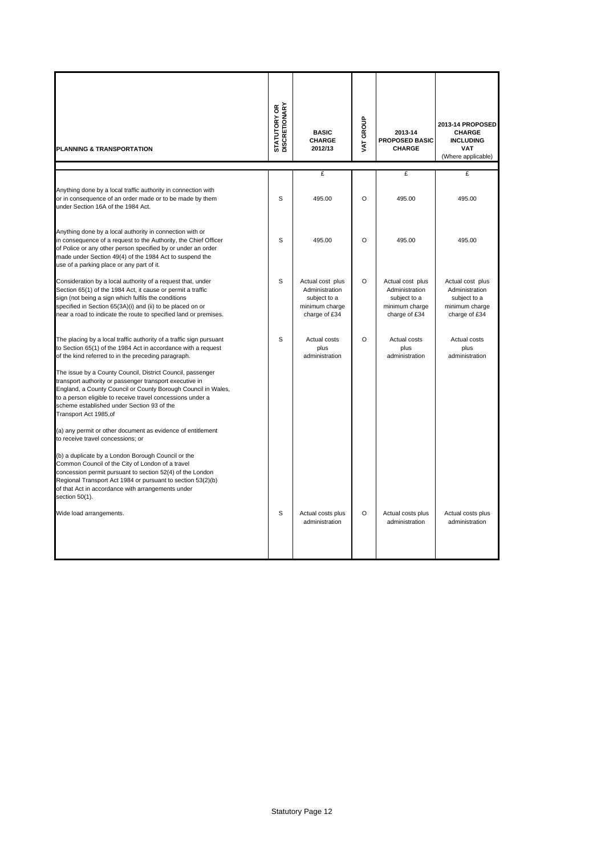|                                                                                                                                                                                                                                                                                                                                                                                                                                                                                                                                                                                                                                                                                                                                          | <b>STATUTORY OR<br/>DISCRETIONARY</b> | <b>BASIC</b>                                                                          | VAT GROUP | 2013-14                                                                               | 2013-14 PROPOSED<br><b>CHARGE</b>                                                     |
|------------------------------------------------------------------------------------------------------------------------------------------------------------------------------------------------------------------------------------------------------------------------------------------------------------------------------------------------------------------------------------------------------------------------------------------------------------------------------------------------------------------------------------------------------------------------------------------------------------------------------------------------------------------------------------------------------------------------------------------|---------------------------------------|---------------------------------------------------------------------------------------|-----------|---------------------------------------------------------------------------------------|---------------------------------------------------------------------------------------|
| <b>PLANNING &amp; TRANSPORTATION</b>                                                                                                                                                                                                                                                                                                                                                                                                                                                                                                                                                                                                                                                                                                     |                                       | <b>CHARGE</b><br>2012/13                                                              |           | <b>PROPOSED BASIC</b><br><b>CHARGE</b>                                                | <b>INCLUDING</b><br><b>VAT</b><br>(Where applicable)                                  |
|                                                                                                                                                                                                                                                                                                                                                                                                                                                                                                                                                                                                                                                                                                                                          |                                       | £                                                                                     |           | £                                                                                     | £                                                                                     |
| Anything done by a local traffic authority in connection with<br>or in consequence of an order made or to be made by them<br>under Section 16A of the 1984 Act.                                                                                                                                                                                                                                                                                                                                                                                                                                                                                                                                                                          | S                                     | 495.00                                                                                | $\circ$   | 495.00                                                                                | 495.00                                                                                |
| Anything done by a local authority in connection with or<br>in consequence of a request to the Authority, the Chief Officer<br>of Police or any other person specified by or under an order<br>made under Section 49(4) of the 1984 Act to suspend the<br>use of a parking place or any part of it.                                                                                                                                                                                                                                                                                                                                                                                                                                      | S                                     | 495.00                                                                                | O         | 495.00                                                                                | 495.00                                                                                |
| Consideration by a local authority of a request that, under<br>Section 65(1) of the 1984 Act, it cause or permit a traffic<br>sign (not being a sign which fulfils the conditions<br>specified in Section 65(3A)(i) and (ii) to be placed on or<br>near a road to indicate the route to specified land or premises.                                                                                                                                                                                                                                                                                                                                                                                                                      | S                                     | Actual cost plus<br>Administration<br>subject to a<br>minimum charge<br>charge of £34 | $\circ$   | Actual cost plus<br>Administration<br>subject to a<br>minimum charge<br>charge of £34 | Actual cost plus<br>Administration<br>subject to a<br>minimum charge<br>charge of £34 |
| The placing by a local traffic authority of a traffic sign pursuant<br>to Section 65(1) of the 1984 Act in accordance with a request<br>of the kind referred to in the preceding paragraph.<br>The issue by a County Council, District Council, passenger<br>transport authority or passenger transport executive in<br>England, a County Council or County Borough Council in Wales,<br>to a person eligible to receive travel concessions under a<br>scheme established under Section 93 of the<br>Transport Act 1985,of<br>(a) any permit or other document as evidence of entitlement<br>to receive travel concessions; or<br>(b) a duplicate by a London Borough Council or the<br>Common Council of the City of London of a travel | S                                     | Actual costs<br>plus<br>administration                                                | O         | Actual costs<br>plus<br>administration                                                | Actual costs<br>plus<br>administration                                                |
| concession permit pursuant to section 52(4) of the London<br>Regional Transport Act 1984 or pursuant to section 53(2)(b)<br>of that Act in accordance with arrangements under<br>section 50(1).<br>Wide load arrangements.                                                                                                                                                                                                                                                                                                                                                                                                                                                                                                               | S                                     | Actual costs plus<br>administration                                                   | $\circ$   | Actual costs plus<br>administration                                                   | Actual costs plus<br>administration                                                   |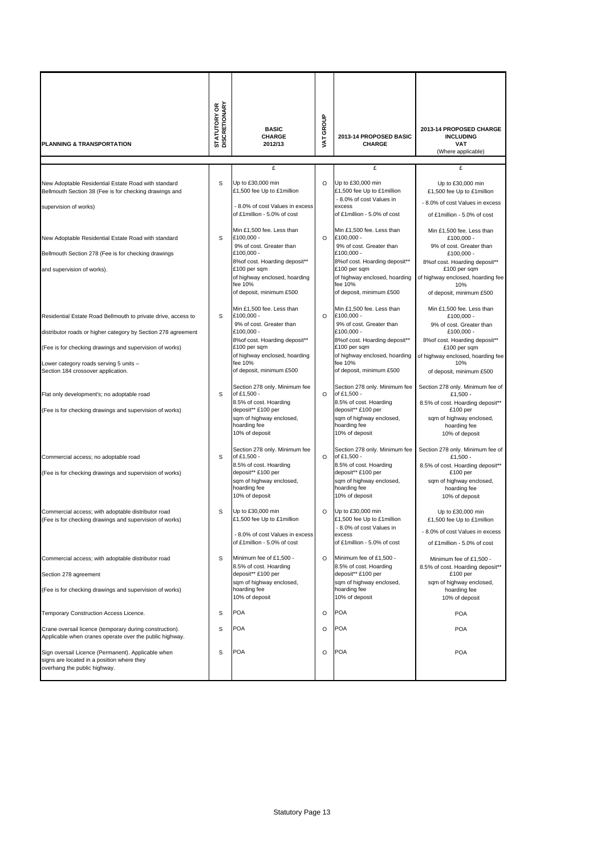| PLANNING & TRANSPORTATION                                                                                                                                                                                                                                                 | <b>STATUTORY OR</b><br>DISCRETIONARY | <b>BASIC</b><br><b>CHARGE</b><br>2012/13                                                                                                                                                                    | <b>VAT GROUP</b> | 2013-14 PROPOSED BASIC<br><b>CHARGE</b>                                                                                                                                                                     | 2013-14 PROPOSED CHARGE<br><b>INCLUDING</b><br>VAT                                                                                                                                                          |
|---------------------------------------------------------------------------------------------------------------------------------------------------------------------------------------------------------------------------------------------------------------------------|--------------------------------------|-------------------------------------------------------------------------------------------------------------------------------------------------------------------------------------------------------------|------------------|-------------------------------------------------------------------------------------------------------------------------------------------------------------------------------------------------------------|-------------------------------------------------------------------------------------------------------------------------------------------------------------------------------------------------------------|
|                                                                                                                                                                                                                                                                           |                                      |                                                                                                                                                                                                             |                  |                                                                                                                                                                                                             | (Where applicable)                                                                                                                                                                                          |
|                                                                                                                                                                                                                                                                           |                                      | £                                                                                                                                                                                                           |                  | £                                                                                                                                                                                                           | £                                                                                                                                                                                                           |
| New Adoptable Residential Estate Road with standard<br>Bellmouth Section 38 (Fee is for checking drawings and<br>supervision of works)                                                                                                                                    | S                                    | Up to £30,000 min<br>£1,500 fee Up to £1 million<br>- 8.0% of cost Values in excess<br>of £1million - 5.0% of cost                                                                                          | O                | Up to £30,000 min<br>£1,500 fee Up to £1 million<br>- 8.0% of cost Values in<br>excess<br>of £1million - 5.0% of cost                                                                                       | Up to £30,000 min<br>£1,500 fee Up to £1 million<br>- 8.0% of cost Values in excess<br>of £1 million - 5.0% of cost                                                                                         |
| New Adoptable Residential Estate Road with standard<br>Bellmouth Section 278 (Fee is for checking drawings<br>and supervision of works).                                                                                                                                  | S                                    | Min £1,500 fee. Less than<br>£100,000 -<br>9% of cost. Greater than<br>£100,000 -<br>8% of cost. Hoarding deposit**<br>£100 per sqm<br>of highway enclosed, hoarding<br>fee 10%<br>of deposit, minimum £500 | $\circ$          | Min £1,500 fee. Less than<br>£100,000 -<br>9% of cost. Greater than<br>£100,000 -<br>8% of cost. Hoarding deposit**<br>£100 per sqm<br>of highway enclosed, hoarding<br>fee 10%<br>of deposit, minimum £500 | Min £1,500 fee. Less than<br>£100,000 -<br>9% of cost. Greater than<br>£100,000 -<br>8% of cost. Hoarding deposit**<br>£100 per sqm<br>of highway enclosed, hoarding fee<br>10%<br>of deposit, minimum £500 |
| Residential Estate Road Bellmouth to private drive, access to<br>distributor roads or higher category by Section 278 agreement<br>(Fee is for checking drawings and supervision of works)<br>Lower category roads serving 5 units -<br>Section 184 crossover application. | S                                    | Min £1,500 fee. Less than<br>£100.000 -<br>9% of cost. Greater than<br>£100,000 -<br>8% of cost. Hoarding deposit**<br>£100 per sqm<br>of highway enclosed, hoarding<br>fee 10%<br>of deposit, minimum £500 | $\Omega$         | Min £1,500 fee. Less than<br>£100.000 -<br>9% of cost. Greater than<br>£100,000 -<br>8% of cost. Hoarding deposit**<br>£100 per sqm<br>of highway enclosed, hoarding<br>fee 10%<br>of deposit, minimum £500 | Min £1,500 fee. Less than<br>£100,000 -<br>9% of cost. Greater than<br>£100,000 -<br>8% of cost. Hoarding deposit**<br>£100 per sqm<br>of highway enclosed, hoarding fee<br>10%<br>of deposit, minimum £500 |
| Flat only development's; no adoptable road<br>(Fee is for checking drawings and supervision of works)                                                                                                                                                                     | S                                    | Section 278 only. Minimum fee<br>of £1,500 -<br>8.5% of cost. Hoarding<br>deposit** £100 per<br>sqm of highway enclosed,<br>hoarding fee<br>10% of deposit                                                  | O                | Section 278 only. Minimum fee<br>of £1,500 -<br>8.5% of cost. Hoarding<br>deposit** £100 per<br>sqm of highway enclosed,<br>hoarding fee<br>10% of deposit                                                  | Section 278 only. Minimum fee of<br>£1,500 -<br>8.5% of cost. Hoarding deposit**<br>£100 per<br>sqm of highway enclosed,<br>hoarding fee<br>10% of deposit                                                  |
| Commercial access; no adoptable road<br>(Fee is for checking drawings and supervision of works)                                                                                                                                                                           | S                                    | Section 278 only. Minimum fee<br>of £1,500 -<br>8.5% of cost. Hoarding<br>deposit** £100 per<br>sqm of highway enclosed,<br>hoarding fee<br>10% of deposit                                                  | O                | Section 278 only. Minimum fee<br>of £1,500 -<br>8.5% of cost. Hoarding<br>deposit** £100 per<br>sqm of highway enclosed,<br>hoarding fee<br>10% of deposit                                                  | Section 278 only. Minimum fee of<br>£1,500 -<br>8.5% of cost. Hoarding deposit**<br>£100 per<br>sqm of highway enclosed,<br>hoarding fee<br>10% of deposit                                                  |
| Commercial access; with adoptable distributor road<br>(Fee is for checking drawings and supervision of works)                                                                                                                                                             | S                                    | Up to £30,000 min<br>£1,500 fee Up to £1 million<br>- 8.0% of cost Values in excess<br>of £1 million - 5.0% of cost                                                                                         | O                | Up to £30,000 min<br>£1,500 fee Up to £1 million<br>- 8.0% of cost Values in<br>excess<br>of £1 million - 5.0% of cost                                                                                      | Up to £30,000 min<br>£1,500 fee Up to £1million<br>- 8.0% of cost Values in excess<br>of £1 million - 5.0% of cost                                                                                          |
| Commercial access; with adoptable distributor road<br>Section 278 agreement<br>(Fee is for checking drawings and supervision of works)                                                                                                                                    | S                                    | Minimum fee of £1,500 -<br>8.5% of cost. Hoarding<br>deposit** £100 per<br>sqm of highway enclosed,<br>hoarding fee<br>10% of deposit                                                                       | $\circ$          | Minimum fee of £1,500 -<br>8.5% of cost. Hoarding<br>deposit** £100 per<br>sqm of highway enclosed,<br>hoarding fee<br>10% of deposit                                                                       | Minimum fee of £1,500 -<br>8.5% of cost. Hoarding deposit**<br>£100 per<br>sqm of highway enclosed,<br>hoarding fee<br>10% of deposit                                                                       |
| Temporary Construction Access Licence.                                                                                                                                                                                                                                    | s                                    | <b>POA</b>                                                                                                                                                                                                  | O                | POA                                                                                                                                                                                                         | <b>POA</b>                                                                                                                                                                                                  |
| Crane oversail licence (temporary during construction).<br>Applicable when cranes operate over the public highway.                                                                                                                                                        | S                                    | <b>POA</b>                                                                                                                                                                                                  | O                | <b>POA</b>                                                                                                                                                                                                  | <b>POA</b>                                                                                                                                                                                                  |
| Sign oversail Licence (Permanent). Applicable when<br>signs are located in a position where they<br>overhang the public highway.                                                                                                                                          | S                                    | <b>POA</b>                                                                                                                                                                                                  | O                | <b>POA</b>                                                                                                                                                                                                  | <b>POA</b>                                                                                                                                                                                                  |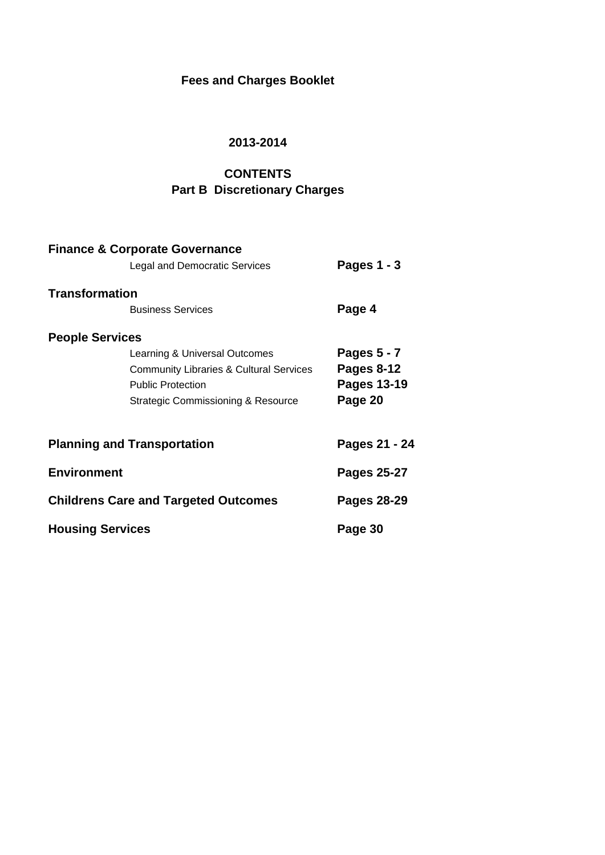## **Fees and Charges Booklet**

## **2013-2014**

# **CONTENTS**

## **Part B Discretionary Charges**

|                         | <b>Finance &amp; Corporate Governance</b>          |                    |
|-------------------------|----------------------------------------------------|--------------------|
|                         | <b>Legal and Democratic Services</b>               | Pages 1 - 3        |
| <b>Transformation</b>   |                                                    |                    |
|                         | <b>Business Services</b>                           | Page 4             |
| <b>People Services</b>  |                                                    |                    |
|                         | Learning & Universal Outcomes                      | Pages 5 - 7        |
|                         | <b>Community Libraries &amp; Cultural Services</b> | <b>Pages 8-12</b>  |
|                         | <b>Public Protection</b>                           | <b>Pages 13-19</b> |
|                         | Strategic Commissioning & Resource                 | Page 20            |
|                         | <b>Planning and Transportation</b>                 | Pages 21 - 24      |
| <b>Environment</b>      |                                                    | Pages 25-27        |
|                         | <b>Childrens Care and Targeted Outcomes</b>        | Pages 28-29        |
| <b>Housing Services</b> |                                                    | Page 30            |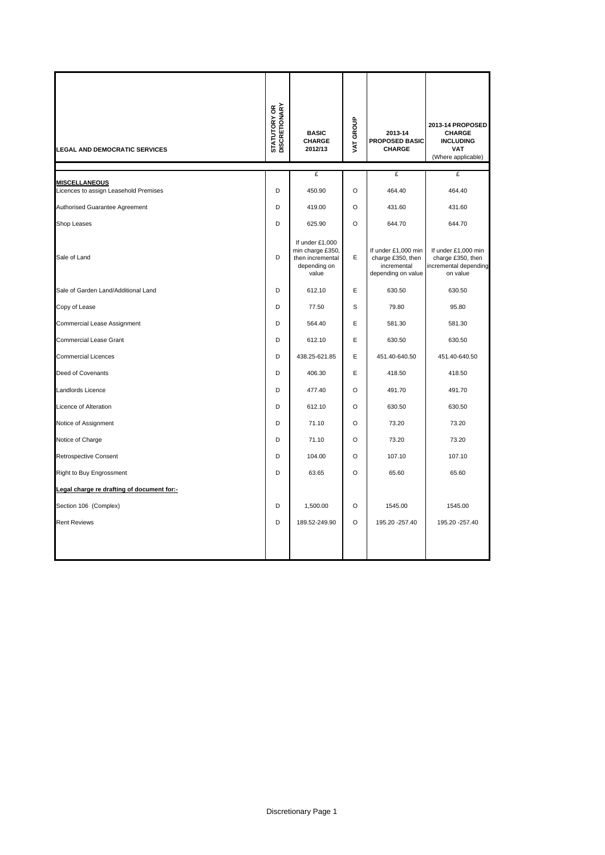| <b>LEGAL AND DEMOCRATIC SERVICES</b>                          | <b>STATUTORY OR</b><br>DISCRETIONARY | <b>BASIC</b><br><b>CHARGE</b><br>2012/13                                         | VAT GROUP | 2013-14<br><b>PROPOSED BASIC</b><br><b>CHARGE</b>                             | 2013-14 PROPOSED<br><b>CHARGE</b><br><b>INCLUDING</b><br><b>VAT</b><br>(Where applicable) |
|---------------------------------------------------------------|--------------------------------------|----------------------------------------------------------------------------------|-----------|-------------------------------------------------------------------------------|-------------------------------------------------------------------------------------------|
|                                                               |                                      | £                                                                                |           | £                                                                             | £                                                                                         |
| <b>MISCELLANEOUS</b><br>Licences to assign Leasehold Premises | D                                    | 450.90                                                                           | $\circ$   | 464.40                                                                        | 464.40                                                                                    |
| Authorised Guarantee Agreement                                | D                                    | 419.00                                                                           | $\Omega$  | 431.60                                                                        | 431.60                                                                                    |
| Shop Leases                                                   | D                                    | 625.90                                                                           | $\Omega$  | 644.70                                                                        | 644.70                                                                                    |
| Sale of Land                                                  | D                                    | If under £1,000<br>min charge £350,<br>then incremental<br>depending on<br>value | Ε         | If under £1,000 min<br>charge £350, then<br>incremental<br>depending on value | If under £1,000 min<br>charge £350, then<br>incremental depending<br>on value             |
| Sale of Garden Land/Additional Land                           | D                                    | 612.10                                                                           | E         | 630.50                                                                        | 630.50                                                                                    |
| Copy of Lease                                                 | D                                    | 77.50                                                                            | S         | 79.80                                                                         | 95.80                                                                                     |
| Commercial Lease Assignment                                   | D                                    | 564.40                                                                           | E         | 581.30                                                                        | 581.30                                                                                    |
| <b>Commercial Lease Grant</b>                                 | D                                    | 612.10                                                                           | E         | 630.50                                                                        | 630.50                                                                                    |
| <b>Commercial Licences</b>                                    | D                                    | 438.25-621.85                                                                    | E         | 451.40-640.50                                                                 | 451.40-640.50                                                                             |
| Deed of Covenants                                             | D                                    | 406.30                                                                           | E         | 418.50                                                                        | 418.50                                                                                    |
| Landlords Licence                                             | D                                    | 477.40                                                                           | $\Omega$  | 491.70                                                                        | 491.70                                                                                    |
| Licence of Alteration                                         | D                                    | 612.10                                                                           | $\circ$   | 630.50                                                                        | 630.50                                                                                    |
| Notice of Assignment                                          | D                                    | 71.10                                                                            | $\circ$   | 73.20                                                                         | 73.20                                                                                     |
| Notice of Charge                                              | D                                    | 71.10                                                                            | $\circ$   | 73.20                                                                         | 73.20                                                                                     |
| <b>Retrospective Consent</b>                                  | D                                    | 104.00                                                                           | $\circ$   | 107.10                                                                        | 107.10                                                                                    |
| Right to Buy Engrossment                                      | D                                    | 63.65                                                                            | $\circ$   | 65.60                                                                         | 65.60                                                                                     |
| Legal charge re drafting of document for:-                    |                                      |                                                                                  |           |                                                                               |                                                                                           |
| Section 106 (Complex)                                         | D                                    | 1,500.00                                                                         | $\Omega$  | 1545.00                                                                       | 1545.00                                                                                   |
| <b>Rent Reviews</b>                                           | D                                    | 189.52-249.90                                                                    | O         | 195.20 - 257.40                                                               | 195.20 - 257.40                                                                           |
|                                                               |                                      |                                                                                  |           |                                                                               |                                                                                           |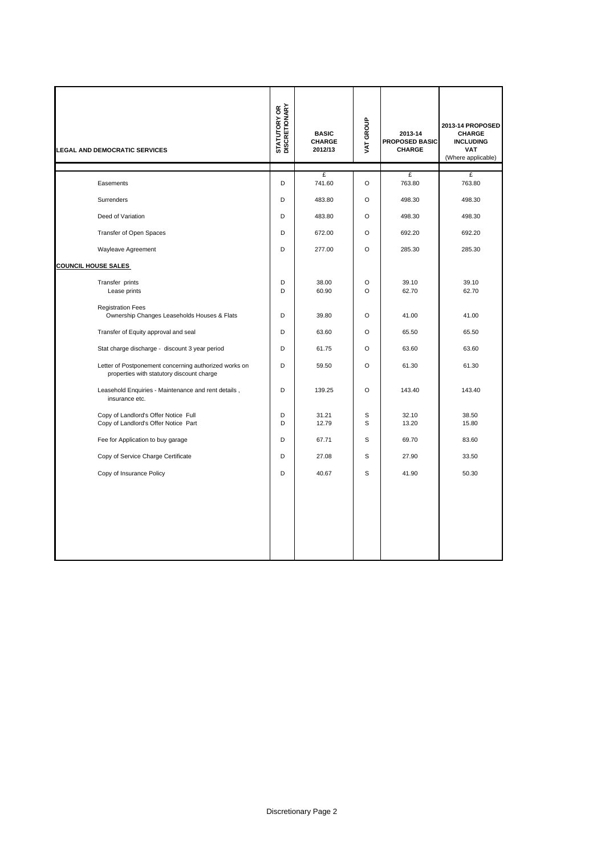| <b>LEGAL AND DEMOCRATIC SERVICES</b>                                                               | <b>STATUTORY OR<br/>DISCRETIONARY</b> | <b>BASIC</b><br>CHARGE<br>2012/13 | VAT GROUP           | 2013-14<br>PROPOSED BASIC<br>CHARGE | 2013-14 PROPOSED<br><b>CHARGE</b><br><b>INCLUDING</b><br><b>VAT</b><br>(Where applicable) |
|----------------------------------------------------------------------------------------------------|---------------------------------------|-----------------------------------|---------------------|-------------------------------------|-------------------------------------------------------------------------------------------|
| Easements                                                                                          | D                                     | £<br>741.60                       | $\circ$             | £<br>763.80                         | £<br>763.80                                                                               |
| Surrenders                                                                                         | D                                     | 483.80                            | O                   | 498.30                              | 498.30                                                                                    |
| Deed of Variation                                                                                  | D                                     | 483.80                            | O                   | 498.30                              | 498.30                                                                                    |
| Transfer of Open Spaces                                                                            | D                                     | 672.00                            | $\circ$             | 692.20                              | 692.20                                                                                    |
| Wayleave Agreement                                                                                 | D                                     | 277.00                            | $\circ$             | 285.30                              | 285.30                                                                                    |
| <b>COUNCIL HOUSE SALES</b>                                                                         |                                       |                                   |                     |                                     |                                                                                           |
| Transfer prints<br>Lease prints                                                                    | D<br>D                                | 38.00<br>60.90                    | $\circ$<br>$\Omega$ | 39.10<br>62.70                      | 39.10<br>62.70                                                                            |
| <b>Registration Fees</b><br>Ownership Changes Leaseholds Houses & Flats                            | D                                     | 39.80                             | $\circ$             | 41.00                               | 41.00                                                                                     |
| Transfer of Equity approval and seal                                                               | D                                     | 63.60                             | $\circ$             | 65.50                               | 65.50                                                                                     |
| Stat charge discharge - discount 3 year period                                                     | D                                     | 61.75                             | $\Omega$            | 63.60                               | 63.60                                                                                     |
| Letter of Postponement concerning authorized works on<br>properties with statutory discount charge | D                                     | 59.50                             | $\circ$             | 61.30                               | 61.30                                                                                     |
| Leasehold Enquiries - Maintenance and rent details,<br>insurance etc.                              | D                                     | 139.25                            | $\circ$             | 143.40                              | 143.40                                                                                    |
| Copy of Landlord's Offer Notice Full<br>Copy of Landlord's Offer Notice Part                       | D<br>D                                | 31.21<br>12.79                    | S<br>S              | 32.10<br>13.20                      | 38.50<br>15.80                                                                            |
| Fee for Application to buy garage                                                                  | D                                     | 67.71                             | S                   | 69.70                               | 83.60                                                                                     |
| Copy of Service Charge Certificate                                                                 | D                                     | 27.08                             | S                   | 27.90                               | 33.50                                                                                     |
| Copy of Insurance Policy                                                                           | D                                     | 40.67                             | S                   | 41.90                               | 50.30                                                                                     |
|                                                                                                    |                                       |                                   |                     |                                     |                                                                                           |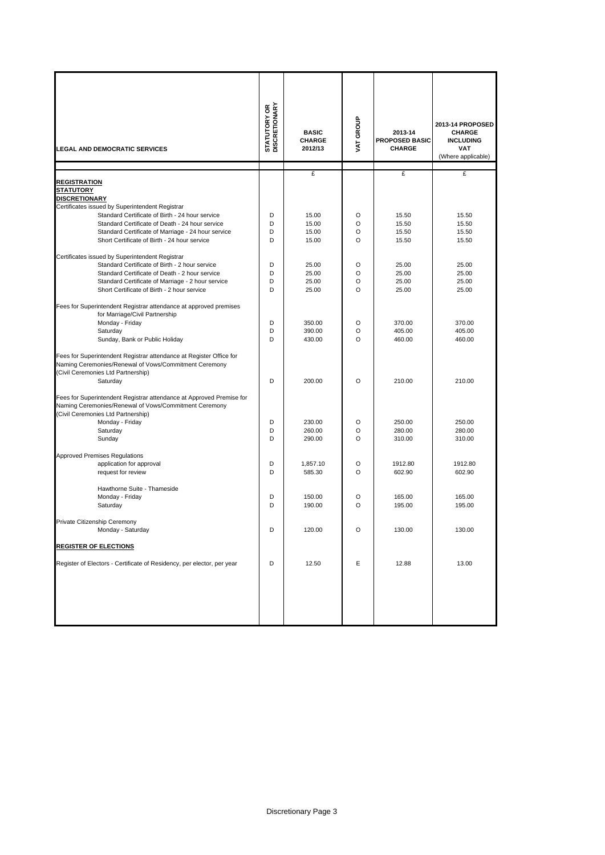| <b>LEGAL AND DEMOCRATIC SERVICES</b>                                                                                                                                                                                                                                                                                                                                              | <b>STATUTORY OR<br/>DISCRETIONARY</b> | <b>BASIC</b><br><b>CHARGE</b><br>2012/13 | VAT GROUP              | 2013-14<br><b>PROPOSED BASIC</b><br><b>CHARGE</b> | 2013-14 PROPOSED<br><b>CHARGE</b><br><b>INCLUDING</b><br><b>VAT</b><br>(Where applicable) |
|-----------------------------------------------------------------------------------------------------------------------------------------------------------------------------------------------------------------------------------------------------------------------------------------------------------------------------------------------------------------------------------|---------------------------------------|------------------------------------------|------------------------|---------------------------------------------------|-------------------------------------------------------------------------------------------|
|                                                                                                                                                                                                                                                                                                                                                                                   |                                       | £                                        |                        | £                                                 | £                                                                                         |
| <b>REGISTRATION</b><br><b>STATUTORY</b><br><b>DISCRETIONARY</b><br>Certificates issued by Superintendent Registrar<br>Standard Certificate of Birth - 24 hour service<br>Standard Certificate of Death - 24 hour service<br>Standard Certificate of Marriage - 24 hour service<br>Short Certificate of Birth - 24 hour service<br>Certificates issued by Superintendent Registrar | D<br>D<br>D<br>D                      | 15.00<br>15.00<br>15.00<br>15.00         | O<br>O<br>O<br>O       | 15.50<br>15.50<br>15.50<br>15.50                  | 15.50<br>15.50<br>15.50<br>15.50                                                          |
| Standard Certificate of Birth - 2 hour service<br>Standard Certificate of Death - 2 hour service<br>Standard Certificate of Marriage - 2 hour service<br>Short Certificate of Birth - 2 hour service                                                                                                                                                                              | D<br>D<br>D<br>D                      | 25.00<br>25.00<br>25.00<br>25.00         | $\circ$<br>O<br>O<br>O | 25.00<br>25.00<br>25.00<br>25.00                  | 25.00<br>25.00<br>25.00<br>25.00                                                          |
| Fees for Superintendent Registrar attendance at approved premises<br>for Marriage/Civil Partnership<br>Monday - Friday<br>Saturday<br>Sunday, Bank or Public Holiday                                                                                                                                                                                                              | D<br>D<br>D                           | 350.00<br>390.00<br>430.00               | O<br>O<br>O            | 370.00<br>405.00<br>460.00                        | 370.00<br>405.00<br>460.00                                                                |
| Fees for Superintendent Registrar attendance at Register Office for<br>Naming Ceremonies/Renewal of Vows/Commitment Ceremony<br>(Civil Ceremonies Ltd Partnership)<br>Saturday<br>Fees for Superintendent Registrar attendance at Approved Premise for                                                                                                                            | D                                     | 200.00                                   | $\circ$                | 210.00                                            | 210.00                                                                                    |
| Naming Ceremonies/Renewal of Vows/Commitment Ceremony<br>(Civil Ceremonies Ltd Partnership)<br>Monday - Friday<br>Saturday<br>Sunday                                                                                                                                                                                                                                              | D<br>D<br>D                           | 230.00<br>260.00<br>290.00               | O<br>O<br>O            | 250.00<br>280.00<br>310.00                        | 250.00<br>280.00<br>310.00                                                                |
| <b>Approved Premises Regulations</b><br>application for approval<br>request for review                                                                                                                                                                                                                                                                                            | D<br>D                                | 1,857.10<br>585.30                       | O<br>O                 | 1912.80<br>602.90                                 | 1912.80<br>602.90                                                                         |
| Hawthorne Suite - Thameside<br>Monday - Friday<br>Saturday                                                                                                                                                                                                                                                                                                                        | D<br>D                                | 150.00<br>190.00                         | O<br>O                 | 165.00<br>195.00                                  | 165.00<br>195.00                                                                          |
| Private Citizenship Ceremony<br>Monday - Saturday                                                                                                                                                                                                                                                                                                                                 | D                                     | 120.00                                   | $\circ$                | 130.00                                            | 130.00                                                                                    |
| <b>REGISTER OF ELECTIONS</b>                                                                                                                                                                                                                                                                                                                                                      |                                       |                                          |                        |                                                   |                                                                                           |
| Register of Electors - Certificate of Residency, per elector, per year                                                                                                                                                                                                                                                                                                            | D                                     | 12.50                                    | Ε                      | 12.88                                             | 13.00                                                                                     |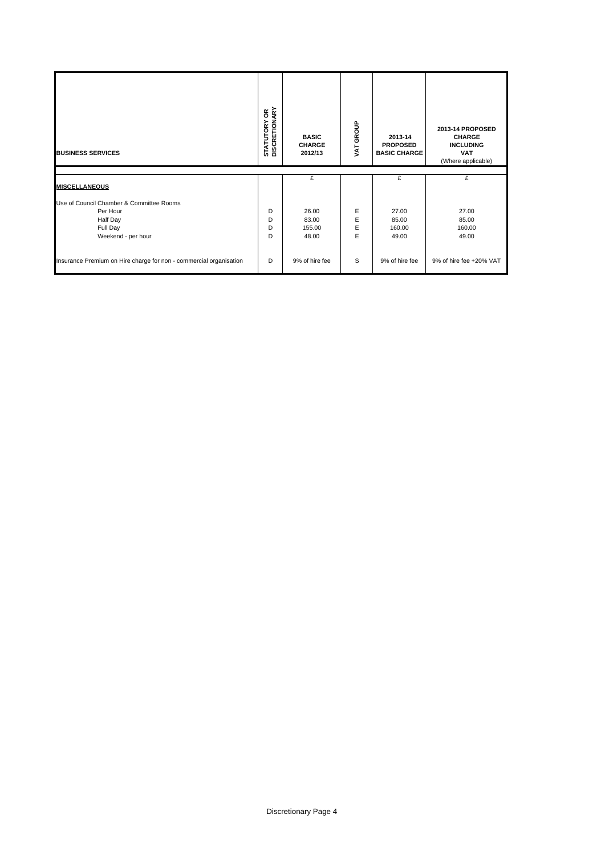| <b>BUSINESS SERVICES</b>                 | <b>STATUTORY OR<br/>DISCRETIONARY</b> | <b>BASIC</b><br><b>CHARGE</b><br>2012/13 | VAT GROUP | 2013-14<br><b>PROPOSED</b><br><b>BASIC CHARGE</b> | 2013-14 PROPOSED<br><b>CHARGE</b><br><b>INCLUDING</b><br><b>VAT</b><br>(Where applicable) |
|------------------------------------------|---------------------------------------|------------------------------------------|-----------|---------------------------------------------------|-------------------------------------------------------------------------------------------|
|                                          |                                       | £                                        |           | £                                                 |                                                                                           |
|                                          |                                       |                                          |           |                                                   | £                                                                                         |
| <b>MISCELLANEOUS</b>                     |                                       |                                          |           |                                                   |                                                                                           |
| Use of Council Chamber & Committee Rooms |                                       |                                          |           |                                                   |                                                                                           |
| Per Hour                                 | D                                     | 26.00                                    | E         | 27.00                                             | 27.00                                                                                     |
| Half Day                                 | D                                     | 83.00                                    | E         | 85.00                                             | 85.00                                                                                     |
| Full Day<br>Weekend - per hour           | D<br>D                                | 155.00<br>48.00                          | E<br>E    | 160.00<br>49.00                                   | 160.00<br>49.00                                                                           |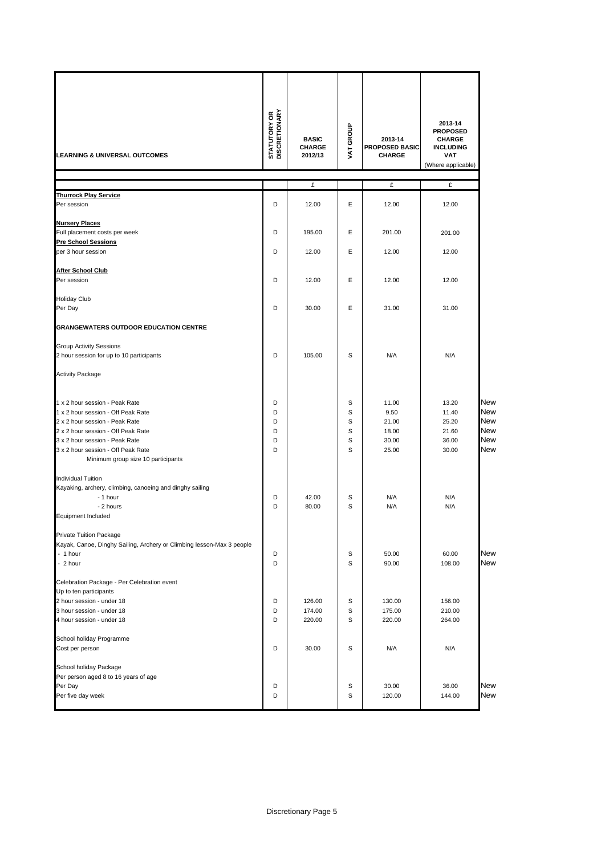| <b>LEARNING &amp; UNIVERSAL OUTCOMES</b>                                                               | <b>STATUTORY OR<br/>DISCRETIONARY</b> | <b>BASIC</b><br>CHARGE<br>2012/13 | VAT GROUP   | 2013-14<br>PROPOSED BASIC<br><b>CHARGE</b> | 2013-14<br><b>PROPOSED</b><br><b>CHARGE</b><br><b>INCLUDING</b><br><b>VAT</b><br>(Where applicable) |                                        |
|--------------------------------------------------------------------------------------------------------|---------------------------------------|-----------------------------------|-------------|--------------------------------------------|-----------------------------------------------------------------------------------------------------|----------------------------------------|
|                                                                                                        |                                       | £                                 |             | £                                          | £                                                                                                   |                                        |
| <b>Thurrock Play Service</b><br>Per session                                                            | D                                     | 12.00                             | Е           | 12.00                                      | 12.00                                                                                               |                                        |
|                                                                                                        |                                       |                                   |             |                                            |                                                                                                     |                                        |
| <b>Nursery Places</b>                                                                                  | D                                     |                                   | Е           |                                            |                                                                                                     |                                        |
| Full placement costs per week<br><b>Pre School Sessions</b>                                            |                                       | 195.00                            |             | 201.00                                     | 201.00                                                                                              |                                        |
| per 3 hour session                                                                                     | D                                     | 12.00                             | Е           | 12.00                                      | 12.00                                                                                               |                                        |
| <b>After School Club</b>                                                                               |                                       |                                   |             |                                            |                                                                                                     |                                        |
| Per session                                                                                            | D                                     | 12.00                             | Е           | 12.00                                      | 12.00                                                                                               |                                        |
| <b>Holiday Club</b>                                                                                    |                                       |                                   |             |                                            |                                                                                                     |                                        |
| Per Day                                                                                                | D                                     | 30.00                             | E           | 31.00                                      | 31.00                                                                                               |                                        |
| <b>GRANGEWATERS OUTDOOR EDUCATION CENTRE</b>                                                           |                                       |                                   |             |                                            |                                                                                                     |                                        |
| <b>Group Activity Sessions</b>                                                                         |                                       |                                   |             |                                            |                                                                                                     |                                        |
| 2 hour session for up to 10 participants                                                               | D                                     | 105.00                            | S           | N/A                                        | N/A                                                                                                 |                                        |
| <b>Activity Package</b>                                                                                |                                       |                                   |             |                                            |                                                                                                     |                                        |
| 1 x 2 hour session - Peak Rate<br>1 x 2 hour session - Off Peak Rate<br>2 x 2 hour session - Peak Rate | D<br>D<br>D                           |                                   | S<br>S<br>S | 11.00<br>9.50<br>21.00                     | 13.20<br>11.40<br>25.20                                                                             | <b>New</b><br><b>New</b><br><b>New</b> |
| 2 x 2 hour session - Off Peak Rate                                                                     | D                                     |                                   | S           | 18.00                                      | 21.60                                                                                               | <b>New</b>                             |
| 3 x 2 hour session - Peak Rate                                                                         | D                                     |                                   | s           | 30.00                                      | 36.00                                                                                               | <b>New</b>                             |
| 3 x 2 hour session - Off Peak Rate<br>Minimum group size 10 participants                               | D                                     |                                   | S           | 25.00                                      | 30.00                                                                                               | <b>New</b>                             |
| <b>Individual Tuition</b>                                                                              |                                       |                                   |             |                                            |                                                                                                     |                                        |
| Kayaking, archery, climbing, canoeing and dinghy sailing<br>- 1 hour                                   | D                                     | 42.00                             | S           | N/A                                        | N/A                                                                                                 |                                        |
| - 2 hours                                                                                              | D                                     | 80.00                             | S           | N/A                                        | N/A                                                                                                 |                                        |
| <b>Equipment Included</b>                                                                              |                                       |                                   |             |                                            |                                                                                                     |                                        |
| Private Tuition Package                                                                                |                                       |                                   |             |                                            |                                                                                                     |                                        |
| Kayak, Canoe, Dinghy Sailing, Archery or Climbing lesson-Max 3 people<br>- 1 hour                      | D                                     |                                   | S           | 50.00                                      | 60.00                                                                                               | <b>New</b>                             |
| - 2 hour                                                                                               | D                                     |                                   | S           | 90.00                                      | 108.00                                                                                              | <b>New</b>                             |
| Celebration Package - Per Celebration event                                                            |                                       |                                   |             |                                            |                                                                                                     |                                        |
| Up to ten participants<br>2 hour session - under 18                                                    | D                                     | 126.00                            | s           | 130.00                                     | 156.00                                                                                              |                                        |
| 3 hour session - under 18                                                                              | D                                     | 174.00                            | s           | 175.00                                     | 210.00                                                                                              |                                        |
| 4 hour session - under 18                                                                              | D                                     | 220.00                            | S           | 220.00                                     | 264.00                                                                                              |                                        |
| School holiday Programme                                                                               |                                       |                                   |             |                                            |                                                                                                     |                                        |
| Cost per person                                                                                        | D                                     | 30.00                             | S           | N/A                                        | N/A                                                                                                 |                                        |
| School holiday Package<br>Per person aged 8 to 16 years of age                                         |                                       |                                   |             |                                            |                                                                                                     |                                        |
| Per Day                                                                                                | D                                     |                                   | s           | 30.00                                      | 36.00                                                                                               | New                                    |
| Per five day week                                                                                      | D                                     |                                   | S           | 120.00                                     | 144.00                                                                                              | <b>New</b>                             |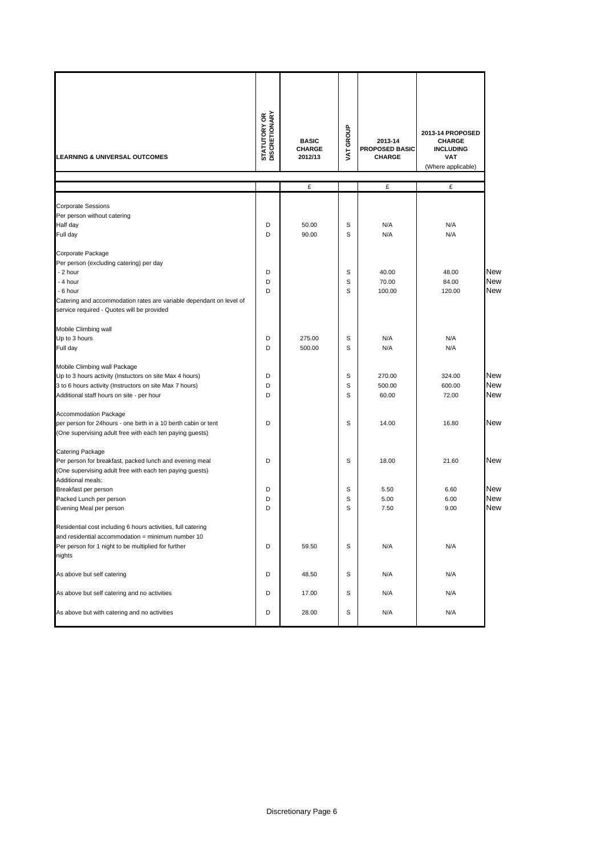| <b>LEARNING &amp; UNIVERSAL OUTCOMES</b>                            | <b>STATUTORY OR</b><br>DISCRETIONARY | <b>BASIC</b><br><b>CHARGE</b><br>2012/13 | GROUP<br>VAT. | 2013-14<br><b>PROPOSED BASIC</b><br><b>CHARGE</b> | 2013-14 PROPOSED<br><b>CHARGE</b><br><b>INCLUDING</b><br><b>VAT</b><br>(Where applicable) |            |
|---------------------------------------------------------------------|--------------------------------------|------------------------------------------|---------------|---------------------------------------------------|-------------------------------------------------------------------------------------------|------------|
|                                                                     |                                      |                                          |               |                                                   |                                                                                           |            |
|                                                                     |                                      | £                                        |               | £                                                 | £                                                                                         |            |
| <b>Corporate Sessions</b>                                           |                                      |                                          |               |                                                   |                                                                                           |            |
| Per person without catering                                         |                                      |                                          |               |                                                   |                                                                                           |            |
| Half day                                                            | D                                    | 50.00                                    | S             | N/A                                               | N/A                                                                                       |            |
| Full day                                                            | D                                    | 90.00                                    | S             | N/A                                               | N/A                                                                                       |            |
|                                                                     |                                      |                                          |               |                                                   |                                                                                           |            |
| Corporate Package                                                   |                                      |                                          |               |                                                   |                                                                                           |            |
| Per person (excluding catering) per day                             |                                      |                                          |               |                                                   |                                                                                           |            |
| - 2 hour                                                            | D                                    |                                          | S             | 40.00                                             | 48.00                                                                                     | <b>New</b> |
| - 4 hour                                                            | D                                    |                                          | S             | 70.00                                             | 84.00                                                                                     | New        |
| - 6 hour                                                            | D                                    |                                          | S             | 100.00                                            | 120.00                                                                                    | <b>New</b> |
| Catering and accommodation rates are variable dependant on level of |                                      |                                          |               |                                                   |                                                                                           |            |
| service required - Quotes will be provided                          |                                      |                                          |               |                                                   |                                                                                           |            |
| Mobile Climbing wall                                                |                                      |                                          |               |                                                   |                                                                                           |            |
| Up to 3 hours                                                       | D                                    | 275.00                                   | S             | N/A                                               | N/A                                                                                       |            |
| Full day                                                            | D                                    | 500.00                                   | S             | N/A                                               | N/A                                                                                       |            |
|                                                                     |                                      |                                          |               |                                                   |                                                                                           |            |
| Mobile Climbing wall Package                                        |                                      |                                          |               |                                                   |                                                                                           |            |
| Up to 3 hours activity (Instuctors on site Max 4 hours)             | D                                    |                                          | S             | 270.00                                            | 324.00                                                                                    | New        |
| 3 to 6 hours activity (Instructors on site Max 7 hours)             | D                                    |                                          | S             | 500.00                                            | 600.00                                                                                    | New        |
| Additional staff hours on site - per hour                           | D                                    |                                          | S             | 60.00                                             | 72.00                                                                                     | <b>New</b> |
|                                                                     |                                      |                                          |               |                                                   |                                                                                           |            |
| Accommodation Package                                               |                                      |                                          |               |                                                   |                                                                                           | New        |
| per person for 24hours - one birth in a 10 berth cabin or tent      | D                                    |                                          | S             | 14.00                                             | 16.80                                                                                     |            |
| (One supervising adult free with each ten paying guests)            |                                      |                                          |               |                                                   |                                                                                           |            |
| Catering Package                                                    |                                      |                                          |               |                                                   |                                                                                           |            |
| Per person for breakfast, packed lunch and evening meal             | D                                    |                                          | s             | 18.00                                             | 21.60                                                                                     | <b>New</b> |
| (One supervising adult free with each ten paying guests)            |                                      |                                          |               |                                                   |                                                                                           |            |
| Additional meals:                                                   |                                      |                                          |               |                                                   |                                                                                           |            |
| Breakfast per person                                                | D                                    |                                          | S             | 5.50                                              | 6.60                                                                                      | <b>New</b> |
| Packed Lunch per person                                             | D                                    |                                          | S             | 5.00                                              | 6.00                                                                                      | <b>New</b> |
| Evening Meal per person                                             | D                                    |                                          | S             | 7.50                                              | 9.00                                                                                      | New        |
| Residential cost including 6 hours activities, full catering        |                                      |                                          |               |                                                   |                                                                                           |            |
| and residential accommodation = minimum number 10                   |                                      |                                          |               |                                                   |                                                                                           |            |
| Per person for 1 night to be multiplied for further                 | D                                    | 59.50                                    | S             | N/A                                               | N/A                                                                                       |            |
| nights                                                              |                                      |                                          |               |                                                   |                                                                                           |            |
|                                                                     |                                      |                                          |               |                                                   |                                                                                           |            |
| As above but self catering                                          | D                                    | 48.50                                    | S             | N/A                                               | N/A                                                                                       |            |
| As above but self catering and no activities                        | D                                    | 17.00                                    | S             | N/A                                               | N/A                                                                                       |            |
|                                                                     |                                      |                                          |               |                                                   |                                                                                           |            |
| As above but with catering and no activities                        | D                                    | 28.00                                    | S             | N/A                                               | N/A                                                                                       |            |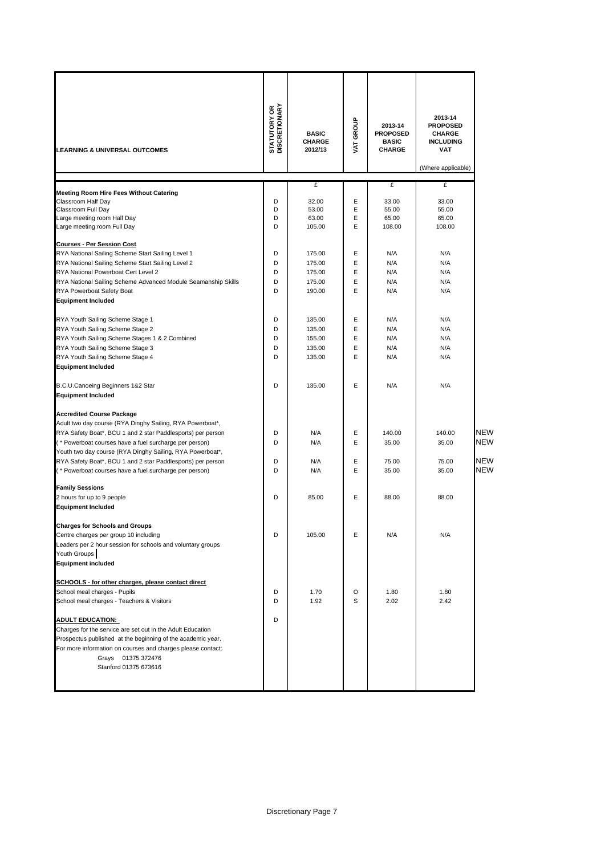|                                                                                                                           | <b>STATUTORY OR</b><br>DISCRETIONARY |                                          |           | 2013-14                                          | 2013-14<br><b>PROPOSED</b>                      |            |
|---------------------------------------------------------------------------------------------------------------------------|--------------------------------------|------------------------------------------|-----------|--------------------------------------------------|-------------------------------------------------|------------|
| <b>LEARNING &amp; UNIVERSAL OUTCOMES</b>                                                                                  |                                      | <b>BASIC</b><br><b>CHARGE</b><br>2012/13 | VAT GROUP | <b>PROPOSED</b><br><b>BASIC</b><br><b>CHARGE</b> | <b>CHARGE</b><br><b>INCLUDING</b><br><b>VAT</b> |            |
|                                                                                                                           |                                      |                                          |           |                                                  | (Where applicable)                              |            |
|                                                                                                                           |                                      | £                                        |           | £                                                | £                                               |            |
| <b>Meeting Room Hire Fees Without Catering</b><br>Classroom Half Day                                                      | D                                    | 32.00                                    | E         | 33.00                                            | 33.00                                           |            |
| Classroom Full Day                                                                                                        | D                                    | 53.00                                    | E         | 55.00                                            | 55.00                                           |            |
| Large meeting room Half Day                                                                                               | D                                    | 63.00                                    | E         | 65.00                                            | 65.00                                           |            |
| Large meeting room Full Day                                                                                               | D                                    | 105.00                                   | E         | 108.00                                           | 108.00                                          |            |
| <b>Courses - Per Session Cost</b>                                                                                         |                                      |                                          |           |                                                  |                                                 |            |
| RYA National Sailing Scheme Start Sailing Level 1                                                                         | D                                    | 175.00                                   | E         | N/A                                              | N/A                                             |            |
| RYA National Sailing Scheme Start Sailing Level 2                                                                         | D                                    | 175.00                                   | E         | N/A                                              | N/A                                             |            |
| RYA National Powerboat Cert Level 2                                                                                       | D                                    | 175.00                                   | E         | N/A                                              | N/A                                             |            |
| RYA National Sailing Scheme Advanced Module Seamanship Skills                                                             | D                                    | 175.00                                   | E         | N/A                                              | N/A                                             |            |
| RYA Powerboat Safety Boat                                                                                                 | D                                    | 190.00                                   | E         | N/A                                              | N/A                                             |            |
| <b>Equipment Included</b>                                                                                                 |                                      |                                          |           |                                                  |                                                 |            |
| RYA Youth Sailing Scheme Stage 1                                                                                          | D                                    | 135.00                                   | E         | N/A                                              | N/A                                             |            |
| RYA Youth Sailing Scheme Stage 2                                                                                          | D                                    | 135.00                                   | E         | N/A                                              | N/A                                             |            |
| RYA Youth Sailing Scheme Stages 1 & 2 Combined                                                                            | D                                    | 155.00                                   | E         | N/A                                              | N/A                                             |            |
| RYA Youth Sailing Scheme Stage 3                                                                                          | D                                    | 135.00                                   | E         | N/A                                              | N/A                                             |            |
| RYA Youth Sailing Scheme Stage 4                                                                                          | D                                    | 135.00                                   | E         | N/A                                              | N/A                                             |            |
| <b>Equipment Included</b>                                                                                                 |                                      |                                          |           |                                                  |                                                 |            |
| B.C.U.Canoeing Beginners 1&2 Star<br><b>Equipment Included</b>                                                            | D                                    | 135.00                                   | E         | N/A                                              | N/A                                             |            |
| <b>Accredited Course Package</b>                                                                                          |                                      |                                          |           |                                                  |                                                 |            |
| Adult two day course (RYA Dinghy Sailing, RYA Powerboat*,                                                                 |                                      |                                          |           |                                                  |                                                 |            |
| RYA Safety Boat*, BCU 1 and 2 star Paddlesports) per person                                                               | D                                    | N/A                                      | E         | 140.00                                           | 140.00                                          | NEW        |
| (* Powerboat courses have a fuel surcharge per person)                                                                    | D                                    | N/A                                      | E         | 35.00                                            | 35.00                                           | NEW        |
| Youth two day course (RYA Dinghy Sailing, RYA Powerboat*,                                                                 |                                      |                                          |           |                                                  |                                                 |            |
| RYA Safety Boat*, BCU 1 and 2 star Paddlesports) per person                                                               | D                                    | N/A                                      | E         | 75.00                                            | 75.00                                           | <b>NEW</b> |
| (* Powerboat courses have a fuel surcharge per person)                                                                    | D                                    | N/A                                      | E         | 35.00                                            | 35.00                                           | <b>NEW</b> |
| <b>Family Sessions</b>                                                                                                    |                                      |                                          |           |                                                  |                                                 |            |
| 2 hours for up to 9 people                                                                                                | D                                    | 85.00                                    | E         | 88.00                                            | 88.00                                           |            |
| <b>Equipment Included</b>                                                                                                 |                                      |                                          |           |                                                  |                                                 |            |
| <b>Charges for Schools and Groups</b>                                                                                     |                                      |                                          |           |                                                  |                                                 |            |
| Centre charges per group 10 including                                                                                     | D                                    | 105.00                                   | E         | N/A                                              | N/A                                             |            |
| Leaders per 2 hour session for schools and voluntary groups                                                               |                                      |                                          |           |                                                  |                                                 |            |
| Youth Groups                                                                                                              |                                      |                                          |           |                                                  |                                                 |            |
| <b>Equipment included</b>                                                                                                 |                                      |                                          |           |                                                  |                                                 |            |
| SCHOOLS - for other charges, please contact direct                                                                        |                                      |                                          |           |                                                  |                                                 |            |
| School meal charges - Pupils                                                                                              | D                                    | 1.70                                     | O         | 1.80                                             | 1.80                                            |            |
| School meal charges - Teachers & Visitors                                                                                 | D                                    | 1.92                                     | S         | 2.02                                             | 2.42                                            |            |
|                                                                                                                           |                                      |                                          |           |                                                  |                                                 |            |
| <b>ADULT EDUCATION:</b>                                                                                                   | D                                    |                                          |           |                                                  |                                                 |            |
| Charges for the service are set out in the Adult Education<br>Prospectus published at the beginning of the academic year. |                                      |                                          |           |                                                  |                                                 |            |
| For more information on courses and charges please contact:                                                               |                                      |                                          |           |                                                  |                                                 |            |
| Grays 01375 372476                                                                                                        |                                      |                                          |           |                                                  |                                                 |            |
| Stanford 01375 673616                                                                                                     |                                      |                                          |           |                                                  |                                                 |            |
|                                                                                                                           |                                      |                                          |           |                                                  |                                                 |            |
|                                                                                                                           |                                      |                                          |           |                                                  |                                                 |            |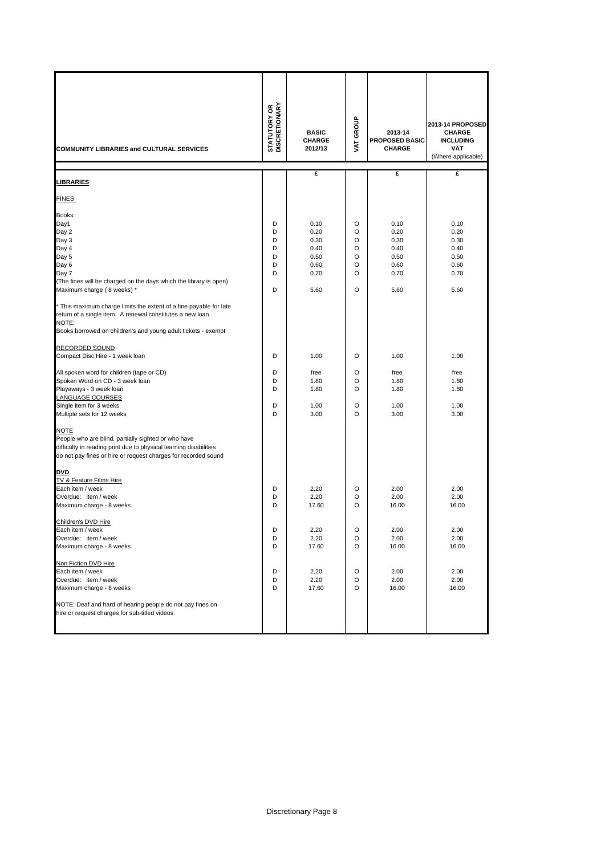| COMMUNITY LIBRARIES and CULTURAL SERVICES                                                                                                                                                                                                                                                                                                                                                                      | <b>STATUTORY OR<br/>DISCRETIONARY</b> | <b>BASIC</b><br><b>CHARGE</b><br>2012/13                     | VAT GROUP                                              | 2013-14<br>PROPOSED BASIC<br><b>CHARGE</b>                   | 2013-14 PROPOSED<br><b>CHARGE</b><br><b>INCLUDING</b><br><b>VAT</b><br>(Where applicable) |
|----------------------------------------------------------------------------------------------------------------------------------------------------------------------------------------------------------------------------------------------------------------------------------------------------------------------------------------------------------------------------------------------------------------|---------------------------------------|--------------------------------------------------------------|--------------------------------------------------------|--------------------------------------------------------------|-------------------------------------------------------------------------------------------|
| <b>LIBRARIES</b>                                                                                                                                                                                                                                                                                                                                                                                               |                                       | £                                                            |                                                        | £                                                            | £                                                                                         |
| <b>FINES</b>                                                                                                                                                                                                                                                                                                                                                                                                   |                                       |                                                              |                                                        |                                                              |                                                                                           |
| Books:<br>Day1<br>Day 2<br>Day 3<br>Day 4<br>Day 5<br>Day 6<br>Day 7<br>(The fines will be charged on the days which the library is open)<br>Maximum charge (8 weeks) *<br>* This maximum charge limits the extent of a fine payable for late<br>return of a single item. A renewal constitutes a new loan.<br>NOTE:<br>Books borrowed on children's and young adult tickets - exempt<br><b>RECORDED SOUND</b> | D<br>D<br>D<br>D<br>D<br>D<br>D<br>D  | 0.10<br>0.20<br>0.30<br>0.40<br>0.50<br>0.60<br>0.70<br>5.60 | O<br>O<br>$\circ$<br>O<br>O<br>O<br>$\circ$<br>$\circ$ | 0.10<br>0.20<br>0.30<br>0.40<br>0.50<br>0.60<br>0.70<br>5.60 | 0.10<br>0.20<br>0.30<br>0.40<br>0.50<br>0.60<br>0.70<br>5.60                              |
| Compact Disc Hire - 1 week loan                                                                                                                                                                                                                                                                                                                                                                                | D                                     | 1.00                                                         | O                                                      | 1.00                                                         | 1.00                                                                                      |
| All spoken word for children (tape or CD)<br>Spoken Word on CD - 3 week loan<br>Playaways - 3 week loan<br>LANGUAGE COURSES<br>Single item for 3 weeks<br>Multiple sets for 12 weeks                                                                                                                                                                                                                           | D<br>D<br>D<br>D<br>D                 | free<br>1.80<br>1.80<br>1.00<br>3.00                         | O<br>O<br>O<br>O<br>O                                  | free<br>1.80<br>1.80<br>1.00<br>3.00                         | free<br>1.80<br>1.80<br>1.00<br>3.00                                                      |
| <b>NOTE</b><br>People who are blind, partially sighted or who have<br>difficulty in reading print due to physical learning disabilities<br>do not pay fines or hire or request charges for recorded sound<br><b>DVD</b><br>TV & Feature Films Hire<br>Each item / week<br>Overdue: item / week<br>Maximum charge - 8 weeks                                                                                     | D<br>D<br>D                           | 2.20<br>2.20<br>17.60                                        | O<br>O<br>$\circ$                                      | 2.00<br>2.00<br>16.00                                        | 2.00<br>2.00<br>16.00                                                                     |
| Children's DVD Hire<br>Each item / week<br>Overdue: item / week<br>Maximum charge - 8 weeks                                                                                                                                                                                                                                                                                                                    | D<br>D<br>D                           | 2.20<br>2.20<br>17.60                                        | O<br>O<br>O                                            | 2.00<br>2.00<br>16.00                                        | 2.00<br>2.00<br>16.00                                                                     |
| Non Fiction DVD Hire<br>Each item / week<br>Overdue: item / week<br>Maximum charge - 8 weeks<br>NOTE: Deaf and hard of hearing people do not pay fines on<br>hire or request charges for sub-titled videos.                                                                                                                                                                                                    | D<br>D<br>D                           | 2.20<br>2.20<br>17.60                                        | O<br>O<br>O                                            | 2.00<br>2.00<br>16.00                                        | 2.00<br>2.00<br>16.00                                                                     |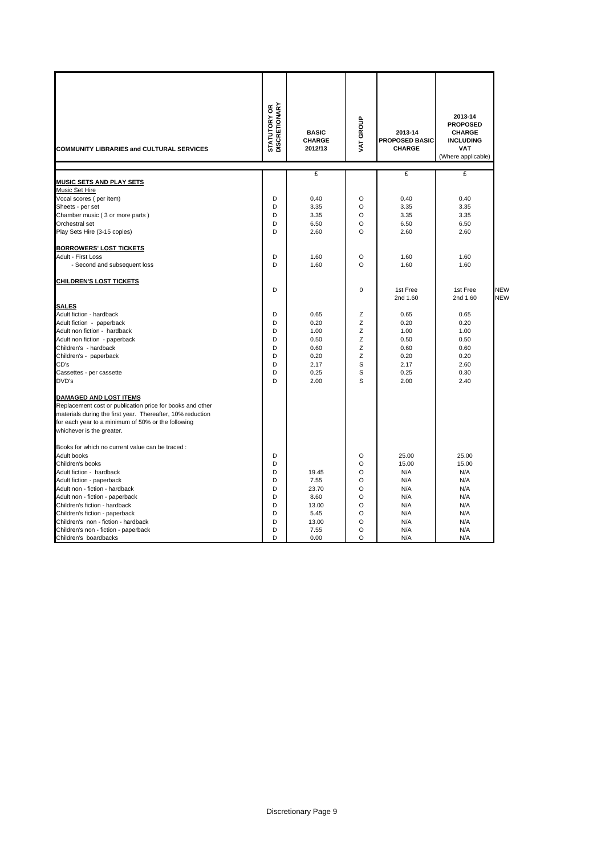|                                                                                                                                                                                                                                      | <b>STATUTORY OR<br/>DISCRETIONARY</b> | <b>BASIC</b>             | VAT GROUP   | 2013-14                                | 2013-14<br><b>PROPOSED</b><br><b>CHARGE</b>          |            |
|--------------------------------------------------------------------------------------------------------------------------------------------------------------------------------------------------------------------------------------|---------------------------------------|--------------------------|-------------|----------------------------------------|------------------------------------------------------|------------|
| <b>COMMUNITY LIBRARIES and CULTURAL SERVICES</b>                                                                                                                                                                                     |                                       | <b>CHARGE</b><br>2012/13 |             | <b>PROPOSED BASIC</b><br><b>CHARGE</b> | <b>INCLUDING</b><br><b>VAT</b><br>(Where applicable) |            |
|                                                                                                                                                                                                                                      |                                       |                          |             |                                        |                                                      |            |
|                                                                                                                                                                                                                                      |                                       | £                        |             | £                                      | £                                                    |            |
| <b>MUSIC SETS AND PLAY SETS</b><br>Music Set Hire                                                                                                                                                                                    |                                       |                          |             |                                        |                                                      |            |
|                                                                                                                                                                                                                                      | D                                     | 0.40                     | O           | 0.40                                   | 0.40                                                 |            |
| Vocal scores (per item)<br>Sheets - per set                                                                                                                                                                                          | D                                     | 3.35                     | $\Omega$    | 3.35                                   | 3.35                                                 |            |
| Chamber music (3 or more parts)                                                                                                                                                                                                      | D                                     | 3.35                     | O           | 3.35                                   | 3.35                                                 |            |
| Orchestral set                                                                                                                                                                                                                       | D                                     | 6.50                     | O           | 6.50                                   | 6.50                                                 |            |
| Play Sets Hire (3-15 copies)                                                                                                                                                                                                         | D                                     | 2.60                     | $\circ$     | 2.60                                   | 2.60                                                 |            |
|                                                                                                                                                                                                                                      |                                       |                          |             |                                        |                                                      |            |
| <b>BORROWERS' LOST TICKETS</b>                                                                                                                                                                                                       |                                       |                          |             |                                        |                                                      |            |
| Adult - First Loss                                                                                                                                                                                                                   | D                                     | 1.60                     | O           | 1.60                                   | 1.60                                                 |            |
| - Second and subsequent loss                                                                                                                                                                                                         | D                                     | 1.60                     | $\circ$     | 1.60                                   | 1.60                                                 |            |
| CHILDREN'S LOST TICKETS                                                                                                                                                                                                              |                                       |                          |             |                                        |                                                      |            |
|                                                                                                                                                                                                                                      | D                                     |                          | $\mathbf 0$ | 1st Free                               | 1st Free                                             | <b>NEW</b> |
|                                                                                                                                                                                                                                      |                                       |                          |             | 2nd 1.60                               | 2nd 1.60                                             | <b>NEW</b> |
| <b>SALES</b>                                                                                                                                                                                                                         |                                       |                          |             |                                        |                                                      |            |
| Adult fiction - hardback                                                                                                                                                                                                             | D                                     | 0.65                     | Z           | 0.65                                   | 0.65                                                 |            |
| Adult fiction - paperback                                                                                                                                                                                                            | D                                     | 0.20                     | Z           | 0.20                                   | 0.20                                                 |            |
| Adult non fiction - hardback                                                                                                                                                                                                         | D                                     | 1.00                     | Z           | 1.00                                   | 1.00                                                 |            |
| Adult non fiction - paperback                                                                                                                                                                                                        | D                                     | 0.50                     | Z           | 0.50                                   | 0.50                                                 |            |
| Children's - hardback                                                                                                                                                                                                                | D                                     | 0.60                     | Z           | 0.60                                   | 0.60                                                 |            |
| Children's - paperback                                                                                                                                                                                                               | D                                     | 0.20                     | Z           | 0.20                                   | 0.20                                                 |            |
| CD's                                                                                                                                                                                                                                 | D                                     | 2.17                     | S           | 2.17                                   | 2.60                                                 |            |
| Cassettes - per cassette                                                                                                                                                                                                             | D                                     | 0.25                     | S           | 0.25                                   | 0.30                                                 |            |
| DVD's                                                                                                                                                                                                                                | D                                     | 2.00                     | S           | 2.00                                   | 2.40                                                 |            |
| DAMAGED AND LOST ITEMS<br>Replacement cost or publication price for books and other<br>materials during the first year. Thereafter, 10% reduction<br>for each year to a minimum of 50% or the following<br>whichever is the greater. |                                       |                          |             |                                        |                                                      |            |
| Books for which no current value can be traced :                                                                                                                                                                                     |                                       |                          |             |                                        |                                                      |            |
| Adult books                                                                                                                                                                                                                          | D                                     |                          | O           | 25.00                                  | 25.00                                                |            |
| Children's books                                                                                                                                                                                                                     | D                                     |                          | $\circ$     | 15.00                                  | 15.00                                                |            |
| Adult fiction - hardback                                                                                                                                                                                                             | D                                     | 19.45                    | $\circ$     | N/A                                    | N/A                                                  |            |
| Adult fiction - paperback                                                                                                                                                                                                            | D                                     | 7.55                     | O           | N/A                                    | N/A                                                  |            |
| Adult non - fiction - hardback                                                                                                                                                                                                       | D                                     | 23.70                    | $\circ$     | N/A                                    | N/A                                                  |            |
| Adult non - fiction - paperback                                                                                                                                                                                                      | D                                     | 8.60                     | $\circ$     | N/A                                    | N/A                                                  |            |
| Children's fiction - hardback                                                                                                                                                                                                        | D                                     | 13.00                    | $\circ$     | N/A                                    | N/A                                                  |            |
| Children's fiction - paperback                                                                                                                                                                                                       | D                                     | 5.45                     | O           | N/A                                    | N/A                                                  |            |
| Children's non - fiction - hardback                                                                                                                                                                                                  | D                                     | 13.00                    | $\circ$     | N/A                                    | N/A                                                  |            |
| Children's non - fiction - paperback                                                                                                                                                                                                 | D                                     | 7.55                     | O<br>O      | N/A                                    | N/A                                                  |            |
| Children's boardbacks                                                                                                                                                                                                                | D                                     | 0.00                     |             | N/A                                    | N/A                                                  |            |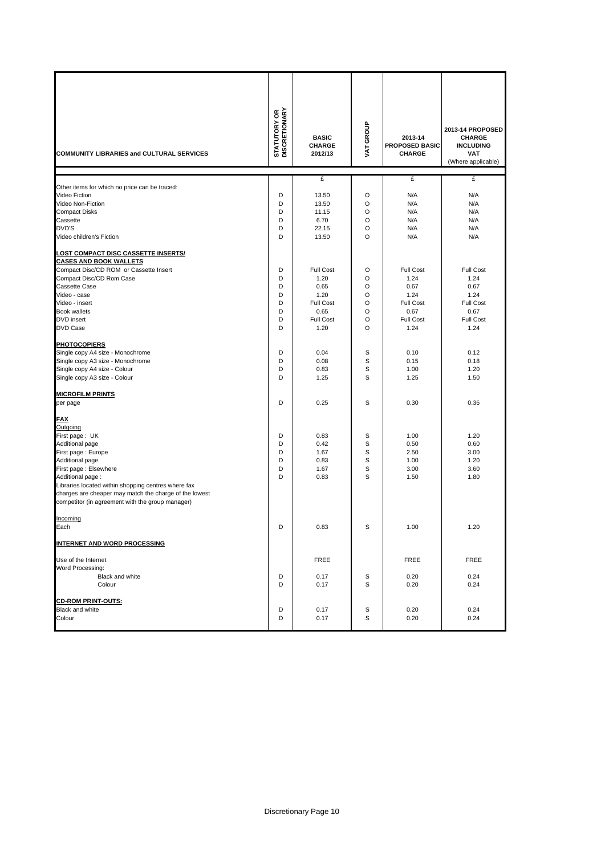| COMMUNITY LIBRARIES and CULTURAL SERVICES                                                                  | <b>STATUTORY OR<br/>DISCRETIONARY</b> | <b>BASIC</b><br><b>CHARGE</b><br>2012/13 | VAT GROUP | 2013-14<br><b>PROPOSED BASIC</b><br><b>CHARGE</b> | 2013-14 PROPOSED<br><b>CHARGE</b><br><b>INCLUDING</b><br><b>VAT</b><br>(Where applicable) |
|------------------------------------------------------------------------------------------------------------|---------------------------------------|------------------------------------------|-----------|---------------------------------------------------|-------------------------------------------------------------------------------------------|
|                                                                                                            |                                       | £                                        |           | £                                                 | £                                                                                         |
| Other items for which no price can be traced:<br>Video Fiction                                             |                                       |                                          | O         |                                                   | N/A                                                                                       |
| Video Non-Fiction                                                                                          | D<br>D                                | 13.50<br>13.50                           | O         | N/A<br>N/A                                        | N/A                                                                                       |
| <b>Compact Disks</b>                                                                                       | D                                     | 11.15                                    | O         | N/A                                               | N/A                                                                                       |
| Cassette                                                                                                   | D                                     |                                          | O         | N/A                                               | N/A                                                                                       |
| DVD'S                                                                                                      | D                                     | 6.70<br>22.15                            | O         | N/A                                               | N/A                                                                                       |
|                                                                                                            | D                                     |                                          |           |                                                   |                                                                                           |
| Video children's Fiction                                                                                   |                                       | 13.50                                    | O         | N/A                                               | N/A                                                                                       |
| <b>LOST COMPACT DISC CASSETTE INSERTS/</b>                                                                 |                                       |                                          |           |                                                   |                                                                                           |
| <b>CASES AND BOOK WALLETS</b>                                                                              |                                       |                                          |           |                                                   |                                                                                           |
| Compact Disc/CD ROM or Cassette Insert                                                                     | D                                     | <b>Full Cost</b>                         | O         | <b>Full Cost</b>                                  | Full Cost                                                                                 |
| Compact Disc/CD Rom Case                                                                                   | D                                     | 1.20                                     | O         | 1.24                                              | 1.24                                                                                      |
| <b>Cassette Case</b>                                                                                       | D                                     | 0.65                                     | O         | 0.67                                              | 0.67                                                                                      |
| Video - case                                                                                               | D                                     | 1.20                                     | O         | 1.24                                              | 1.24                                                                                      |
| Video - insert                                                                                             | D                                     | Full Cost                                | O         | Full Cost                                         | Full Cost                                                                                 |
| <b>Book wallets</b>                                                                                        | D                                     | 0.65                                     | O         | 0.67                                              | 0.67                                                                                      |
| <b>DVD</b> insert                                                                                          | D                                     | Full Cost                                | O         | Full Cost                                         | <b>Full Cost</b>                                                                          |
| <b>DVD Case</b>                                                                                            | D                                     | 1.20                                     | O         | 1.24                                              | 1.24                                                                                      |
| <b>PHOTOCOPIERS</b>                                                                                        |                                       |                                          |           |                                                   |                                                                                           |
| Single copy A4 size - Monochrome                                                                           | D                                     | 0.04                                     | S         | 0.10                                              | 0.12                                                                                      |
| Single copy A3 size - Monochrome                                                                           | D                                     | 0.08                                     | S         | 0.15                                              | 0.18                                                                                      |
| Single copy A4 size - Colour                                                                               | D                                     | 0.83                                     | S         | 1.00                                              | 1.20                                                                                      |
| Single copy A3 size - Colour                                                                               | D                                     | 1.25                                     | S         | 1.25                                              | 1.50                                                                                      |
|                                                                                                            |                                       |                                          |           |                                                   |                                                                                           |
| <b>MICROFILM PRINTS</b><br>per page                                                                        | D                                     | 0.25                                     | S         | 0.30                                              | 0.36                                                                                      |
|                                                                                                            |                                       |                                          |           |                                                   |                                                                                           |
| <b>FAX</b>                                                                                                 |                                       |                                          |           |                                                   |                                                                                           |
| Outgoing                                                                                                   |                                       |                                          |           |                                                   |                                                                                           |
| First page: UK                                                                                             | D                                     | 0.83                                     | S         | 1.00                                              | 1.20                                                                                      |
| Additional page                                                                                            | D                                     | 0.42                                     | S         | 0.50                                              | 0.60                                                                                      |
| First page: Europe                                                                                         | D                                     | 1.67                                     | S         | 2.50                                              | 3.00                                                                                      |
| Additional page                                                                                            | D                                     | 0.83                                     | S         | 1.00                                              | 1.20                                                                                      |
| First page: Elsewhere                                                                                      | D                                     | 1.67                                     | S         | 3.00                                              | 3.60                                                                                      |
| Additional page:                                                                                           | D                                     | 0.83                                     | S         | 1.50                                              | 1.80                                                                                      |
| Libraries located within shopping centres where fax                                                        |                                       |                                          |           |                                                   |                                                                                           |
| charges are cheaper may match the charge of the lowest<br>competitor (in agreement with the group manager) |                                       |                                          |           |                                                   |                                                                                           |
|                                                                                                            |                                       |                                          |           |                                                   |                                                                                           |
| Incoming                                                                                                   |                                       |                                          |           |                                                   |                                                                                           |
| Each                                                                                                       | D                                     | 0.83                                     | S         | 1.00                                              | 1.20                                                                                      |
| <b>INTERNET AND WORD PROCESSING</b>                                                                        |                                       |                                          |           |                                                   |                                                                                           |
| Use of the Internet                                                                                        |                                       | <b>FREE</b>                              |           | FREE                                              | FREE                                                                                      |
| Word Processing:                                                                                           |                                       |                                          |           |                                                   |                                                                                           |
| Black and white                                                                                            | D                                     | 0.17                                     | S         | 0.20                                              | 0.24                                                                                      |
| Colour                                                                                                     | D                                     | 0.17                                     | S         | 0.20                                              | 0.24                                                                                      |
|                                                                                                            |                                       |                                          |           |                                                   |                                                                                           |
| <b>CD-ROM PRINT-OUTS:</b>                                                                                  |                                       |                                          |           |                                                   |                                                                                           |
| Black and white                                                                                            | D                                     | 0.17                                     | S         | 0.20                                              | 0.24                                                                                      |
| Colour                                                                                                     | D                                     | 0.17                                     | S         | 0.20                                              | 0.24                                                                                      |
|                                                                                                            |                                       |                                          |           |                                                   |                                                                                           |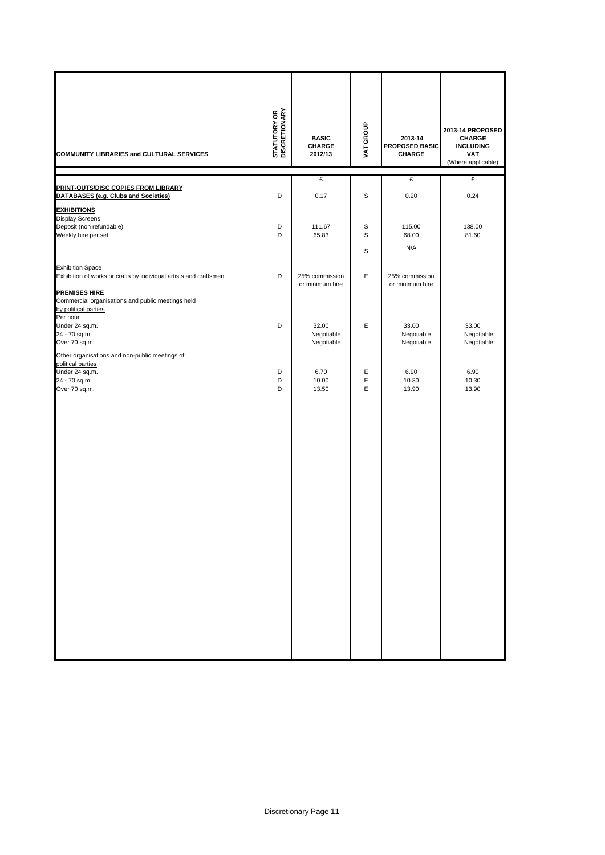| COMMUNITY LIBRARIES and CULTURAL SERVICES                                                                     | <b>STATUTORY OR<br/>DISCRETIONARY</b> | <b>BASIC</b><br>CHARGE<br>2012/13 | VAT GROUP   | 2013-14<br>PROPOSED BASIC<br><b>CHARGE</b> | 2013-14 PROPOSED<br><b>CHARGE</b><br><b>INCLUDING</b><br><b>VAT</b><br>(Where applicable) |
|---------------------------------------------------------------------------------------------------------------|---------------------------------------|-----------------------------------|-------------|--------------------------------------------|-------------------------------------------------------------------------------------------|
|                                                                                                               |                                       | £                                 |             | £                                          | £                                                                                         |
| <b>PRINT-OUTS/DISC COPIES FROM LIBRARY</b><br>DATABASES (e.g. Clubs and Societies)                            | D                                     | 0.17                              | S           | 0.20                                       | 0.24                                                                                      |
| <b>EXHIBITIONS</b>                                                                                            |                                       |                                   |             |                                            |                                                                                           |
| <b>Display Screens</b>                                                                                        |                                       |                                   |             |                                            |                                                                                           |
| Deposit (non refundable)                                                                                      | D                                     | 111.67                            | $\mathbf S$ | 115.00                                     | 138.00                                                                                    |
| Weekly hire per set                                                                                           | D                                     | 65.83                             | S           | 68.00                                      | 81.60                                                                                     |
|                                                                                                               |                                       |                                   | S           | N/A                                        |                                                                                           |
| <b>Exhibition Space</b>                                                                                       |                                       |                                   |             |                                            |                                                                                           |
| Exhibition of works or crafts by individual artists and craftsmen                                             | D                                     | 25% commission                    | Ε           | 25% commission                             |                                                                                           |
| <b>PREMISES HIRE</b><br>Commercial organisations and public meetings held<br>by political parties<br>Per hour |                                       | or minimum hire                   |             | or minimum hire                            |                                                                                           |
| Under 24 sq.m.                                                                                                | D                                     | 32.00                             | Ε           | 33.00                                      | 33.00                                                                                     |
| 24 - 70 sq.m.                                                                                                 |                                       | Negotiable<br>Negotiable          |             | Negotiable<br>Negotiable                   | Negotiable                                                                                |
| Over 70 sq.m.                                                                                                 |                                       |                                   |             |                                            | Negotiable                                                                                |
| Other organisations and non-public meetings of<br>political parties                                           |                                       |                                   |             |                                            |                                                                                           |
| Under 24 sq.m.                                                                                                | D                                     | 6.70                              | Ε           | 6.90                                       | 6.90                                                                                      |
| 24 - 70 sq.m.<br>Over 70 sq.m.                                                                                | D<br>D                                | 10.00<br>13.50                    | E<br>Ε      | 10.30<br>13.90                             | 10.30<br>13.90                                                                            |
|                                                                                                               |                                       |                                   |             |                                            |                                                                                           |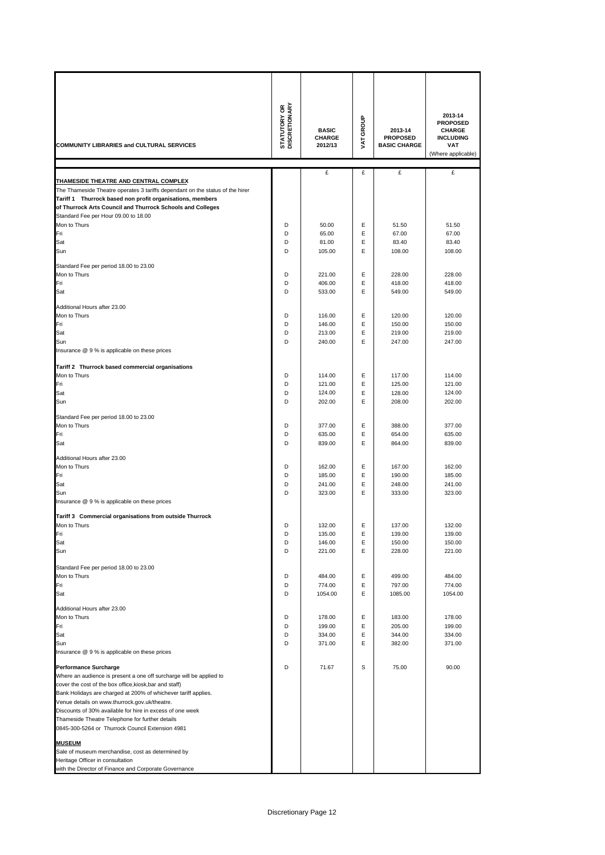| <b>COMMUNITY LIBRARIES and CULTURAL SERVICES</b>                                                                                                                                                                                                                                                          | <b>STATUTORY OR</b><br>DISCRETIONARY | <b>BASIC</b><br><b>CHARGE</b><br>2012/13 | VAT GROUP | 2013-14<br><b>PROPOSED</b><br><b>BASIC CHARGE</b> | 2013-14<br><b>PROPOSED</b><br><b>CHARGE</b><br><b>INCLUDING</b><br><b>VAT</b><br>(Where applicable) |
|-----------------------------------------------------------------------------------------------------------------------------------------------------------------------------------------------------------------------------------------------------------------------------------------------------------|--------------------------------------|------------------------------------------|-----------|---------------------------------------------------|-----------------------------------------------------------------------------------------------------|
|                                                                                                                                                                                                                                                                                                           |                                      | £                                        | £         | £                                                 | £                                                                                                   |
| THAMESIDE THEATRE AND CENTRAL COMPLEX<br>The Thameside Theatre operates 3 tariffs dependant on the status of the hirer<br>Tariff 1 Thurrock based non profit organisations, members<br>of Thurrock Arts Council and Thurrock Schools and Colleges<br>Standard Fee per Hour 09.00 to 18.00<br>Mon to Thurs | D                                    | 50.00                                    | Ε         | 51.50                                             | 51.50                                                                                               |
| Fri                                                                                                                                                                                                                                                                                                       | D                                    | 65.00                                    | E         | 67.00                                             | 67.00                                                                                               |
| Sat                                                                                                                                                                                                                                                                                                       | D                                    | 81.00                                    | Ε         | 83.40                                             | 83.40                                                                                               |
| Sun                                                                                                                                                                                                                                                                                                       | D                                    | 105.00                                   | E         | 108.00                                            | 108.00                                                                                              |
|                                                                                                                                                                                                                                                                                                           |                                      |                                          |           |                                                   |                                                                                                     |
| Standard Fee per period 18.00 to 23.00<br>Mon to Thurs                                                                                                                                                                                                                                                    | D                                    | 221.00                                   | E         | 228.00                                            | 228.00                                                                                              |
| Fri                                                                                                                                                                                                                                                                                                       | D                                    | 406.00                                   | E         | 418.00                                            | 418.00                                                                                              |
| Sat                                                                                                                                                                                                                                                                                                       | D                                    | 533.00                                   | E         | 549.00                                            | 549.00                                                                                              |
|                                                                                                                                                                                                                                                                                                           |                                      |                                          |           |                                                   |                                                                                                     |
| Additional Hours after 23.00<br>Mon to Thurs                                                                                                                                                                                                                                                              | D                                    | 116.00                                   | Ε         | 120.00                                            | 120.00                                                                                              |
| Fri                                                                                                                                                                                                                                                                                                       | D                                    | 146.00                                   | E         | 150.00                                            | 150.00                                                                                              |
| Sat                                                                                                                                                                                                                                                                                                       | D                                    | 213.00                                   | E         | 219.00                                            | 219.00                                                                                              |
| Sun                                                                                                                                                                                                                                                                                                       | D                                    | 240.00                                   | E         | 247.00                                            | 247.00                                                                                              |
| Insurance @ 9 % is applicable on these prices                                                                                                                                                                                                                                                             |                                      |                                          |           |                                                   |                                                                                                     |
|                                                                                                                                                                                                                                                                                                           |                                      |                                          |           |                                                   |                                                                                                     |
| Tariff 2 Thurrock based commercial organisations<br>Mon to Thurs                                                                                                                                                                                                                                          | D                                    | 114.00                                   | Ε         | 117.00                                            | 114.00                                                                                              |
| Fri                                                                                                                                                                                                                                                                                                       | D                                    | 121.00                                   | E         | 125.00                                            | 121.00                                                                                              |
| Sat                                                                                                                                                                                                                                                                                                       | D                                    | 124.00                                   | Ε         | 128.00                                            | 124.00                                                                                              |
| Sun                                                                                                                                                                                                                                                                                                       | D                                    | 202.00                                   | E         | 208.00                                            | 202.00                                                                                              |
|                                                                                                                                                                                                                                                                                                           |                                      |                                          |           |                                                   |                                                                                                     |
| Standard Fee per period 18.00 to 23.00<br>Mon to Thurs                                                                                                                                                                                                                                                    | D                                    | 377.00                                   | Ε         | 388.00                                            | 377.00                                                                                              |
| Fri                                                                                                                                                                                                                                                                                                       | D                                    | 635.00                                   | E         | 654.00                                            | 635.00                                                                                              |
| Sat                                                                                                                                                                                                                                                                                                       | D                                    | 839.00                                   | E         | 864.00                                            | 839.00                                                                                              |
|                                                                                                                                                                                                                                                                                                           |                                      |                                          |           |                                                   |                                                                                                     |
| Additional Hours after 23.00<br>Mon to Thurs                                                                                                                                                                                                                                                              | D                                    | 162.00                                   | Ε         | 167.00                                            | 162.00                                                                                              |
| Fri                                                                                                                                                                                                                                                                                                       | D                                    | 185.00                                   | E         | 190.00                                            | 185.00                                                                                              |
| Sat                                                                                                                                                                                                                                                                                                       | D                                    | 241.00                                   | E         | 248.00                                            | 241.00                                                                                              |
| Sun                                                                                                                                                                                                                                                                                                       | D                                    | 323.00                                   | E         | 333.00                                            | 323.00                                                                                              |
| Insurance @ 9 % is applicable on these prices                                                                                                                                                                                                                                                             |                                      |                                          |           |                                                   |                                                                                                     |
| Tariff 3 Commercial organisations from outside Thurrock                                                                                                                                                                                                                                                   |                                      |                                          |           |                                                   |                                                                                                     |
| Mon to Thurs                                                                                                                                                                                                                                                                                              | υ                                    | 132.00                                   | ᄇ         | 137.00                                            | 132.00                                                                                              |
| Fri                                                                                                                                                                                                                                                                                                       | D                                    | 135.00                                   | Ε         | 139.00                                            | 139.00                                                                                              |
| Sat                                                                                                                                                                                                                                                                                                       | D                                    | 146.00                                   | Ε         | 150.00                                            | 150.00                                                                                              |
| Sun                                                                                                                                                                                                                                                                                                       | D                                    | 221.00                                   | Ε         | 228.00                                            | 221.00                                                                                              |
| Standard Fee per period 18.00 to 23.00                                                                                                                                                                                                                                                                    |                                      |                                          |           |                                                   |                                                                                                     |
| Mon to Thurs                                                                                                                                                                                                                                                                                              | D                                    | 484.00                                   | Ε         | 499.00                                            | 484.00                                                                                              |
| Fri                                                                                                                                                                                                                                                                                                       | D                                    | 774.00                                   | Ε         | 797.00                                            | 774.00                                                                                              |
| Sat                                                                                                                                                                                                                                                                                                       | D                                    | 1054.00                                  | Ε         | 1085.00                                           | 1054.00                                                                                             |
| Additional Hours after 23.00                                                                                                                                                                                                                                                                              |                                      |                                          |           |                                                   |                                                                                                     |
| Mon to Thurs                                                                                                                                                                                                                                                                                              | D                                    | 178.00                                   | Ε         | 183.00                                            | 178.00                                                                                              |
| Fri                                                                                                                                                                                                                                                                                                       | D                                    | 199.00                                   | Ε         | 205.00                                            | 199.00                                                                                              |
| Sat<br>Sun                                                                                                                                                                                                                                                                                                | D<br>D                               | 334.00<br>371.00                         | Ε<br>Ε    | 344.00<br>382.00                                  | 334.00<br>371.00                                                                                    |
| Insurance @ 9 % is applicable on these prices                                                                                                                                                                                                                                                             |                                      |                                          |           |                                                   |                                                                                                     |
|                                                                                                                                                                                                                                                                                                           |                                      |                                          |           |                                                   |                                                                                                     |
| <b>Performance Surcharge</b><br>Where an audience is present a one off surcharge will be applied to                                                                                                                                                                                                       | D                                    | 71.67                                    | S         | 75.00                                             | 90.00                                                                                               |
| cover the cost of the box office, kiosk, bar and staff)                                                                                                                                                                                                                                                   |                                      |                                          |           |                                                   |                                                                                                     |
| Bank Holidays are charged at 200% of whichever tariff applies.                                                                                                                                                                                                                                            |                                      |                                          |           |                                                   |                                                                                                     |
| Venue details on www.thurrock.gov.uk/theatre.                                                                                                                                                                                                                                                             |                                      |                                          |           |                                                   |                                                                                                     |
| Discounts of 30% available for hire in excess of one week                                                                                                                                                                                                                                                 |                                      |                                          |           |                                                   |                                                                                                     |
| Thameside Theatre Telephone for further details                                                                                                                                                                                                                                                           |                                      |                                          |           |                                                   |                                                                                                     |
| 0845-300-5264 or Thurrock Council Extension 4981                                                                                                                                                                                                                                                          |                                      |                                          |           |                                                   |                                                                                                     |
| <b>MUSEUM</b>                                                                                                                                                                                                                                                                                             |                                      |                                          |           |                                                   |                                                                                                     |
| Sale of museum merchandise, cost as determined by                                                                                                                                                                                                                                                         |                                      |                                          |           |                                                   |                                                                                                     |
| Heritage Officer in consultation<br>with the Director of Finance and Corporate Governance                                                                                                                                                                                                                 |                                      |                                          |           |                                                   |                                                                                                     |
|                                                                                                                                                                                                                                                                                                           |                                      |                                          |           |                                                   |                                                                                                     |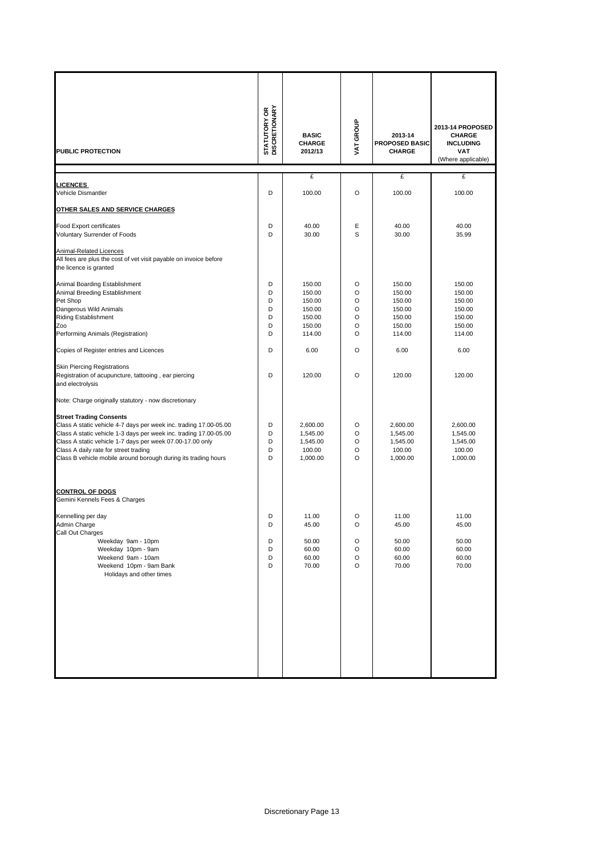| <b>PUBLIC PROTECTION</b>                                                                                                                                                                                                                                                                                                                         | <b>STATUTORY OR<br/>DISCRETIONARY</b> | <b>BASIC</b><br><b>CHARGE</b><br>2012/13                           | VAT GROUP                       | 2013-14<br><b>PROPOSED BASIC</b><br><b>CHARGE</b>                  | 2013-14 PROPOSED<br><b>CHARGE</b><br><b>INCLUDING</b><br><b>VAT</b><br>(Where applicable) |
|--------------------------------------------------------------------------------------------------------------------------------------------------------------------------------------------------------------------------------------------------------------------------------------------------------------------------------------------------|---------------------------------------|--------------------------------------------------------------------|---------------------------------|--------------------------------------------------------------------|-------------------------------------------------------------------------------------------|
|                                                                                                                                                                                                                                                                                                                                                  |                                       | £                                                                  |                                 | £                                                                  | £                                                                                         |
| <b>LICENCES</b><br>Vehicle Dismantler                                                                                                                                                                                                                                                                                                            | D                                     | 100.00                                                             | O                               | 100.00                                                             | 100.00                                                                                    |
| OTHER SALES AND SERVICE CHARGES                                                                                                                                                                                                                                                                                                                  |                                       |                                                                    |                                 |                                                                    |                                                                                           |
| Food Export certificates                                                                                                                                                                                                                                                                                                                         | D                                     | 40.00                                                              | Ε                               | 40.00                                                              | 40.00                                                                                     |
| Voluntary Surrender of Foods                                                                                                                                                                                                                                                                                                                     | D                                     | 30.00                                                              | S                               | 30.00                                                              | 35.99                                                                                     |
| Animal-Related Licences<br>All fees are plus the cost of vet visit payable on invoice before<br>the licence is granted                                                                                                                                                                                                                           |                                       |                                                                    |                                 |                                                                    |                                                                                           |
| Animal Boarding Establishment<br>Animal Breeding Establishment<br>Pet Shop<br>Dangerous Wild Animals<br><b>Riding Establishment</b><br>Zoo<br>Performing Animals (Registration)                                                                                                                                                                  | D<br>D<br>D<br>D<br>D<br>D<br>D       | 150.00<br>150.00<br>150.00<br>150.00<br>150.00<br>150.00<br>114.00 | O<br>O<br>O<br>O<br>O<br>O<br>O | 150.00<br>150.00<br>150.00<br>150.00<br>150.00<br>150.00<br>114.00 | 150.00<br>150.00<br>150.00<br>150.00<br>150.00<br>150.00<br>114.00                        |
| Copies of Register entries and Licences                                                                                                                                                                                                                                                                                                          | D                                     | 6.00                                                               | $\circ$                         | 6.00                                                               | 6.00                                                                                      |
| <b>Skin Piercing Registrations</b><br>Registration of acupuncture, tattooing, ear piercing<br>and electrolysis                                                                                                                                                                                                                                   | D                                     | 120.00                                                             | O                               | 120.00                                                             | 120.00                                                                                    |
| Note: Charge originally statutory - now discretionary                                                                                                                                                                                                                                                                                            |                                       |                                                                    |                                 |                                                                    |                                                                                           |
| <b>Street Trading Consents</b><br>Class A static vehicle 4-7 days per week inc. trading 17.00-05.00<br>Class A static vehicle 1-3 days per week inc. trading 17.00-05.00<br>Class A static vehicle 1-7 days per week 07.00-17.00 only<br>Class A daily rate for street trading<br>Class B vehicle mobile around borough during its trading hours | D<br>D<br>D<br>D<br>D                 | 2,600.00<br>1,545.00<br>1,545.00<br>100.00<br>1,000.00             | O<br>O<br>O<br>O<br>$\circ$     | 2,600.00<br>1,545.00<br>1,545.00<br>100.00<br>1,000.00             | 2,600.00<br>1,545.00<br>1,545.00<br>100.00<br>1,000.00                                    |
| <b>CONTROL OF DOGS</b><br>Gemini Kennels Fees & Charges                                                                                                                                                                                                                                                                                          |                                       |                                                                    |                                 |                                                                    |                                                                                           |
| Kennelling per day<br>Admin Charge<br>Call Out Charges<br>Weekday 9am - 10pm<br>Weekday 10pm - 9am<br>Weekend 9am - 10am<br>Weekend 10pm - 9am Bank<br>Holidays and other times                                                                                                                                                                  | D<br>D<br>D<br>D<br>D<br>D            | 11.00<br>45.00<br>50.00<br>60.00<br>60.00<br>70.00                 | O<br>O<br>O<br>O<br>O<br>O      | 11.00<br>45.00<br>50.00<br>60.00<br>60.00<br>70.00                 | 11.00<br>45.00<br>50.00<br>60.00<br>60.00<br>70.00                                        |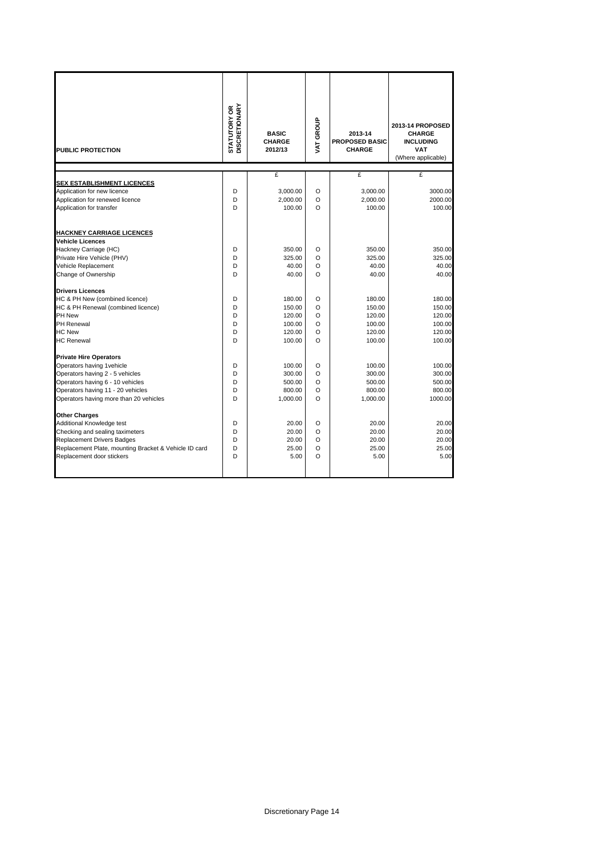| <b>PUBLIC PROTECTION</b>                                    | <b>STATUTORY OR<br/>DISCRETIONARY</b> | <b>BASIC</b><br><b>CHARGE</b><br>2012/13 | VAT GROUP | 2013-14<br><b>PROPOSED BASIC</b><br><b>CHARGE</b> | 2013-14 PROPOSED<br><b>CHARGE</b><br><b>INCLUDING</b><br><b>VAT</b><br>(Where applicable) |
|-------------------------------------------------------------|---------------------------------------|------------------------------------------|-----------|---------------------------------------------------|-------------------------------------------------------------------------------------------|
|                                                             |                                       | £                                        |           | £                                                 | £                                                                                         |
| <b>SEX ESTABLISHMENT LICENCES</b>                           |                                       |                                          |           |                                                   |                                                                                           |
| Application for new licence                                 | D                                     | 3,000.00                                 | O         | 3,000.00                                          | 3000.00                                                                                   |
| Application for renewed licence<br>Application for transfer | D<br>D                                | 2,000.00<br>100.00                       | O<br>O    | 2,000.00<br>100.00                                | 2000.00<br>100.00                                                                         |
|                                                             |                                       |                                          |           |                                                   |                                                                                           |
| <b>HACKNEY CARRIAGE LICENCES</b>                            |                                       |                                          |           |                                                   |                                                                                           |
| <b>Vehicle Licences</b>                                     |                                       |                                          |           |                                                   |                                                                                           |
| Hackney Carriage (HC)                                       | D                                     | 350.00                                   | O         | 350.00                                            | 350.00                                                                                    |
| Private Hire Vehicle (PHV)                                  | D                                     | 325.00                                   | O         | 325.00                                            | 325.00                                                                                    |
| Vehicle Replacement                                         | D                                     | 40.00                                    | O         | 40.00                                             | 40.00                                                                                     |
| Change of Ownership                                         | D                                     | 40.00                                    | O         | 40.00                                             | 40.00                                                                                     |
| <b>Drivers Licences</b>                                     |                                       |                                          |           |                                                   |                                                                                           |
| HC & PH New (combined licence)                              | D                                     | 180.00                                   | O         | 180.00                                            | 180.00                                                                                    |
| HC & PH Renewal (combined licence)                          | D                                     | 150.00                                   | O         | 150.00                                            | 150.00                                                                                    |
| PH New                                                      | D                                     | 120.00                                   | O         | 120.00                                            | 120.00                                                                                    |
| PH Renewal                                                  | D                                     | 100.00                                   | O         | 100.00                                            | 100.00                                                                                    |
| <b>HC New</b>                                               | D                                     | 120.00                                   | O         | 120.00                                            | 120.00                                                                                    |
| <b>HC Renewal</b>                                           | D                                     | 100.00                                   | $\Omega$  | 100.00                                            | 100.00                                                                                    |
| <b>Private Hire Operators</b>                               |                                       |                                          |           |                                                   |                                                                                           |
| Operators having 1 vehicle                                  | D                                     | 100.00                                   | O         | 100.00                                            | 100.00                                                                                    |
| Operators having 2 - 5 vehicles                             | D                                     | 300.00                                   | O         | 300.00                                            | 300.00                                                                                    |
| Operators having 6 - 10 vehicles                            | D                                     | 500.00                                   | O         | 500.00                                            | 500.00                                                                                    |
| Operators having 11 - 20 vehicles                           | D                                     | 800.00                                   | O         | 800.00                                            | 800.00                                                                                    |
| Operators having more than 20 vehicles                      | D                                     | 1,000.00                                 | $\Omega$  | 1,000.00                                          | 1000.00                                                                                   |
| <b>Other Charges</b>                                        |                                       |                                          |           |                                                   |                                                                                           |
| Additional Knowledge test                                   | D                                     | 20.00                                    | O         | 20.00                                             | 20.00                                                                                     |
| Checking and sealing taximeters                             | D                                     | 20.00                                    | O         | 20.00                                             | 20.00                                                                                     |
| <b>Replacement Drivers Badges</b>                           | D                                     | 20.00                                    | O         | 20.00                                             | 20.00                                                                                     |
| Replacement Plate, mounting Bracket & Vehicle ID card       | D                                     | 25.00                                    | O         | 25.00                                             | 25.00                                                                                     |
| Replacement door stickers                                   | D                                     | 5.00                                     | O         | 5.00                                              | 5.00                                                                                      |
|                                                             |                                       |                                          |           |                                                   |                                                                                           |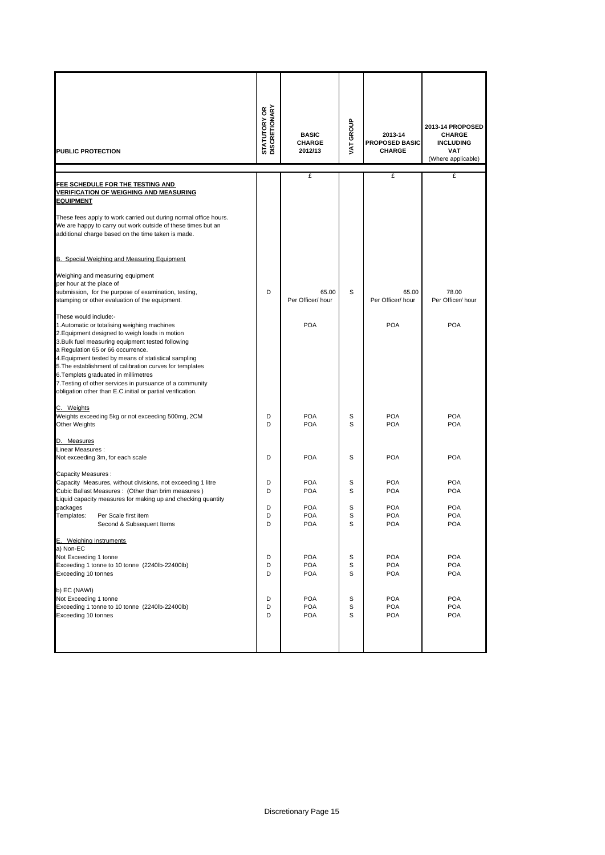| PUBLIC PROTECTION                                                                                                                                                                                                                                                                                                                                                                                                                                                                                       | <b>STATUTORY OR<br/>DISCRETIONARY</b> | <b>BASIC</b><br><b>CHARGE</b><br>2012/13 | VAT GROUP   | 2013-14<br><b>PROPOSED BASIC</b><br><b>CHARGE</b> | 2013-14 PROPOSED<br><b>CHARGE</b><br><b>INCLUDING</b><br><b>VAT</b><br>(Where applicable) |
|---------------------------------------------------------------------------------------------------------------------------------------------------------------------------------------------------------------------------------------------------------------------------------------------------------------------------------------------------------------------------------------------------------------------------------------------------------------------------------------------------------|---------------------------------------|------------------------------------------|-------------|---------------------------------------------------|-------------------------------------------------------------------------------------------|
|                                                                                                                                                                                                                                                                                                                                                                                                                                                                                                         |                                       | £                                        |             | £                                                 | £                                                                                         |
| FEE SCHEDULE FOR THE TESTING AND<br><b>VERIFICATION OF WEIGHING AND MEASURING</b><br><b>EQUIPMENT</b><br>These fees apply to work carried out during normal office hours.<br>We are happy to carry out work outside of these times but an                                                                                                                                                                                                                                                               |                                       |                                          |             |                                                   |                                                                                           |
| additional charge based on the time taken is made.                                                                                                                                                                                                                                                                                                                                                                                                                                                      |                                       |                                          |             |                                                   |                                                                                           |
| B. Special Weighing and Measuring Equipment<br>Weighing and measuring equipment<br>per hour at the place of<br>submission, for the purpose of examination, testing,<br>stamping or other evaluation of the equipment.                                                                                                                                                                                                                                                                                   | D                                     | 65.00<br>Per Officer/hour                | S           | 65.00<br>Per Officer/hour                         | 78.00<br>Per Officer/ hour                                                                |
| These would include:-<br>1. Automatic or totalising weighing machines<br>2. Equipment designed to weigh loads in motion<br>3. Bulk fuel measuring equipment tested following<br>a Regulation 65 or 66 occurrence.<br>4. Equipment tested by means of statistical sampling<br>5. The establishment of calibration curves for templates<br>6. Templets graduated in millimetres<br>7. Testing of other services in pursuance of a community<br>obligation other than E.C.initial or partial verification. |                                       | <b>POA</b>                               |             | <b>POA</b>                                        | <b>POA</b>                                                                                |
| C. Weights<br>Weights exceeding 5kg or not exceeding 500mg, 2CM<br>Other Weights                                                                                                                                                                                                                                                                                                                                                                                                                        | D<br>D                                | <b>POA</b><br><b>POA</b>                 | S<br>S      | <b>POA</b><br><b>POA</b>                          | <b>POA</b><br><b>POA</b>                                                                  |
| D. Measures<br>Linear Measures:<br>Not exceeding 3m, for each scale                                                                                                                                                                                                                                                                                                                                                                                                                                     | D                                     | <b>POA</b>                               | S           | <b>POA</b>                                        | <b>POA</b>                                                                                |
| Capacity Measures :<br>Capacity Measures, without divisions, not exceeding 1 litre<br>Cubic Ballast Measures: (Other than brim measures)<br>Liquid capacity measures for making up and checking quantity                                                                                                                                                                                                                                                                                                | D<br>D                                | <b>POA</b><br><b>POA</b><br>POA          | S<br>S      | <b>POA</b><br><b>POA</b>                          | <b>POA</b><br><b>POA</b>                                                                  |
| packages<br>Templates:<br>Per Scale first item<br>Second & Subsequent Items                                                                                                                                                                                                                                                                                                                                                                                                                             | D<br>D<br>D                           | <b>POA</b><br>POA                        | S<br>S<br>S | <b>POA</b><br><b>POA</b><br><b>POA</b>            | <b>POA</b><br><b>POA</b><br>POA                                                           |
| E. Weighing Instruments<br>a) Non-EC<br>Not Exceeding 1 tonne<br>Exceeding 1 tonne to 10 tonne (2240lb-22400lb)<br>Exceeding 10 tonnes                                                                                                                                                                                                                                                                                                                                                                  | D<br>D<br>D                           | <b>POA</b><br>POA<br><b>POA</b>          | S<br>s<br>S | <b>POA</b><br><b>POA</b><br><b>POA</b>            | <b>POA</b><br><b>POA</b><br><b>POA</b>                                                    |
| b) EC (NAWI)<br>Not Exceeding 1 tonne<br>Exceeding 1 tonne to 10 tonne (2240lb-22400lb)<br>Exceeding 10 tonnes                                                                                                                                                                                                                                                                                                                                                                                          | D<br>D<br>D                           | <b>POA</b><br><b>POA</b><br><b>POA</b>   | S<br>s<br>S | <b>POA</b><br><b>POA</b><br><b>POA</b>            | <b>POA</b><br><b>POA</b><br><b>POA</b>                                                    |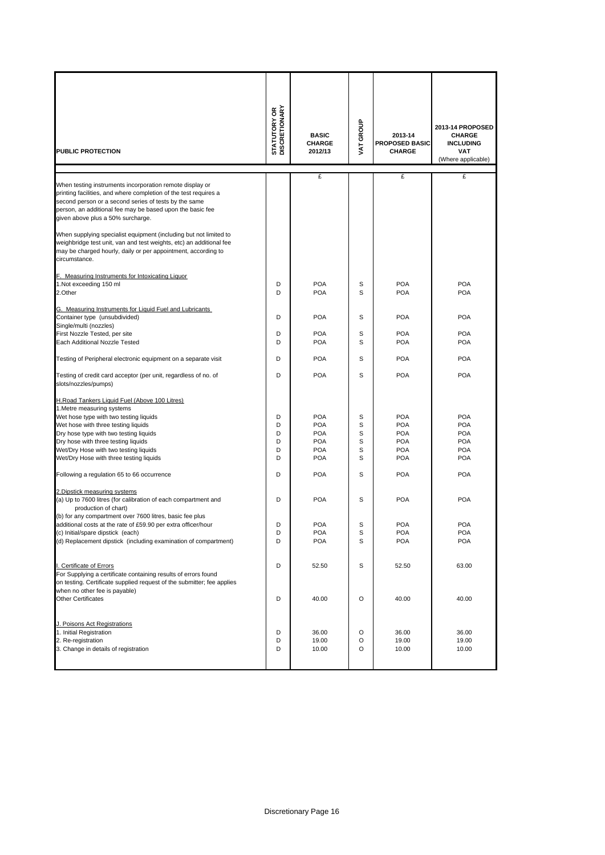| PUBLIC PROTECTION                                                                                                                                                                                                                                                                                                                 | <b>STATUTORY OR<br/>DISCRETIONARY</b> | <b>BASIC</b><br><b>CHARGE</b><br>2012/13                                         | VAT GROUP                  | 2013-14<br>PROPOSED BASIC<br><b>CHARGE</b>                                       | 2013-14 PROPOSED<br><b>CHARGE</b><br><b>INCLUDING</b><br><b>VAT</b><br>(Where applicable) |
|-----------------------------------------------------------------------------------------------------------------------------------------------------------------------------------------------------------------------------------------------------------------------------------------------------------------------------------|---------------------------------------|----------------------------------------------------------------------------------|----------------------------|----------------------------------------------------------------------------------|-------------------------------------------------------------------------------------------|
| When testing instruments incorporation remote display or<br>printing facilities, and where completion of the test requires a<br>second person or a second series of tests by the same<br>person, an additional fee may be based upon the basic fee<br>given above plus a 50% surcharge.                                           |                                       | £                                                                                |                            | £                                                                                | £                                                                                         |
| When supplying specialist equipment (including but not limited to<br>weighbridge test unit, van and test weights, etc) an additional fee<br>may be charged hourly, daily or per appointment, according to<br>circumstance.                                                                                                        |                                       |                                                                                  |                            |                                                                                  |                                                                                           |
| F. Measuring Instruments for Intoxicating Liquor<br>1.Not exceeding 150 ml<br>2.Other                                                                                                                                                                                                                                             | D<br>D                                | <b>POA</b><br><b>POA</b>                                                         | S<br>S                     | <b>POA</b><br><b>POA</b>                                                         | <b>POA</b><br><b>POA</b>                                                                  |
| G. Measuring Instruments for Liquid Fuel and Lubricants<br>Container type (unsubdivided)<br>Single/multi (nozzles)                                                                                                                                                                                                                | D                                     | <b>POA</b>                                                                       | S                          | <b>POA</b>                                                                       | <b>POA</b>                                                                                |
| First Nozzle Tested, per site<br>Each Additional Nozzle Tested                                                                                                                                                                                                                                                                    | D<br>D                                | <b>POA</b><br><b>POA</b>                                                         | S<br>S                     | <b>POA</b><br><b>POA</b>                                                         | <b>POA</b><br><b>POA</b>                                                                  |
| Testing of Peripheral electronic equipment on a separate visit                                                                                                                                                                                                                                                                    | D                                     | <b>POA</b>                                                                       | S                          | <b>POA</b>                                                                       | <b>POA</b>                                                                                |
| Testing of credit card acceptor (per unit, regardless of no. of<br>slots/nozzles/pumps)                                                                                                                                                                                                                                           | D                                     | <b>POA</b>                                                                       | S                          | <b>POA</b>                                                                       | <b>POA</b>                                                                                |
| H.Road Tankers Liquid Fuel (Above 100 Litres)<br>1. Metre measuring systems<br>Wet hose type with two testing liquids<br>Wet hose with three testing liquids<br>Dry hose type with two testing liquids<br>Dry hose with three testing liquids<br>Wet/Dry Hose with two testing liquids<br>Wet/Dry Hose with three testing liquids | D<br>D<br>D<br>D<br>D<br>D            | <b>POA</b><br><b>POA</b><br><b>POA</b><br><b>POA</b><br><b>POA</b><br><b>POA</b> | S<br>S<br>S<br>S<br>S<br>S | <b>POA</b><br><b>POA</b><br><b>POA</b><br><b>POA</b><br><b>POA</b><br><b>POA</b> | <b>POA</b><br><b>POA</b><br><b>POA</b><br><b>POA</b><br><b>POA</b><br><b>POA</b>          |
| Following a regulation 65 to 66 occurrence                                                                                                                                                                                                                                                                                        | D                                     | <b>POA</b>                                                                       | S                          | <b>POA</b>                                                                       | <b>POA</b>                                                                                |
| 2. Dipstick measuring systems<br>(a) Up to 7600 litres (for calibration of each compartment and<br>production of chart)<br>(b) for any compartment over 7600 litres, basic fee plus<br>additional costs at the rate of £59.90 per extra officer/hour<br>(c) Initial/spare dipstick (each)                                         | D<br>D<br>D                           | <b>POA</b><br><b>POA</b><br><b>POA</b>                                           | S<br>S<br>S                | <b>POA</b><br><b>POA</b><br><b>POA</b>                                           | <b>POA</b><br><b>POA</b><br><b>POA</b>                                                    |
| (d) Replacement dipstick (including examination of compartment)                                                                                                                                                                                                                                                                   | D                                     | <b>POA</b>                                                                       | S                          | <b>POA</b>                                                                       | <b>POA</b>                                                                                |
| I. Certificate of Errors<br>For Supplying a certificate containing results of errors found<br>on testing. Certificate supplied request of the submitter; fee applies<br>when no other fee is payable)                                                                                                                             | D                                     | 52.50                                                                            | S                          | 52.50                                                                            | 63.00                                                                                     |
| <b>Other Certificates</b>                                                                                                                                                                                                                                                                                                         | D                                     | 40.00                                                                            | O                          | 40.00                                                                            | 40.00                                                                                     |
| J. Poisons Act Registrations<br>1. Initial Registration<br>2. Re-registration<br>3. Change in details of registration                                                                                                                                                                                                             | D<br>D<br>D                           | 36.00<br>19.00<br>10.00                                                          | O<br>O<br>O                | 36.00<br>19.00<br>10.00                                                          | 36.00<br>19.00<br>10.00                                                                   |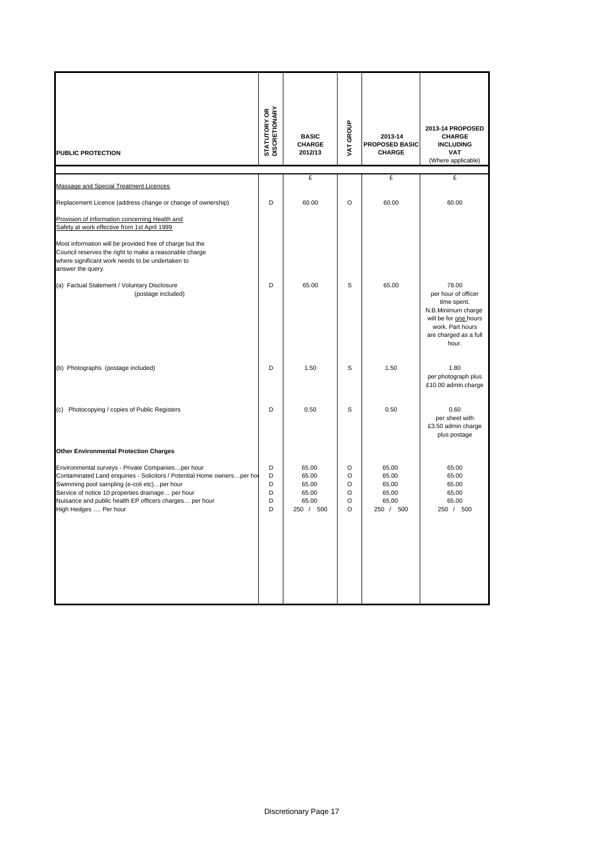| <b>PUBLIC PROTECTION</b>                                                                                                                                                                                                                                                                                             | <b>STATUTORY OR<br/>DISCRETIONARY</b> | <b>BASIC</b><br><b>CHARGE</b><br>2012/13               | VAT GROUP                        | 2013-14<br><b>PROPOSED BASIC</b><br><b>CHARGE</b>      | 2013-14 PROPOSED<br><b>CHARGE</b><br><b>INCLUDING</b><br><b>VAT</b><br>(Where applicable)                                                        |
|----------------------------------------------------------------------------------------------------------------------------------------------------------------------------------------------------------------------------------------------------------------------------------------------------------------------|---------------------------------------|--------------------------------------------------------|----------------------------------|--------------------------------------------------------|--------------------------------------------------------------------------------------------------------------------------------------------------|
|                                                                                                                                                                                                                                                                                                                      |                                       | £                                                      |                                  | £                                                      | £                                                                                                                                                |
| Massage and Special Treatment Licences                                                                                                                                                                                                                                                                               |                                       |                                                        |                                  |                                                        |                                                                                                                                                  |
| Replacement Licence (address change or change of ownership)                                                                                                                                                                                                                                                          | D                                     | 60.00                                                  | $\circ$                          | 60.00                                                  | 60.00                                                                                                                                            |
| Provision of information concerning Health and<br>Safety at work effective from 1st April 1999                                                                                                                                                                                                                       |                                       |                                                        |                                  |                                                        |                                                                                                                                                  |
| Most information will be provided free of charge but the<br>Council reserves the right to make a reasonable charge<br>where significant work needs to be undertaken to<br>answer the query.                                                                                                                          |                                       |                                                        |                                  |                                                        |                                                                                                                                                  |
| (a) Factual Statement / Voluntary Disclosure<br>(postage included)                                                                                                                                                                                                                                                   | D                                     | 65.00                                                  | S                                | 65.00                                                  | 78.00<br>per hour of officer<br>time spent.<br>N.B.Minimum charge<br>will be for one hours<br>work. Part hours<br>are charged as a full<br>hour. |
| (b) Photographs (postage included)                                                                                                                                                                                                                                                                                   | D                                     | 1.50                                                   | S                                | 1.50                                                   | 1.80<br>per photograph plus<br>£10.00 admin.charge                                                                                               |
| Photocopying / copies of Public Registers<br>(c)                                                                                                                                                                                                                                                                     | D                                     | 0.50                                                   | S                                | 0.50                                                   | 0.60<br>per sheet with<br>£3.50 admin charge<br>plus postage                                                                                     |
| <b>Other Environmental Protection Charges</b>                                                                                                                                                                                                                                                                        |                                       |                                                        |                                  |                                                        |                                                                                                                                                  |
| Environmental surveys - Private Companiesper hour<br>Contaminated Land enquiries - Solicitors / Potential Home owners per ho<br>Swimming pool sampling (e-coli etc)per hour<br>Service of notice 10 properties drainage per hour<br>Nuisance and public health EP officers charges per hour<br>High Hedges  Per hour | D<br>D<br>D<br>D<br>D<br>D            | 65.00<br>65.00<br>65.00<br>65.00<br>65.00<br>250 / 500 | O<br>O<br>O<br>$\circ$<br>O<br>O | 65.00<br>65.00<br>65.00<br>65.00<br>65.00<br>250 / 500 | 65.00<br>65.00<br>65.00<br>65.00<br>65.00<br>250 / 500                                                                                           |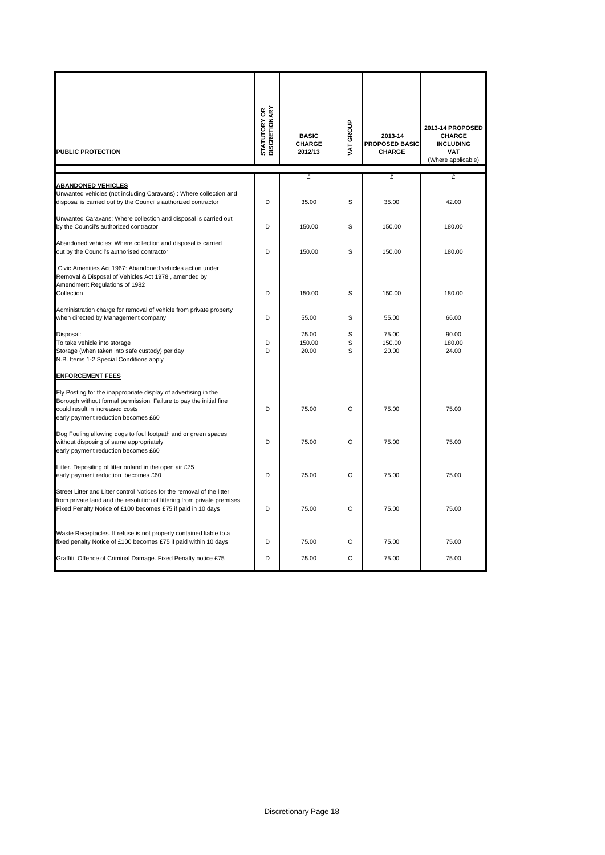| PUBLIC PROTECTION                                                                                                                                                                                                 | <b>STATUTORY OR<br/>DISCRETIONARY</b> | <b>BASIC</b><br><b>CHARGE</b><br>2012/13 | VAT GROUP   | 2013-14<br>PROPOSED BASIC<br><b>CHARGE</b> | 2013-14 PROPOSED<br><b>CHARGE</b><br><b>INCLUDING</b><br><b>VAT</b><br>(Where applicable) |
|-------------------------------------------------------------------------------------------------------------------------------------------------------------------------------------------------------------------|---------------------------------------|------------------------------------------|-------------|--------------------------------------------|-------------------------------------------------------------------------------------------|
|                                                                                                                                                                                                                   |                                       | £                                        |             | £                                          | £                                                                                         |
| <b>ABANDONED VEHICLES</b><br>Unwanted vehicles (not including Caravans) : Where collection and<br>disposal is carried out by the Council's authorized contractor                                                  | D                                     | 35.00                                    | S           | 35.00                                      | 42.00                                                                                     |
| Unwanted Caravans: Where collection and disposal is carried out<br>by the Council's authorized contractor                                                                                                         | D                                     | 150.00                                   | S           | 150.00                                     | 180.00                                                                                    |
| Abandoned vehicles: Where collection and disposal is carried<br>out by the Council's authorised contractor                                                                                                        | D                                     | 150.00                                   | S           | 150.00                                     | 180.00                                                                                    |
| Civic Amenities Act 1967: Abandoned vehicles action under<br>Removal & Disposal of Vehicles Act 1978, amended by<br>Amendment Regulations of 1982<br>Collection                                                   | D                                     | 150.00                                   | S           | 150.00                                     | 180.00                                                                                    |
| Administration charge for removal of vehicle from private property<br>when directed by Management company                                                                                                         | D                                     | 55.00                                    | S           | 55.00                                      | 66.00                                                                                     |
| Disposal:<br>To take vehicle into storage<br>Storage (when taken into safe custody) per day<br>N.B. Items 1-2 Special Conditions apply                                                                            | D<br>D                                | 75.00<br>150.00<br>20.00                 | S<br>S<br>S | 75.00<br>150.00<br>20.00                   | 90.00<br>180.00<br>24.00                                                                  |
| <b>ENFORCEMENT FEES</b>                                                                                                                                                                                           |                                       |                                          |             |                                            |                                                                                           |
| Fly Posting for the inappropriate display of advertising in the<br>Borough without formal permission. Failure to pay the initial fine<br>could result in increased costs<br>early payment reduction becomes £60   | D                                     | 75.00                                    | $\circ$     | 75.00                                      | 75.00                                                                                     |
| Dog Fouling allowing dogs to foul footpath and or green spaces<br>without disposing of same appropriately<br>early payment reduction becomes £60                                                                  | D                                     | 75.00                                    | $\circ$     | 75.00                                      | 75.00                                                                                     |
| Litter. Depositing of litter onland in the open air £75<br>early payment reduction becomes £60                                                                                                                    | D                                     | 75.00                                    | $\Omega$    | 75.00                                      | 75.00                                                                                     |
| Street Litter and Litter control Notices for the removal of the litter<br>from private land and the resolution of littering from private premises.<br>Fixed Penalty Notice of £100 becomes £75 if paid in 10 days | D                                     | 75.00                                    | $\circ$     | 75.00                                      | 75.00                                                                                     |
| Waste Receptacles. If refuse is not properly contained liable to a<br>fixed penalty Notice of £100 becomes £75 if paid within 10 days                                                                             | D                                     | 75.00                                    | O           | 75.00                                      | 75.00                                                                                     |
| Graffiti. Offence of Criminal Damage. Fixed Penalty notice £75                                                                                                                                                    | D                                     | 75.00                                    | $\circ$     | 75.00                                      | 75.00                                                                                     |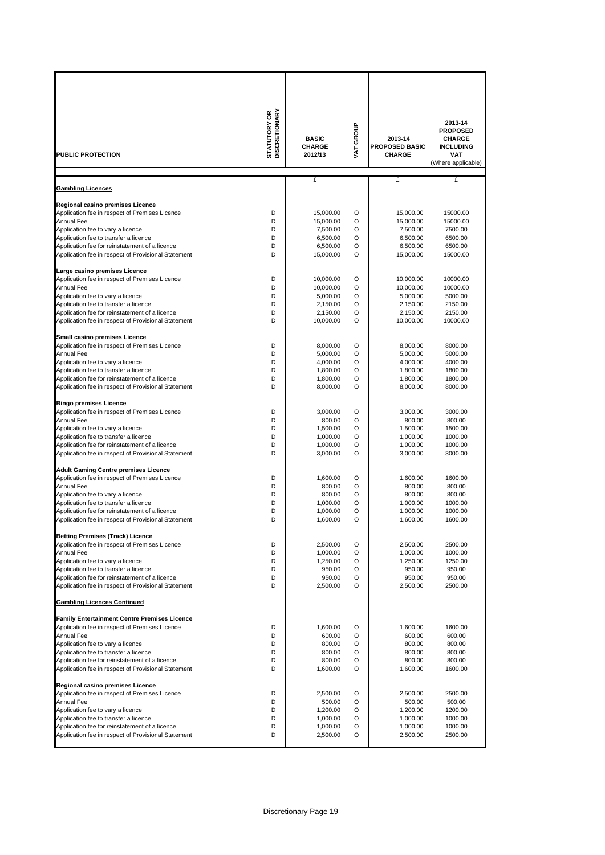|                                                                            | <b>DISCRETIONARY</b><br>STATUTORY OR | <b>BASIC</b><br><b>CHARGE</b> | VAT GROUP | 2013-14<br><b>PROPOSED BASIC</b> | 2013-14<br><b>PROPOSED</b><br><b>CHARGE</b><br><b>INCLUDING</b> |
|----------------------------------------------------------------------------|--------------------------------------|-------------------------------|-----------|----------------------------------|-----------------------------------------------------------------|
| PUBLIC PROTECTION                                                          |                                      | 2012/13                       |           | <b>CHARGE</b>                    | VAT<br>(Where applicable)                                       |
| <b>Gambling Licences</b>                                                   |                                      | £                             |           | £                                | £                                                               |
| Regional casino premises Licence                                           |                                      |                               |           |                                  |                                                                 |
| Application fee in respect of Premises Licence                             | D                                    | 15,000.00                     | O         | 15,000.00                        | 15000.00                                                        |
| <b>Annual Fee</b>                                                          | D                                    | 15,000.00                     | O         | 15,000.00                        | 15000.00                                                        |
| Application fee to vary a licence<br>Application fee to transfer a licence | D<br>D                               | 7,500.00<br>6,500.00          | O<br>O    | 7,500.00<br>6,500.00             | 7500.00<br>6500.00                                              |
| Application fee for reinstatement of a licence                             | D                                    | 6,500.00                      | O         | 6,500.00                         | 6500.00                                                         |
| Application fee in respect of Provisional Statement                        | D                                    | 15,000.00                     | O         | 15,000.00                        | 15000.00                                                        |
| Large casino premises Licence                                              |                                      |                               |           |                                  |                                                                 |
| Application fee in respect of Premises Licence                             | D                                    | 10,000.00                     | O         | 10,000.00                        | 10000.00                                                        |
| <b>Annual Fee</b><br>Application fee to vary a licence                     | D<br>D                               | 10,000.00<br>5,000.00         | O<br>O    | 10,000.00<br>5,000.00            | 10000.00<br>5000.00                                             |
| Application fee to transfer a licence                                      | D                                    | 2.150.00                      | O         | 2,150.00                         | 2150.00                                                         |
| Application fee for reinstatement of a licence                             | D                                    | 2,150.00                      | O         | 2,150.00                         | 2150.00                                                         |
| Application fee in respect of Provisional Statement                        | D                                    | 10,000.00                     | O         | 10,000.00                        | 10000.00                                                        |
| Small casino premises Licence                                              |                                      |                               |           |                                  |                                                                 |
| Application fee in respect of Premises Licence                             | D                                    | 8,000.00                      | O         | 8,000.00                         | 8000.00                                                         |
| <b>Annual Fee</b><br>Application fee to vary a licence                     | D<br>D                               | 5,000.00<br>4,000.00          | O<br>O    | 5,000.00<br>4,000.00             | 5000.00<br>4000.00                                              |
| Application fee to transfer a licence                                      | D                                    | 1,800.00                      | O         | 1,800.00                         | 1800.00                                                         |
| Application fee for reinstatement of a licence                             | D                                    | 1,800.00                      | O         | 1,800.00                         | 1800.00                                                         |
| Application fee in respect of Provisional Statement                        | D                                    | 8,000.00                      | O         | 8,000.00                         | 8000.00                                                         |
| <b>Bingo premises Licence</b>                                              |                                      |                               |           |                                  |                                                                 |
| Application fee in respect of Premises Licence<br>Annual Fee               | D<br>D                               | 3,000.00                      | O<br>O    | 3,000.00                         | 3000.00                                                         |
| Application fee to vary a licence                                          | D                                    | 800.00<br>1,500.00            | O         | 800.00<br>1,500.00               | 800.00<br>1500.00                                               |
| Application fee to transfer a licence                                      | D                                    | 1,000.00                      | O         | 1,000.00                         | 1000.00                                                         |
| Application fee for reinstatement of a licence                             | D                                    | 1,000.00                      | O         | 1,000.00                         | 1000.00                                                         |
| Application fee in respect of Provisional Statement                        | D                                    | 3,000.00                      | O         | 3,000.00                         | 3000.00                                                         |
| <b>Adult Gaming Centre premises Licence</b>                                |                                      |                               |           |                                  |                                                                 |
| Application fee in respect of Premises Licence<br><b>Annual Fee</b>        | D<br>D                               | 1.600.00<br>800.00            | O<br>O    | 1.600.00<br>800.00               | 1600.00<br>800.00                                               |
| Application fee to vary a licence                                          | D                                    | 800.00                        | O         | 800.00                           | 800.00                                                          |
| Application fee to transfer a licence                                      | D                                    | 1,000.00                      | O         | 1,000.00                         | 1000.00                                                         |
| Application fee for reinstatement of a licence                             | D                                    | 1,000.00                      | O         | 1,000.00                         | 1000.00                                                         |
| Application fee in respect of Provisional Statement                        | D                                    | 1,600.00                      | O         | 1,600.00                         | 1600.00                                                         |
| <b>Betting Premises (Track) Licence</b>                                    |                                      |                               |           |                                  |                                                                 |
| Application fee in respect of Premises Licence<br><b>Annual Fee</b>        | D<br>D                               | 2,500.00                      | O<br>O    | 2,500.00                         | 2500.00                                                         |
| Application fee to vary a licence                                          | D                                    | 1,000.00<br>1,250.00          | O         | 1,000.00<br>1,250.00             | 1000.00<br>1250.00                                              |
| Application fee to transfer a licence                                      | D                                    | 950.00                        | O         | 950.00                           | 950.00                                                          |
| Application fee for reinstatement of a licence                             | D                                    | 950.00                        | O         | 950.00                           | 950.00                                                          |
| Application fee in respect of Provisional Statement                        | D                                    | 2,500.00                      | O         | 2,500.00                         | 2500.00                                                         |
| <b>Gambling Licences Continued</b>                                         |                                      |                               |           |                                  |                                                                 |
| <b>Family Entertainment Centre Premises Licence</b>                        |                                      |                               |           |                                  |                                                                 |
| Application fee in respect of Premises Licence                             | D                                    | 1,600.00<br>600.00            | O         | 1,600.00                         | 1600.00                                                         |
| <b>Annual Fee</b><br>Application fee to vary a licence                     | D<br>D                               | 800.00                        | O<br>O    | 600.00<br>800.00                 | 600.00<br>800.00                                                |
| Application fee to transfer a licence                                      | D                                    | 800.00                        | O         | 800.00                           | 800.00                                                          |
| Application fee for reinstatement of a licence                             | D                                    | 800.00                        | O         | 800.00                           | 800.00                                                          |
| Application fee in respect of Provisional Statement                        | D                                    | 1,600.00                      | O         | 1,600.00                         | 1600.00                                                         |
| Regional casino premises Licence                                           |                                      |                               |           |                                  |                                                                 |
| Application fee in respect of Premises Licence<br>Annual Fee               | D<br>D                               | 2,500.00<br>500.00            | O<br>O    | 2,500.00<br>500.00               | 2500.00<br>500.00                                               |
| Application fee to vary a licence                                          | D                                    | 1,200.00                      | O         | 1,200.00                         | 1200.00                                                         |
| Application fee to transfer a licence                                      | D                                    | 1,000.00                      | O         | 1,000.00                         | 1000.00                                                         |
| Application fee for reinstatement of a licence                             | D                                    | 1,000.00                      | O         | 1,000.00                         | 1000.00                                                         |
| Application fee in respect of Provisional Statement                        | D                                    | 2,500.00                      | O         | 2,500.00                         | 2500.00                                                         |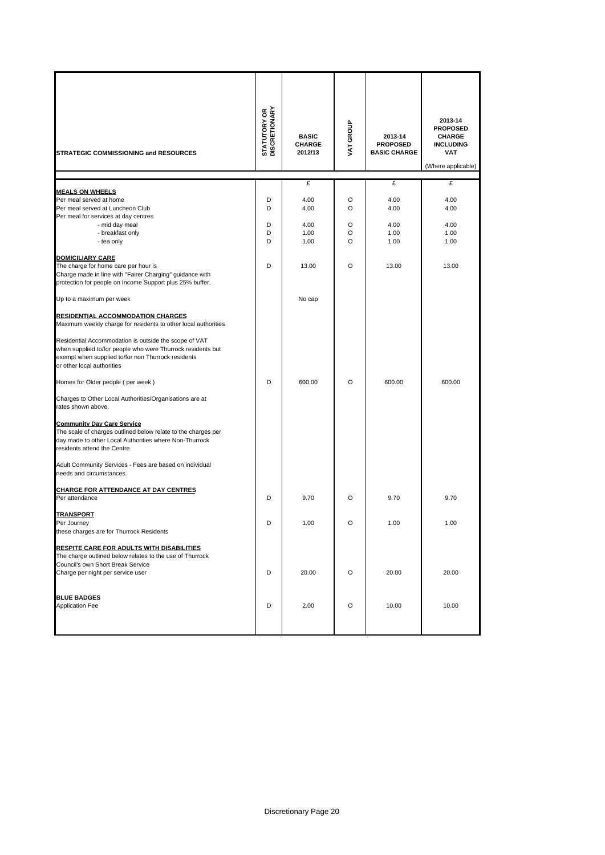| <b>STRATEGIC COMMISSIONING and RESOURCES</b>                                                                                                                                                                                                                                                                                                                                                                                                                                                                                                                                                                                                                                                                                                                                      | <b>STATUTORY OR<br/>DISCRETIONARY</b> | <b>BASIC</b><br><b>CHARGE</b><br>2012/13 | VAT GROUP             | 2013-14<br><b>PROPOSED</b><br><b>BASIC CHARGE</b> | 2013-14<br><b>PROPOSED</b><br><b>CHARGE</b><br><b>INCLUDING</b><br><b>VAT</b><br>(Where applicable) |
|-----------------------------------------------------------------------------------------------------------------------------------------------------------------------------------------------------------------------------------------------------------------------------------------------------------------------------------------------------------------------------------------------------------------------------------------------------------------------------------------------------------------------------------------------------------------------------------------------------------------------------------------------------------------------------------------------------------------------------------------------------------------------------------|---------------------------------------|------------------------------------------|-----------------------|---------------------------------------------------|-----------------------------------------------------------------------------------------------------|
|                                                                                                                                                                                                                                                                                                                                                                                                                                                                                                                                                                                                                                                                                                                                                                                   |                                       | £                                        |                       | £                                                 | £                                                                                                   |
| <b>MEALS ON WHEELS</b><br>Per meal served at home<br>Per meal served at Luncheon Club<br>Per meal for services at day centres<br>- mid day meal<br>- breakfast only<br>- tea only                                                                                                                                                                                                                                                                                                                                                                                                                                                                                                                                                                                                 | D<br>D<br>D<br>D<br>D                 | 4.00<br>4.00<br>4.00<br>1.00<br>1.00     | O<br>O<br>O<br>O<br>O | 4.00<br>4.00<br>4.00<br>1.00<br>1.00              | 4.00<br>4.00<br>4.00<br>1.00<br>1.00                                                                |
| <b>DOMICILIARY CARE</b><br>The charge for home care per hour is<br>Charge made in line with "Fairer Charging" guidance with<br>protection for people on Income Support plus 25% buffer.                                                                                                                                                                                                                                                                                                                                                                                                                                                                                                                                                                                           | D                                     | 13.00                                    | $\circ$               | 13.00                                             | 13.00                                                                                               |
| Up to a maximum per week                                                                                                                                                                                                                                                                                                                                                                                                                                                                                                                                                                                                                                                                                                                                                          |                                       | No cap                                   |                       |                                                   |                                                                                                     |
| <b>RESIDENTIAL ACCOMMODATION CHARGES</b><br>Maximum weekly charge for residents to other local authorities<br>Residential Accommodation is outside the scope of VAT<br>when supplied to/for people who were Thurrock residents but<br>exempt when supplied to/for non Thurrock residents<br>or other local authorities<br>Homes for Older people (per week)<br>Charges to Other Local Authorities/Organisations are at<br>rates shown above.<br><b>Community Day Care Service</b><br>The scale of charges outlined below relate to the charges per<br>day made to other Local Authorities where Non-Thurrock<br>residents attend the Centre<br>Adult Community Services - Fees are based on individual<br>needs and circumstances.<br><b>CHARGE FOR ATTENDANCE AT DAY CENTRES</b> | D                                     | 600.00                                   | O                     | 600.00                                            | 600.00                                                                                              |
| Per attendance                                                                                                                                                                                                                                                                                                                                                                                                                                                                                                                                                                                                                                                                                                                                                                    | D                                     | 9.70                                     | O                     | 9.70                                              | 9.70                                                                                                |
| <b>TRANSPORT</b><br>Per Journey<br>these charges are for Thurrock Residents                                                                                                                                                                                                                                                                                                                                                                                                                                                                                                                                                                                                                                                                                                       | D                                     | 1.00                                     | O                     | 1.00                                              | 1.00                                                                                                |
| RESPITE CARE FOR ADULTS WITH DISABILITIES<br>The charge outlined below relates to the use of Thurrock<br>Council's own Short Break Service<br>Charge per night per service user                                                                                                                                                                                                                                                                                                                                                                                                                                                                                                                                                                                                   | D                                     | 20.00                                    | O                     | 20.00                                             | 20.00                                                                                               |
| <b>BLUE BADGES</b><br><b>Application Fee</b>                                                                                                                                                                                                                                                                                                                                                                                                                                                                                                                                                                                                                                                                                                                                      | D                                     | 2.00                                     | O                     | 10.00                                             | 10.00                                                                                               |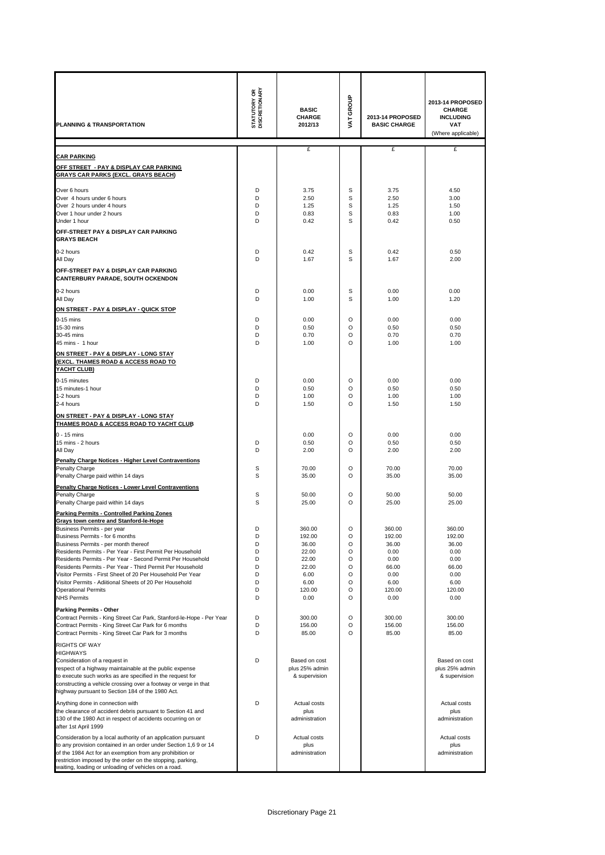| <b>PLANNING &amp; TRANSPORTATION</b>                                                                                         | <b>STATUTORY OR</b><br>DISCRETIONARY | <b>BASIC</b><br><b>CHARGE</b><br>2012/13 | VAT GROUP    | 2013-14 PROPOSED<br><b>BASIC CHARGE</b> | 2013-14 PROPOSED<br><b>CHARGE</b><br><b>INCLUDING</b><br><b>VAT</b><br>(Where applicable) |
|------------------------------------------------------------------------------------------------------------------------------|--------------------------------------|------------------------------------------|--------------|-----------------------------------------|-------------------------------------------------------------------------------------------|
|                                                                                                                              |                                      | £                                        |              | £                                       | £                                                                                         |
| <b>CAR PARKING</b>                                                                                                           |                                      |                                          |              |                                         |                                                                                           |
| OFF STREET  - PAY & DISPLAY CAR PARKING<br><b>GRAYS CAR PARKS (EXCL. GRAYS BEACH)</b>                                        |                                      |                                          |              |                                         |                                                                                           |
| Over 6 hours                                                                                                                 | D                                    | 3.75                                     | S            | 3.75                                    | 4.50                                                                                      |
| Over 4 hours under 6 hours                                                                                                   | D                                    | 2.50                                     | S            | 2.50                                    | 3.00                                                                                      |
| Over 2 hours under 4 hours<br>Over 1 hour under 2 hours                                                                      | D<br>D                               | 1.25<br>0.83                             | S<br>S       | 1.25<br>0.83                            | 1.50<br>1.00                                                                              |
| Under 1 hour                                                                                                                 | D                                    | 0.42                                     | S            | 0.42                                    | 0.50                                                                                      |
| OFF-STREET PAY & DISPLAY CAR PARKING                                                                                         |                                      |                                          |              |                                         |                                                                                           |
| <b>GRAYS BEACH</b>                                                                                                           |                                      |                                          |              |                                         |                                                                                           |
| 0-2 hours<br>All Day                                                                                                         | D<br>D                               | 0.42<br>1.67                             | S<br>S       | 0.42<br>1.67                            | 0.50<br>2.00                                                                              |
| OFF-STREET PAY & DISPLAY CAR PARKING                                                                                         |                                      |                                          |              |                                         |                                                                                           |
| <b>CANTERBURY PARADE, SOUTH OCKENDON</b>                                                                                     |                                      |                                          |              |                                         |                                                                                           |
| 0-2 hours                                                                                                                    | D                                    | 0.00                                     | S            | 0.00                                    | 0.00                                                                                      |
| All Day                                                                                                                      | D                                    | 1.00                                     | S            | 1.00                                    | 1.20                                                                                      |
| ON STREET - PAY & DISPLAY - QUICK STOP                                                                                       | D                                    |                                          | $\circ$      |                                         |                                                                                           |
| $0-15$ mins<br>15-30 mins                                                                                                    | D                                    | 0.00<br>0.50                             | O            | 0.00<br>0.50                            | 0.00<br>0.50                                                                              |
| 30-45 mins                                                                                                                   | D                                    | 0.70                                     | O            | 0.70                                    | 0.70                                                                                      |
| 45 mins - 1 hour                                                                                                             | D                                    | 1.00                                     | O            | 1.00                                    | 1.00                                                                                      |
| ON STREET - PAY & DISPLAY - LONG STAY<br><u>(EXCL. THAMES ROAD &amp; ACCESS ROAD TO</u>                                      |                                      |                                          |              |                                         |                                                                                           |
| YACHT CLUB)                                                                                                                  |                                      |                                          |              |                                         |                                                                                           |
| 0-15 minutes<br>15 minutes-1 hour                                                                                            | D<br>D                               | 0.00<br>0.50                             | $\circ$<br>O | 0.00<br>0.50                            | 0.00<br>0.50                                                                              |
| 1-2 hours                                                                                                                    | D                                    | 1.00                                     | O            | 1.00                                    | 1.00                                                                                      |
| 2-4 hours                                                                                                                    | D                                    | 1.50                                     | O            | 1.50                                    | 1.50                                                                                      |
| ON STREET - PAY & DISPLAY - LONG STAY<br>THAMES ROAD & ACCESS ROAD TO YACHT CLUB                                             |                                      |                                          |              |                                         |                                                                                           |
| $0 - 15$ mins                                                                                                                |                                      | 0.00                                     | O            | 0.00                                    | 0.00                                                                                      |
| 15 mins - 2 hours                                                                                                            | D                                    | 0.50                                     | O            | 0.50                                    | 0.50                                                                                      |
| All Day                                                                                                                      | D                                    | 2.00                                     | O            | 2.00                                    | 2.00                                                                                      |
| Penalty Charge Notices - Higher Level Contraventions<br>Penalty Charge                                                       | S                                    | 70.00                                    | O            | 70.00                                   | 70.00                                                                                     |
| Penalty Charge paid within 14 days                                                                                           | S                                    | 35.00                                    | O            | 35.00                                   | 35.00                                                                                     |
| Penalty Charge Notices - Lower Level Contraventions                                                                          |                                      |                                          |              |                                         |                                                                                           |
| Penalty Charge<br>Penalty Charge paid within 14 days                                                                         | S<br>S                               | 50.00<br>25.00                           | O<br>O       | 50.00<br>25.00                          | 50.00<br>25.00                                                                            |
| <b>Parking Permits - Controlled Parking Zones</b>                                                                            |                                      |                                          |              |                                         |                                                                                           |
| <b>Grays town centre and Stanford-le-Hope</b>                                                                                |                                      |                                          |              |                                         |                                                                                           |
| Business Permits - per yeai<br>Business Permits - for 6 months                                                               | D<br>D                               | 360.00<br>192.00                         | O<br>O       | 360.00<br>192.00                        | 360.00<br>192.00                                                                          |
| Business Permits - per month thereof                                                                                         | D                                    | 36.00                                    | O            | 36.00                                   | 36.00                                                                                     |
| Residents Permits - Per Year - First Permit Per Household<br>Residents Permits - Per Year - Second Permit Per Household      | D<br>D                               | 22.00<br>22.00                           | O<br>O       | 0.00<br>0.00                            | 0.00<br>0.00                                                                              |
| Residents Permits - Per Year - Third Permit Per Household                                                                    | D                                    | 22.00                                    | O            | 66.00                                   | 66.00                                                                                     |
| Visitor Permits - First Sheet of 20 Per Household Per Year<br>Visitor Permits - Adiitional Sheets of 20 Per Household        | D<br>D                               | 6.00<br>6.00                             | O<br>O       | 0.00<br>6.00                            | 0.00<br>6.00                                                                              |
| <b>Operational Permits</b>                                                                                                   | D                                    | 120.00                                   | O            | 120.00                                  | 120.00                                                                                    |
| <b>NHS Permits</b>                                                                                                           | D                                    | 0.00                                     | O            | 0.00                                    | 0.00                                                                                      |
| <b>Parking Permits - Other</b><br>Contract Permits - King Street Car Park, Stanford-le-Hope - Per Year                       | D                                    | 300.00                                   | O            | 300.00                                  | 300.00                                                                                    |
| Contract Permits - King Street Car Park for 6 months                                                                         | D                                    | 156.00                                   | O            | 156.00                                  | 156.00                                                                                    |
| Contract Permits - King Street Car Park for 3 months                                                                         | D                                    | 85.00                                    | O            | 85.00                                   | 85.00                                                                                     |
| <b>RIGHTS OF WAY</b><br><b>HIGHWAYS</b>                                                                                      |                                      |                                          |              |                                         |                                                                                           |
| Consideration of a request in                                                                                                | D                                    | Based on cost                            |              |                                         | Based on cost                                                                             |
| respect of a highway maintainable at the public expense                                                                      |                                      | plus 25% admin                           |              |                                         | plus 25% admin                                                                            |
| to execute such works as are specified in the request for<br>constructing a vehicle crossing over a footway or verge in that |                                      | & supervision                            |              |                                         | & supervision                                                                             |
| highway pursuant to Section 184 of the 1980 Act.                                                                             |                                      |                                          |              |                                         |                                                                                           |
| Anything done in connection with                                                                                             | D                                    | Actual costs                             |              |                                         | Actual costs                                                                              |
| the clearance of accident debris pursuant to Section 41 and<br>130 of the 1980 Act in respect of accidents occurring on or   |                                      | plus<br>administration                   |              |                                         | plus<br>administration                                                                    |
| after 1st April 1999                                                                                                         |                                      |                                          |              |                                         |                                                                                           |
| Consideration by a local authority of an application pursuant                                                                | D                                    | Actual costs                             |              |                                         | Actual costs                                                                              |
| to any provision contained in an order under Section 1,6 9 or 14<br>of the 1984 Act for an exemption from any prohibition or |                                      | plus<br>administration                   |              |                                         | plus<br>administration                                                                    |
| restriction imposed by the order on the stopping, parking,<br>waiting, loading or unloading of vehicles on a road.           |                                      |                                          |              |                                         |                                                                                           |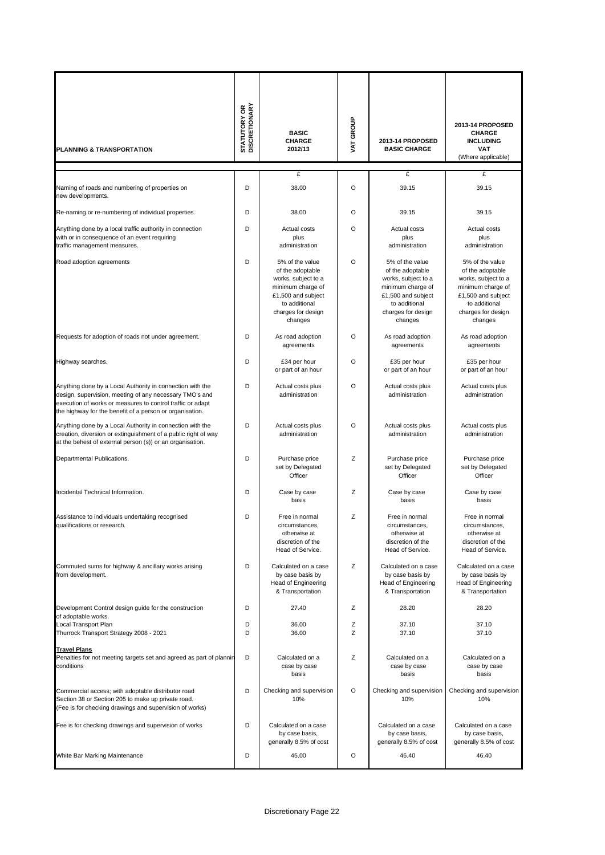| PLANNING & TRANSPORTATION                                                                                                                                                                                                                      | <b>STATUTORY OR<br/>DISCRETIONARY</b> | <b>BASIC</b><br><b>CHARGE</b><br>2012/13                                                                                                                | VAT GROUP | 2013-14 PROPOSED<br><b>BASIC CHARGE</b>                                                                                                                 | 2013-14 PROPOSED<br><b>CHARGE</b><br><b>INCLUDING</b><br><b>VAT</b><br>(Where applicable)                                                               |
|------------------------------------------------------------------------------------------------------------------------------------------------------------------------------------------------------------------------------------------------|---------------------------------------|---------------------------------------------------------------------------------------------------------------------------------------------------------|-----------|---------------------------------------------------------------------------------------------------------------------------------------------------------|---------------------------------------------------------------------------------------------------------------------------------------------------------|
|                                                                                                                                                                                                                                                |                                       | £                                                                                                                                                       |           | £                                                                                                                                                       | £                                                                                                                                                       |
| Naming of roads and numbering of properties on<br>new developments.                                                                                                                                                                            | D                                     | 38.00                                                                                                                                                   | $\circ$   | 39.15                                                                                                                                                   | 39.15                                                                                                                                                   |
| Re-naming or re-numbering of individual properties.                                                                                                                                                                                            | D                                     | 38.00                                                                                                                                                   | O         | 39.15                                                                                                                                                   | 39.15                                                                                                                                                   |
| Anything done by a local traffic authority in connection<br>with or in consequence of an event requiring<br>traffic management measures.                                                                                                       | D                                     | Actual costs<br>plus<br>administration                                                                                                                  | O         | Actual costs<br>plus<br>administration                                                                                                                  | Actual costs<br>plus<br>administration                                                                                                                  |
| Road adoption agreements                                                                                                                                                                                                                       | D                                     | 5% of the value<br>of the adoptable<br>works, subject to a<br>minimum charge of<br>£1,500 and subject<br>to additional<br>charges for design<br>changes | O         | 5% of the value<br>of the adoptable<br>works, subject to a<br>minimum charge of<br>£1,500 and subject<br>to additional<br>charges for design<br>changes | 5% of the value<br>of the adoptable<br>works, subject to a<br>minimum charge of<br>£1,500 and subject<br>to additional<br>charges for design<br>changes |
| Requests for adoption of roads not under agreement.                                                                                                                                                                                            | D                                     | As road adoption<br>agreements                                                                                                                          | O         | As road adoption<br>agreements                                                                                                                          | As road adoption<br>agreements                                                                                                                          |
| Highway searches.                                                                                                                                                                                                                              | D                                     | £34 per hour<br>or part of an hour                                                                                                                      | O         | £35 per hour<br>or part of an hour                                                                                                                      | £35 per hour<br>or part of an hour                                                                                                                      |
| Anything done by a Local Authority in connection with the<br>design, supervision, meeting of any necessary TMO's and<br>execution of works or measures to control traffic or adapt<br>the highway for the benefit of a person or organisation. | D                                     | Actual costs plus<br>administration                                                                                                                     | $\circ$   | Actual costs plus<br>administration                                                                                                                     | Actual costs plus<br>administration                                                                                                                     |
| Anything done by a Local Authority in connection with the<br>creation, diversion or extinguishment of a public right of way<br>at the behest of external person (s)) or an organisation.                                                       | D                                     | Actual costs plus<br>administration                                                                                                                     | O         | Actual costs plus<br>administration                                                                                                                     | Actual costs plus<br>administration                                                                                                                     |
| Departmental Publications.                                                                                                                                                                                                                     | D                                     | Purchase price<br>set by Delegated<br>Officer                                                                                                           | Ζ         | Purchase price<br>set by Delegated<br>Officer                                                                                                           | Purchase price<br>set by Delegated<br>Officer                                                                                                           |
| Incidental Technical Information.                                                                                                                                                                                                              | D                                     | Case by case<br>basis                                                                                                                                   | Ζ         | Case by case<br>basis                                                                                                                                   | Case by case<br>basis                                                                                                                                   |
| Assistance to individuals undertaking recognised<br>qualifications or research.                                                                                                                                                                | D                                     | Free in normal<br>circumstances,<br>otherwise at<br>discretion of the<br>Head of Service.                                                               | Ζ         | Free in normal<br>circumstances,<br>otherwise at<br>discretion of the<br>Head of Service.                                                               | Free in normal<br>circumstances,<br>otherwise at<br>discretion of the<br>Head of Service.                                                               |
| Commuted sums for highway & ancillary works arising<br>from development.                                                                                                                                                                       | D                                     | Calculated on a case<br>by case basis by<br>Head of Engineering<br>& Transportation                                                                     | Ζ         | Calculated on a case<br>by case basis by<br>Head of Engineering<br>& Transportation                                                                     | Calculated on a case<br>by case basis by<br>Head of Engineering<br>& Transportation                                                                     |
| Development Control design guide for the construction<br>of adoptable works.                                                                                                                                                                   | D                                     | 27.40                                                                                                                                                   | Ζ         | 28.20                                                                                                                                                   | 28.20                                                                                                                                                   |
| Local Transport Plan<br>Thurrock Transport Strategy 2008 - 2021                                                                                                                                                                                | D<br>D                                | 36.00<br>36.00                                                                                                                                          | Ζ<br>Ζ    | 37.10<br>37.10                                                                                                                                          | 37.10<br>37.10                                                                                                                                          |
| <b>Travel Plans</b><br>Penalties for not meeting targets set and agreed as part of plannin<br>conditions                                                                                                                                       | D                                     | Calculated on a<br>case by case<br>basis                                                                                                                | Ζ         | Calculated on a<br>case by case<br>basis                                                                                                                | Calculated on a<br>case by case<br>basis                                                                                                                |
| Commercial access; with adoptable distributor road<br>Section 38 or Section 205 to make up private road.<br>(Fee is for checking drawings and supervision of works)                                                                            | D                                     | Checking and supervision<br>10%                                                                                                                         | O         | Checking and supervision<br>10%                                                                                                                         | Checking and supervision<br>10%                                                                                                                         |
| Fee is for checking drawings and supervision of works                                                                                                                                                                                          | D                                     | Calculated on a case<br>by case basis,<br>generally 8.5% of cost                                                                                        |           | Calculated on a case<br>by case basis,<br>generally 8.5% of cost                                                                                        | Calculated on a case<br>by case basis,<br>generally 8.5% of cost                                                                                        |
| White Bar Marking Maintenance                                                                                                                                                                                                                  | D                                     | 45.00                                                                                                                                                   | O         | 46.40                                                                                                                                                   | 46.40                                                                                                                                                   |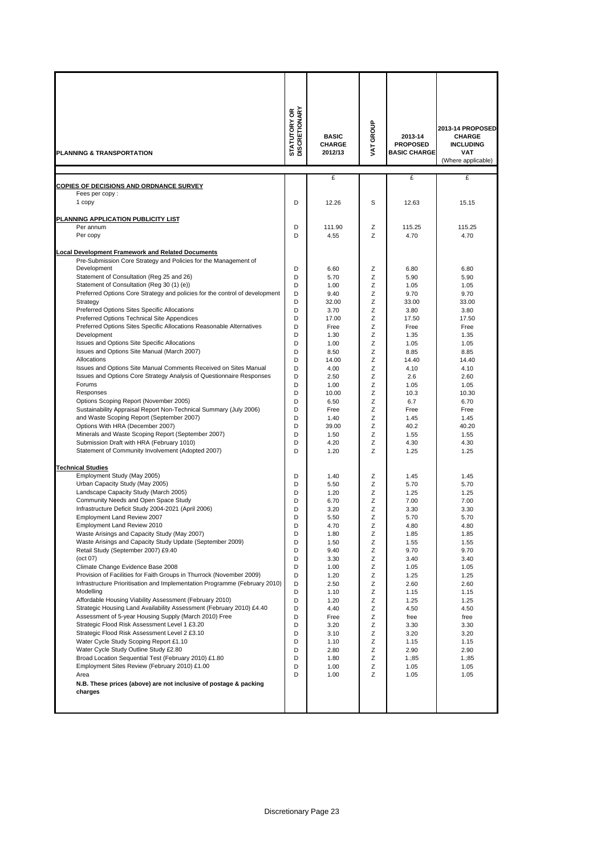| <b>PLANNING &amp; TRANSPORTATION</b>                                                                                                                                                                                                                                                                                                                                                                                                                                                                                                                                                                                                                                                                                                                                                                                                                                                                                                                                                                                                                                                                                                                                                                                                                                                                                                                                                                                                                                                                                                                                                                                                                                                                                                                                                                                                                                                                                                                                                                                                                                                                                                                                                                                                                                                                                                          | <b>STATUTORY OR<br/>DISCRETIONARY</b>                                                                                                                                                                                                        | <b>BASIC</b><br><b>CHARGE</b><br>2012/13                                                                                                                                                                                                                                                                                                                                                          | VAT GROUP                                                                                                                                                                                                                                    | 2013-14<br><b>PROPOSED</b><br><b>BASIC CHARGE</b>                                                                                                                                                                                                                                                                                                                                             | 2013-14 PROPOSED<br><b>CHARGE</b><br><b>INCLUDING</b><br><b>VAT</b><br>(Where applicable)                                                                                                                                                                                                                                                                                                         |
|-----------------------------------------------------------------------------------------------------------------------------------------------------------------------------------------------------------------------------------------------------------------------------------------------------------------------------------------------------------------------------------------------------------------------------------------------------------------------------------------------------------------------------------------------------------------------------------------------------------------------------------------------------------------------------------------------------------------------------------------------------------------------------------------------------------------------------------------------------------------------------------------------------------------------------------------------------------------------------------------------------------------------------------------------------------------------------------------------------------------------------------------------------------------------------------------------------------------------------------------------------------------------------------------------------------------------------------------------------------------------------------------------------------------------------------------------------------------------------------------------------------------------------------------------------------------------------------------------------------------------------------------------------------------------------------------------------------------------------------------------------------------------------------------------------------------------------------------------------------------------------------------------------------------------------------------------------------------------------------------------------------------------------------------------------------------------------------------------------------------------------------------------------------------------------------------------------------------------------------------------------------------------------------------------------------------------------------------------|----------------------------------------------------------------------------------------------------------------------------------------------------------------------------------------------------------------------------------------------|---------------------------------------------------------------------------------------------------------------------------------------------------------------------------------------------------------------------------------------------------------------------------------------------------------------------------------------------------------------------------------------------------|----------------------------------------------------------------------------------------------------------------------------------------------------------------------------------------------------------------------------------------------|-----------------------------------------------------------------------------------------------------------------------------------------------------------------------------------------------------------------------------------------------------------------------------------------------------------------------------------------------------------------------------------------------|---------------------------------------------------------------------------------------------------------------------------------------------------------------------------------------------------------------------------------------------------------------------------------------------------------------------------------------------------------------------------------------------------|
|                                                                                                                                                                                                                                                                                                                                                                                                                                                                                                                                                                                                                                                                                                                                                                                                                                                                                                                                                                                                                                                                                                                                                                                                                                                                                                                                                                                                                                                                                                                                                                                                                                                                                                                                                                                                                                                                                                                                                                                                                                                                                                                                                                                                                                                                                                                                               |                                                                                                                                                                                                                                              | £                                                                                                                                                                                                                                                                                                                                                                                                 |                                                                                                                                                                                                                                              | £                                                                                                                                                                                                                                                                                                                                                                                             | £                                                                                                                                                                                                                                                                                                                                                                                                 |
| COPIES OF DECISIONS AND ORDNANCE SURVEY<br>Fees per copy:                                                                                                                                                                                                                                                                                                                                                                                                                                                                                                                                                                                                                                                                                                                                                                                                                                                                                                                                                                                                                                                                                                                                                                                                                                                                                                                                                                                                                                                                                                                                                                                                                                                                                                                                                                                                                                                                                                                                                                                                                                                                                                                                                                                                                                                                                     |                                                                                                                                                                                                                                              |                                                                                                                                                                                                                                                                                                                                                                                                   |                                                                                                                                                                                                                                              |                                                                                                                                                                                                                                                                                                                                                                                               |                                                                                                                                                                                                                                                                                                                                                                                                   |
| 1 copy                                                                                                                                                                                                                                                                                                                                                                                                                                                                                                                                                                                                                                                                                                                                                                                                                                                                                                                                                                                                                                                                                                                                                                                                                                                                                                                                                                                                                                                                                                                                                                                                                                                                                                                                                                                                                                                                                                                                                                                                                                                                                                                                                                                                                                                                                                                                        | D                                                                                                                                                                                                                                            | 12.26                                                                                                                                                                                                                                                                                                                                                                                             | S                                                                                                                                                                                                                                            | 12.63                                                                                                                                                                                                                                                                                                                                                                                         | 15.15                                                                                                                                                                                                                                                                                                                                                                                             |
| PLANNING APPLICATION PUBLICITY LIST                                                                                                                                                                                                                                                                                                                                                                                                                                                                                                                                                                                                                                                                                                                                                                                                                                                                                                                                                                                                                                                                                                                                                                                                                                                                                                                                                                                                                                                                                                                                                                                                                                                                                                                                                                                                                                                                                                                                                                                                                                                                                                                                                                                                                                                                                                           |                                                                                                                                                                                                                                              |                                                                                                                                                                                                                                                                                                                                                                                                   |                                                                                                                                                                                                                                              |                                                                                                                                                                                                                                                                                                                                                                                               |                                                                                                                                                                                                                                                                                                                                                                                                   |
| Per annum<br>Per copy                                                                                                                                                                                                                                                                                                                                                                                                                                                                                                                                                                                                                                                                                                                                                                                                                                                                                                                                                                                                                                                                                                                                                                                                                                                                                                                                                                                                                                                                                                                                                                                                                                                                                                                                                                                                                                                                                                                                                                                                                                                                                                                                                                                                                                                                                                                         | D<br>D                                                                                                                                                                                                                                       | 111.90<br>4.55                                                                                                                                                                                                                                                                                                                                                                                    | Z<br>Z                                                                                                                                                                                                                                       | 115.25<br>4.70                                                                                                                                                                                                                                                                                                                                                                                | 115.25<br>4.70                                                                                                                                                                                                                                                                                                                                                                                    |
|                                                                                                                                                                                                                                                                                                                                                                                                                                                                                                                                                                                                                                                                                                                                                                                                                                                                                                                                                                                                                                                                                                                                                                                                                                                                                                                                                                                                                                                                                                                                                                                                                                                                                                                                                                                                                                                                                                                                                                                                                                                                                                                                                                                                                                                                                                                                               |                                                                                                                                                                                                                                              |                                                                                                                                                                                                                                                                                                                                                                                                   |                                                                                                                                                                                                                                              |                                                                                                                                                                                                                                                                                                                                                                                               |                                                                                                                                                                                                                                                                                                                                                                                                   |
| <b>Local Development Framework and Related Documents</b><br>Pre-Submission Core Strategy and Policies for the Management of<br>Development<br>Statement of Consultation (Reg 25 and 26)<br>Statement of Consultation (Reg 30 (1) (e))<br>Preferred Options Core Strategy and policies for the control of development<br>Strategy<br>Preferred Options Sites Specific Allocations<br>Preferred Options Technical Site Appendices<br>Preferred Options Sites Specific Allocations Reasonable Alternatives<br>Development<br>Issues and Options Site Specific Allocations<br>Issues and Options Site Manual (March 2007)<br>Allocations<br>Issues and Options Site Manual Comments Received on Sites Manual<br>Issues and Options Core Strategy Analysis of Questionnaire Responses<br>Forums<br>Responses<br>Options Scoping Report (November 2005)<br>Sustainability Appraisal Report Non-Technical Summary (July 2006)<br>and Waste Scoping Report (September 2007)<br>Options With HRA (December 2007)<br>Minerals and Waste Scoping Report (September 2007)<br>Submission Draft with HRA (February 1010)<br>Statement of Community Involvement (Adopted 2007)<br><b>Technical Studies</b><br>Employment Study (May 2005)<br>Urban Capacity Study (May 2005)<br>Landscape Capacity Study (March 2005)<br>Community Needs and Open Space Study<br>Infrastructure Deficit Study 2004-2021 (April 2006)<br>Employment Land Review 2007<br>Employment Land Review 2010<br>Waste Arisings and Capacity Study (May 2007)<br>Waste Arisings and Capacity Study Update (September 2009)<br>Retail Study (September 2007) £9.40<br>(oct 07)<br>Climate Change Evidence Base 2008<br>Provision of Facilities for Faith Groups in Thurrock (November 2009)<br>Infrastructure Prioritisation and Implementation Programme (February 2010)<br>Modelling<br>Affordable Housing Viability Assessment (February 2010)<br>Strategic Housing Land Availability Assessment (February 2010) £4.40<br>Assessment of 5-year Housing Supply (March 2010) Free<br>Strategic Flood Risk Assessment Level 1 £3.20<br>Strategic Flood Risk Assessment Level 2 £3.10<br>Water Cycle Study Scoping Report £1.10<br>Water Cycle Study Outline Study £2.80<br>Broad Location Sequential Test (February 2010) £1.80<br>Employment Sites Review (February 2010) £1.00<br>Area | D<br>D<br>D<br>D<br>D<br>D<br>D<br>D<br>D<br>D<br>D<br>D<br>D<br>D<br>D<br>D<br>D<br>D<br>D<br>D<br>D<br>D<br>D<br>D<br>D<br>D<br>D<br>D<br>D<br>D<br>D<br>D<br>D<br>D<br>D<br>D<br>D<br>D<br>D<br>D<br>D<br>D<br>D<br>D<br>D<br>D<br>D<br>D | 6.60<br>5.70<br>1.00<br>9.40<br>32.00<br>3.70<br>17.00<br>Free<br>1.30<br>1.00<br>8.50<br>14.00<br>4.00<br>2.50<br>1.00<br>10.00<br>6.50<br>Free<br>1.40<br>39.00<br>1.50<br>4.20<br>1.20<br>1.40<br>5.50<br>1.20<br>6.70<br>3.20<br>5.50<br>4.70<br>1.80<br>1.50<br>9.40<br>3.30<br>1.00<br>1.20<br>2.50<br>1.10<br>1.20<br>4.40<br>Free<br>3.20<br>3.10<br>1.10<br>2.80<br>1.80<br>1.00<br>1.00 | Z<br>Z<br>Z<br>Z<br>Z<br>Z<br>Z<br>Z<br>Ζ<br>Z<br>Ζ<br>Z<br>Z<br>Z<br>Ζ<br>Z<br>Z<br>Z<br>Z<br>Z<br>Z<br>Ζ<br>Z<br>Z<br>Z<br>Z<br>Ζ<br>Ζ<br>Z<br>Ζ<br>Ζ<br>Ζ<br>Z<br>Ζ<br>Ζ<br>Z<br>Ζ<br>Ζ<br>Ζ<br>Ζ<br>Ζ<br>Ζ<br>Z<br>Ζ<br>Ζ<br>Ζ<br>Ζ<br>Ζ | 6.80<br>5.90<br>1.05<br>9.70<br>33.00<br>3.80<br>17.50<br>Free<br>1.35<br>1.05<br>8.85<br>14.40<br>4.10<br>2.6<br>1.05<br>10.3<br>6.7<br>Free<br>1.45<br>40.2<br>1.55<br>4.30<br>1.25<br>1.45<br>5.70<br>1.25<br>7.00<br>3.30<br>5.70<br>4.80<br>1.85<br>1.55<br>9.70<br>3.40<br>1.05<br>1.25<br>2.60<br>1.15<br>1.25<br>4.50<br>free<br>3.30<br>3.20<br>1.15<br>2.90<br>1:85<br>1.05<br>1.05 | 6.80<br>5.90<br>1.05<br>9.70<br>33.00<br>3.80<br>17.50<br>Free<br>1.35<br>1.05<br>8.85<br>14.40<br>4.10<br>2.60<br>1.05<br>10.30<br>6.70<br>Free<br>1.45<br>40.20<br>1.55<br>4.30<br>1.25<br>1.45<br>5.70<br>1.25<br>7.00<br>3.30<br>5.70<br>4.80<br>1.85<br>1.55<br>9.70<br>3.40<br>1.05<br>1.25<br>2.60<br>1.15<br>1.25<br>4.50<br>free<br>3.30<br>3.20<br>1.15<br>2.90<br>1:35<br>1.05<br>1.05 |
| N.B. These prices (above) are not inclusive of postage & packing<br>charges                                                                                                                                                                                                                                                                                                                                                                                                                                                                                                                                                                                                                                                                                                                                                                                                                                                                                                                                                                                                                                                                                                                                                                                                                                                                                                                                                                                                                                                                                                                                                                                                                                                                                                                                                                                                                                                                                                                                                                                                                                                                                                                                                                                                                                                                   |                                                                                                                                                                                                                                              |                                                                                                                                                                                                                                                                                                                                                                                                   |                                                                                                                                                                                                                                              |                                                                                                                                                                                                                                                                                                                                                                                               |                                                                                                                                                                                                                                                                                                                                                                                                   |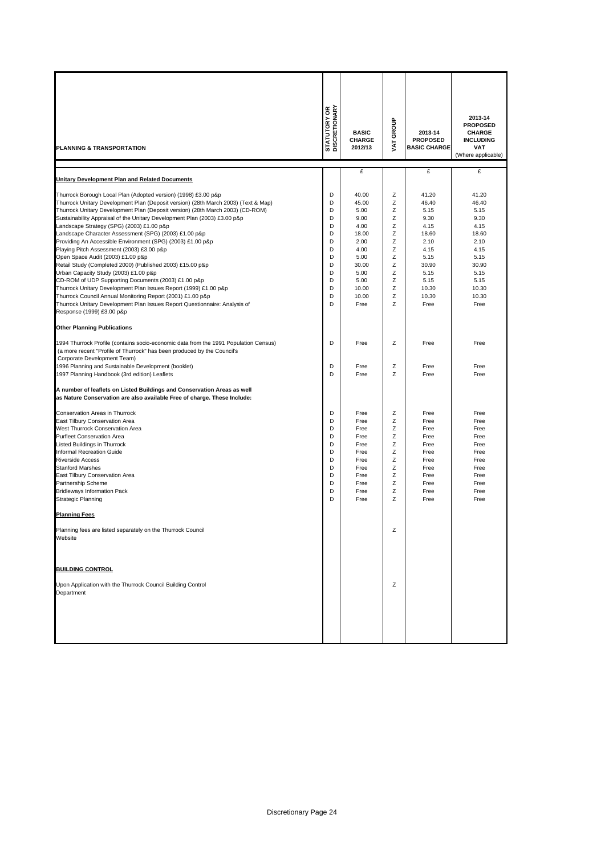| PLANNING & TRANSPORTATION                                                                                                                                                                                                                                                                                                                                                                                                                                                                                                                                                                                                                                                                                                                                                                                                                                                                                                                                                           | <b>STATUTORY OR</b><br>DISCRETIONARY                                    | <b>BASIC</b><br><b>CHARGE</b><br>2012/13                                                                                   | VAT GROUP                                                               | 2013-14<br><b>PROPOSED</b><br><b>BASIC CHARGE</b>                                                                          | 2013-14<br><b>PROPOSED</b><br><b>CHARGE</b><br><b>INCLUDING</b><br><b>VAT</b><br>(Where applicable)                        |
|-------------------------------------------------------------------------------------------------------------------------------------------------------------------------------------------------------------------------------------------------------------------------------------------------------------------------------------------------------------------------------------------------------------------------------------------------------------------------------------------------------------------------------------------------------------------------------------------------------------------------------------------------------------------------------------------------------------------------------------------------------------------------------------------------------------------------------------------------------------------------------------------------------------------------------------------------------------------------------------|-------------------------------------------------------------------------|----------------------------------------------------------------------------------------------------------------------------|-------------------------------------------------------------------------|----------------------------------------------------------------------------------------------------------------------------|----------------------------------------------------------------------------------------------------------------------------|
|                                                                                                                                                                                                                                                                                                                                                                                                                                                                                                                                                                                                                                                                                                                                                                                                                                                                                                                                                                                     |                                                                         | £                                                                                                                          |                                                                         | £                                                                                                                          | £                                                                                                                          |
| Unitary Development Plan and Related Documents                                                                                                                                                                                                                                                                                                                                                                                                                                                                                                                                                                                                                                                                                                                                                                                                                                                                                                                                      |                                                                         |                                                                                                                            |                                                                         |                                                                                                                            |                                                                                                                            |
| Thurrock Borough Local Plan (Adopted version) (1998) £3.00 p&p<br>Thurrock Unitary Development Plan (Deposit version) (28th March 2003) (Text & Map)<br>Thurrock Unitary Development Plan (Deposit version) (28th March 2003) (CD-ROM)<br>Sustainability Appraisal of the Unitary Development Plan (2003) £3.00 p&p<br>Landscape Strategy (SPG) (2003) £1.00 p&p<br>Landscape Character Assessment (SPG) (2003) £1.00 p&p<br>Providing An Accessible Environment (SPG) (2003) £1.00 p&p<br>Playing Pitch Assessment (2003) £3.00 p&p<br>Open Space Audit (2003) £1.00 p&p<br>Retail Study (Completed 2000) (Published 2003) £15.00 p&p<br>Urban Capacity Study (2003) £1.00 p&p<br>CD-ROM of UDP Supporting Documents (2003) £1.00 p&p<br>Thurrock Unitary Development Plan Issues Report (1999) £1.00 p&p<br>Thurrock Council Annual Monitoring Report (2001) £1.00 p&p<br>Thurrock Unitary Development Plan Issues Report Questionnaire: Analysis of<br>Response (1999) £3.00 p&p | D<br>D<br>D<br>D<br>D<br>D<br>D<br>D<br>D<br>D<br>D<br>D<br>D<br>D<br>D | 40.00<br>45.00<br>5.00<br>9.00<br>4.00<br>18.00<br>2.00<br>4.00<br>5.00<br>30.00<br>5.00<br>5.00<br>10.00<br>10.00<br>Free | Ζ<br>Ζ<br>Ζ<br>Z<br>Ζ<br>Z<br>Ζ<br>Ζ<br>Ζ<br>Ζ<br>Ζ<br>Ζ<br>Z<br>Z<br>Z | 41.20<br>46.40<br>5.15<br>9.30<br>4.15<br>18.60<br>2.10<br>4.15<br>5.15<br>30.90<br>5.15<br>5.15<br>10.30<br>10.30<br>Free | 41.20<br>46.40<br>5.15<br>9.30<br>4.15<br>18.60<br>2.10<br>4.15<br>5.15<br>30.90<br>5.15<br>5.15<br>10.30<br>10.30<br>Free |
|                                                                                                                                                                                                                                                                                                                                                                                                                                                                                                                                                                                                                                                                                                                                                                                                                                                                                                                                                                                     |                                                                         |                                                                                                                            |                                                                         |                                                                                                                            |                                                                                                                            |
| <b>Other Planning Publications</b><br>1994 Thurrock Profile (contains socio-economic data from the 1991 Population Census)<br>(a more recent "Profile of Thurrock" has been produced by the Council's<br>Corporate Development Team)<br>1996 Planning and Sustainable Development (booklet)<br>1997 Planning Handbook (3rd edition) Leaflets                                                                                                                                                                                                                                                                                                                                                                                                                                                                                                                                                                                                                                        | D<br>D<br>D                                                             | Free<br>Free<br>Free                                                                                                       | Ζ<br>Ζ<br>Z                                                             | Free<br>Free<br>Free                                                                                                       | Free<br>Free<br>Free                                                                                                       |
| A number of leaflets on Listed Buildings and Conservation Areas as well<br>as Nature Conservation are also available Free of charge. These Include:                                                                                                                                                                                                                                                                                                                                                                                                                                                                                                                                                                                                                                                                                                                                                                                                                                 |                                                                         |                                                                                                                            |                                                                         |                                                                                                                            |                                                                                                                            |
| Conservation Areas in Thurrock<br>East Tilbury Conservation Area<br>West Thurrock Conservation Area<br><b>Purfleet Conservation Area</b><br>Listed Buildings in Thurrock<br><b>Informal Recreation Guide</b><br><b>Riverside Access</b><br><b>Stanford Marshes</b><br>East Tilbury Conservation Area<br>Partnership Scheme<br><b>Bridleways Information Pack</b><br><b>Strategic Planning</b><br><b>Planning Fees</b>                                                                                                                                                                                                                                                                                                                                                                                                                                                                                                                                                               | D<br>D<br>D<br>D<br>D<br>D<br>D<br>D<br>D<br>D<br>D<br>D                | Free<br>Free<br>Free<br>Free<br>Free<br>Free<br>Free<br>Free<br>Free<br>Free<br>Free<br>Free                               | Ζ<br>Ζ<br>Z<br>Ζ<br>Ζ<br>Ζ<br>Ζ<br>Ζ<br>Ζ<br>Z<br>Z<br>Z                | Free<br>Free<br>Free<br>Free<br>Free<br>Free<br>Free<br>Free<br>Free<br>Free<br>Free<br>Free                               | Free<br>Free<br>Free<br>Free<br>Free<br>Free<br>Free<br>Free<br>Free<br>Free<br>Free<br>Free                               |
| Planning fees are listed separately on the Thurrock Council<br>Website                                                                                                                                                                                                                                                                                                                                                                                                                                                                                                                                                                                                                                                                                                                                                                                                                                                                                                              |                                                                         |                                                                                                                            | z                                                                       |                                                                                                                            |                                                                                                                            |
| <b>BUILDING CONTROL</b>                                                                                                                                                                                                                                                                                                                                                                                                                                                                                                                                                                                                                                                                                                                                                                                                                                                                                                                                                             |                                                                         |                                                                                                                            |                                                                         |                                                                                                                            |                                                                                                                            |
| Upon Application with the Thurrock Council Building Control<br>Department                                                                                                                                                                                                                                                                                                                                                                                                                                                                                                                                                                                                                                                                                                                                                                                                                                                                                                           |                                                                         |                                                                                                                            | Ζ                                                                       |                                                                                                                            |                                                                                                                            |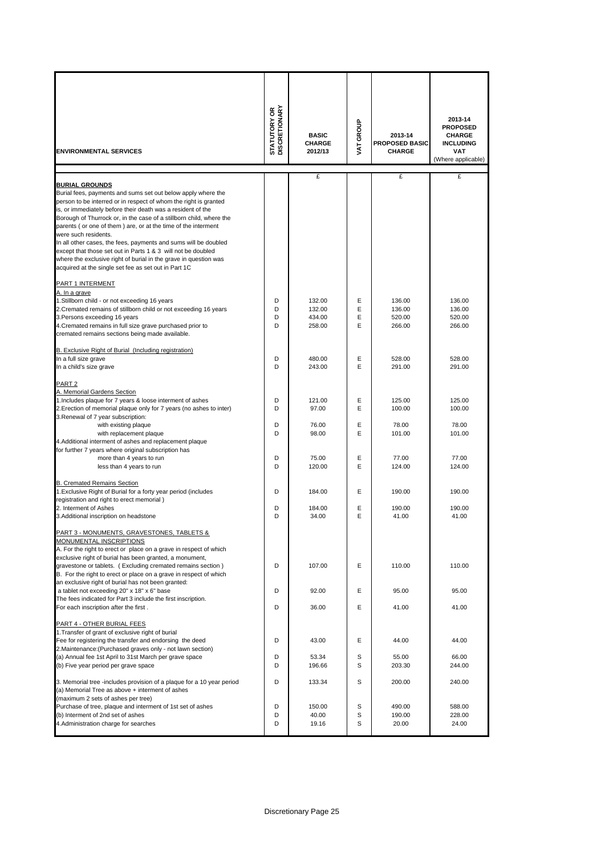| <b>ENVIRONMENTAL SERVICES</b>                                                                                                                                                                                                                                                                                                                                                                                                                                                                                                                                                                                                                           | <b>STATUTORY OR<br/>DISCRETIONARY</b> | <b>BASIC</b><br><b>CHARGE</b><br>2012/13 | VAT GROUP        | 2013-14<br><b>PROPOSED BASIC</b><br><b>CHARGE</b> | 2013-14<br><b>PROPOSED</b><br><b>CHARGE</b><br><b>INCLUDING</b><br><b>VAT</b><br>(Where applicable) |
|---------------------------------------------------------------------------------------------------------------------------------------------------------------------------------------------------------------------------------------------------------------------------------------------------------------------------------------------------------------------------------------------------------------------------------------------------------------------------------------------------------------------------------------------------------------------------------------------------------------------------------------------------------|---------------------------------------|------------------------------------------|------------------|---------------------------------------------------|-----------------------------------------------------------------------------------------------------|
|                                                                                                                                                                                                                                                                                                                                                                                                                                                                                                                                                                                                                                                         |                                       | £                                        |                  | £                                                 | £                                                                                                   |
| <b>BURIAL GROUNDS</b><br>Burial fees, payments and sums set out below apply where the<br>person to be interred or in respect of whom the right is granted<br>is, or immediately before their death was a resident of the<br>Borough of Thurrock or, in the case of a stillborn child, where the<br>parents (or one of them) are, or at the time of the interment<br>were such residents.<br>In all other cases, the fees, payments and sums will be doubled<br>except that those set out in Parts 1 & 3 will not be doubled<br>where the exclusive right of burial in the grave in question was<br>acquired at the single set fee as set out in Part 1C |                                       |                                          |                  |                                                   |                                                                                                     |
| PART 1 INTERMENT                                                                                                                                                                                                                                                                                                                                                                                                                                                                                                                                                                                                                                        |                                       |                                          |                  |                                                   |                                                                                                     |
| A. In a grave<br>1.Stillborn child - or not exceeding 16 years<br>2. Cremated remains of stillborn child or not exceeding 16 years<br>3. Persons exceeding 16 years<br>4. Cremated remains in full size grave purchased prior to<br>cremated remains sections being made available.                                                                                                                                                                                                                                                                                                                                                                     | D<br>D<br>D<br>D                      | 132.00<br>132.00<br>434.00<br>258.00     | E<br>E<br>Ε<br>E | 136.00<br>136.00<br>520.00<br>266.00              | 136.00<br>136.00<br>520.00<br>266.00                                                                |
| B. Exclusive Right of Burial (Including registration)                                                                                                                                                                                                                                                                                                                                                                                                                                                                                                                                                                                                   |                                       |                                          |                  |                                                   |                                                                                                     |
| In a full size grave                                                                                                                                                                                                                                                                                                                                                                                                                                                                                                                                                                                                                                    | D                                     | 480.00                                   | E                | 528.00                                            | 528.00                                                                                              |
| In a child's size grave                                                                                                                                                                                                                                                                                                                                                                                                                                                                                                                                                                                                                                 | D                                     | 243.00                                   | E                | 291.00                                            | 291.00                                                                                              |
| PART <sub>2</sub><br>A. Memorial Gardens Section<br>1. Includes plaque for 7 years & loose interment of ashes<br>2. Erection of memorial plaque only for 7 years (no ashes to inter)<br>3. Renewal of 7 year subscription:                                                                                                                                                                                                                                                                                                                                                                                                                              | D<br>D                                | 121.00<br>97.00                          | Ε<br>E           | 125.00<br>100.00                                  | 125.00<br>100.00                                                                                    |
| with existing plaque<br>with replacement plaque<br>4. Additional interment of ashes and replacement plaque                                                                                                                                                                                                                                                                                                                                                                                                                                                                                                                                              | D<br>D                                | 76.00<br>98.00                           | E<br>E           | 78.00<br>101.00                                   | 78.00<br>101.00                                                                                     |
| for further 7 years where original subscription has<br>more than 4 years to run<br>less than 4 years to run                                                                                                                                                                                                                                                                                                                                                                                                                                                                                                                                             | D<br>D                                | 75.00<br>120.00                          | Ε<br>E           | 77.00<br>124.00                                   | 77.00<br>124.00                                                                                     |
| <b>B. Cremated Remains Section</b><br>1. Exclusive Right of Burial for a forty year period (includes<br>registration and right to erect memorial)                                                                                                                                                                                                                                                                                                                                                                                                                                                                                                       | D                                     | 184.00                                   | E                | 190.00                                            | 190.00                                                                                              |
| 2. Interment of Ashes                                                                                                                                                                                                                                                                                                                                                                                                                                                                                                                                                                                                                                   | D                                     | 184.00                                   | Ε                | 190.00                                            | 190.00                                                                                              |
| 3.Additional inscription on headstone                                                                                                                                                                                                                                                                                                                                                                                                                                                                                                                                                                                                                   | D                                     | 34.00                                    | E                | 41.00                                             | 41.00                                                                                               |
| PART 3 - MONUMENTS, GRAVESTONES, TABLETS &<br>MONUMENTAL INSCRIPTIONS<br>A. For the right to erect or place on a grave in respect of which<br>exclusive right of burial has been granted, a monument,<br>gravestone or tablets. (Excluding cremated remains section)<br>B. For the right to erect or place on a grave in respect of which                                                                                                                                                                                                                                                                                                               | D                                     | 107.00                                   | Ε                | 110.00                                            | 110.00                                                                                              |
| an exclusive right of burial has not been granted:<br>a tablet not exceeding 20" x 18" x 6" base                                                                                                                                                                                                                                                                                                                                                                                                                                                                                                                                                        | D                                     | 92.00                                    | Ε                | 95.00                                             | 95.00                                                                                               |
| The fees indicated for Part 3 include the first inscription.                                                                                                                                                                                                                                                                                                                                                                                                                                                                                                                                                                                            |                                       |                                          |                  |                                                   |                                                                                                     |
| For each inscription after the first.                                                                                                                                                                                                                                                                                                                                                                                                                                                                                                                                                                                                                   | D                                     | 36.00                                    | Ε                | 41.00                                             | 41.00                                                                                               |
| PART 4 - OTHER BURIAL FEES<br>1. Transfer of grant of exclusive right of burial<br>Fee for registering the transfer and endorsing the deed<br>2. Maintenance: (Purchased graves only - not lawn section)<br>(a) Annual fee 1st April to 31st March per grave space<br>(b) Five year period per grave space                                                                                                                                                                                                                                                                                                                                              | D<br>D<br>D                           | 43.00<br>53.34<br>196.66                 | Ε<br>S<br>S      | 44.00<br>55.00<br>203.30                          | 44.00<br>66.00<br>244.00                                                                            |
|                                                                                                                                                                                                                                                                                                                                                                                                                                                                                                                                                                                                                                                         |                                       |                                          |                  |                                                   |                                                                                                     |
| 3. Memorial tree -includes provision of a plaque for a 10 year period<br>(a) Memorial Tree as above + interment of ashes<br>(maximum 2 sets of ashes per tree)                                                                                                                                                                                                                                                                                                                                                                                                                                                                                          | D                                     | 133.34                                   | S                | 200.00                                            | 240.00                                                                                              |
| Purchase of tree, plaque and interment of 1st set of ashes<br>(b) Interment of 2nd set of ashes<br>4. Administration charge for searches                                                                                                                                                                                                                                                                                                                                                                                                                                                                                                                | D<br>D<br>D                           | 150.00<br>40.00<br>19.16                 | S<br>S<br>S      | 490.00<br>190.00<br>20.00                         | 588.00<br>228.00<br>24.00                                                                           |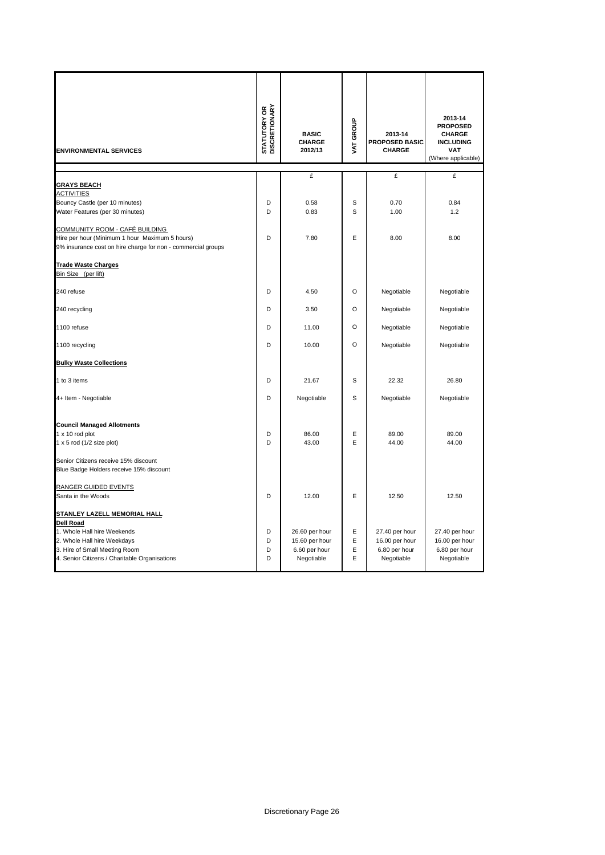| <b>ENVIRONMENTAL SERVICES</b>                                                                                                                                                                    | <b>STATUTORY OR<br/>DISCRETIONARY</b> | <b>BASIC</b><br>CHARGE<br>2012/13                               | VAT GROUP        | 2013-14<br><b>PROPOSED BASIC</b><br>CHARGE                      | 2013-14<br><b>PROPOSED</b><br><b>CHARGE</b><br><b>INCLUDING</b><br><b>VAT</b><br>(Where applicable) |
|--------------------------------------------------------------------------------------------------------------------------------------------------------------------------------------------------|---------------------------------------|-----------------------------------------------------------------|------------------|-----------------------------------------------------------------|-----------------------------------------------------------------------------------------------------|
|                                                                                                                                                                                                  |                                       | £                                                               |                  | £                                                               | £                                                                                                   |
| <b>GRAYS BEACH</b><br><b>ACTIVITIES</b><br>Bouncy Castle (per 10 minutes)<br>Water Features (per 30 minutes)                                                                                     | D<br>D                                | 0.58<br>0.83                                                    | S<br>S           | 0.70<br>1.00                                                    | 0.84<br>1.2                                                                                         |
| COMMUNITY ROOM - CAFÉ BUILDING<br>Hire per hour (Minimum 1 hour Maximum 5 hours)<br>9% insurance cost on hire charge for non - commercial groups                                                 | D                                     | 7.80                                                            | Ε                | 8.00                                                            | 8.00                                                                                                |
| <b>Trade Waste Charges</b><br>Bin Size (per lift)                                                                                                                                                |                                       |                                                                 |                  |                                                                 |                                                                                                     |
| 240 refuse                                                                                                                                                                                       | D                                     | 4.50                                                            | O                | Negotiable                                                      | Negotiable                                                                                          |
| 240 recycling                                                                                                                                                                                    | D                                     | 3.50                                                            | O                | Negotiable                                                      | Negotiable                                                                                          |
| 1100 refuse                                                                                                                                                                                      | D                                     | 11.00                                                           | $\circ$          | Negotiable                                                      | Negotiable                                                                                          |
| 1100 recycling                                                                                                                                                                                   | D                                     | 10.00                                                           | O                | Negotiable                                                      | Negotiable                                                                                          |
| <b>Bulky Waste Collections</b>                                                                                                                                                                   |                                       |                                                                 |                  |                                                                 |                                                                                                     |
| 1 to 3 items                                                                                                                                                                                     | D                                     | 21.67                                                           | S                | 22.32                                                           | 26.80                                                                                               |
| 4+ Item - Negotiable                                                                                                                                                                             | D                                     | Negotiable                                                      | S                | Negotiable                                                      | Negotiable                                                                                          |
| <b>Council Managed Allotments</b><br>1 x 10 rod plot<br>1 x 5 rod (1/2 size plot)                                                                                                                | D<br>D                                | 86.00<br>43.00                                                  | Ε<br>E           | 89.00<br>44.00                                                  | 89.00<br>44.00                                                                                      |
| Senior Citizens receive 15% discount<br>Blue Badge Holders receive 15% discount                                                                                                                  |                                       |                                                                 |                  |                                                                 |                                                                                                     |
| RANGER GUIDED EVENTS<br>Santa in the Woods                                                                                                                                                       | D                                     | 12.00                                                           | E                | 12.50                                                           | 12.50                                                                                               |
| STANLEY LAZELL MEMORIAL HALL<br><b>Dell Road</b><br>1. Whole Hall hire Weekends<br>2. Whole Hall hire Weekdays<br>3. Hire of Small Meeting Room<br>4. Senior Citizens / Charitable Organisations | D<br>D<br>D<br>D                      | 26.60 per hour<br>15.60 per hour<br>6.60 per hour<br>Negotiable | Ε<br>E<br>Е<br>E | 27.40 per hour<br>16.00 per hour<br>6.80 per hour<br>Negotiable | 27.40 per hour<br>16.00 per hour<br>6.80 per hour<br>Negotiable                                     |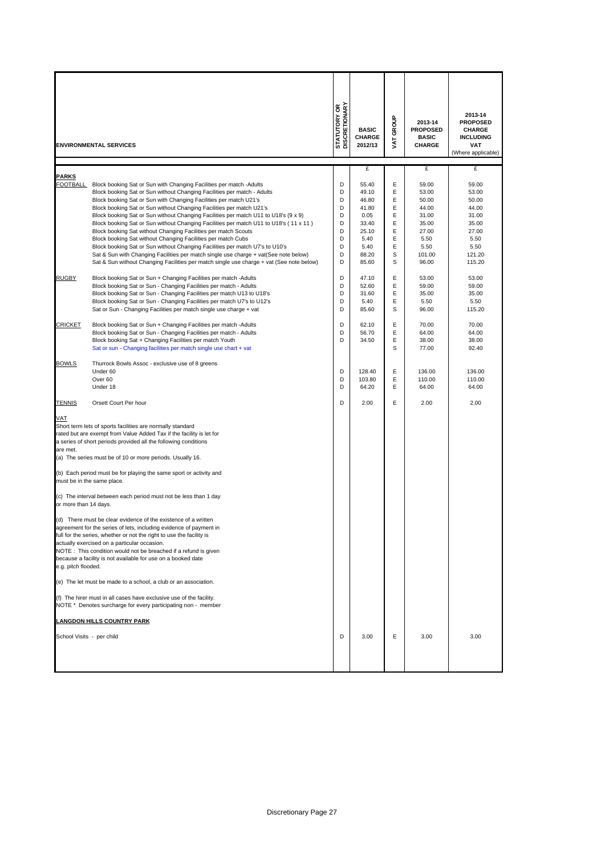|                                                                                   | <b>ENVIRONMENTAL SERVICES</b>                                                                                                                                                                                                                                                                                                                                                                                                                                                                                                                                                                                                                                                                                                                                                                                                                                                                                                                                                                                                                                                                                                                                                                                                                                                                                                                                                                                                                                                                                                                                                                                       | STATUTORY OR<br>DISCRETIONARY                                                                         | <b>BASIC</b><br>CHARGE<br>2012/13                                                                                                                                                            | GROUP<br>TAV                                                                                               | 2013-14<br><b>PROPOSED</b><br><b>BASIC</b><br><b>CHARGE</b>                                                                                                                                             | 2013-14<br><b>PROPOSED</b><br><b>CHARGE</b><br><b>INCLUDING</b><br><b>VAT</b><br>(Where applicable)                                                                                                       |
|-----------------------------------------------------------------------------------|---------------------------------------------------------------------------------------------------------------------------------------------------------------------------------------------------------------------------------------------------------------------------------------------------------------------------------------------------------------------------------------------------------------------------------------------------------------------------------------------------------------------------------------------------------------------------------------------------------------------------------------------------------------------------------------------------------------------------------------------------------------------------------------------------------------------------------------------------------------------------------------------------------------------------------------------------------------------------------------------------------------------------------------------------------------------------------------------------------------------------------------------------------------------------------------------------------------------------------------------------------------------------------------------------------------------------------------------------------------------------------------------------------------------------------------------------------------------------------------------------------------------------------------------------------------------------------------------------------------------|-------------------------------------------------------------------------------------------------------|----------------------------------------------------------------------------------------------------------------------------------------------------------------------------------------------|------------------------------------------------------------------------------------------------------------|---------------------------------------------------------------------------------------------------------------------------------------------------------------------------------------------------------|-----------------------------------------------------------------------------------------------------------------------------------------------------------------------------------------------------------|
|                                                                                   |                                                                                                                                                                                                                                                                                                                                                                                                                                                                                                                                                                                                                                                                                                                                                                                                                                                                                                                                                                                                                                                                                                                                                                                                                                                                                                                                                                                                                                                                                                                                                                                                                     |                                                                                                       |                                                                                                                                                                                              |                                                                                                            |                                                                                                                                                                                                         |                                                                                                                                                                                                           |
| <b>PARKS</b><br><b>FOOTBALL</b><br><b>RUGBY</b><br><b>CRICKET</b><br><b>BOWLS</b> | Block booking Sat or Sun with Changing Facilities per match -Adults<br>Block booking Sat or Sun without Changing Facilities per match - Adults<br>Block booking Sat or Sun with Changing Facilities per match U21's<br>Block booking Sat or Sun without Changing Facilities per match U21's<br>Block booking Sat or Sun without Changing Facilities per match U11 to U18's (9 x 9)<br>Block booking Sat or Sun without Changing Facilities per match U11 to U18's (11 x 11)<br>Block booking Sat without Changing Facilities per match Scouts<br>Block booking Sat without Changing Facilities per match Cubs<br>Block booking Sat or Sun without Changing Facilities per match U7's to U10's<br>Sat & Sun with Changing Facilities per match single use charge + vat(See note below)<br>Sat & Sun without Changing Facilities per match single use charge + vat (See note below)<br>Block booking Sat or Sun + Changing Facilities per match - Adults<br>Block booking Sat or Sun - Changing Facilities per match - Adults<br>Block booking Sat or Sun - Changing Facilities per match U13 to U18's<br>Block booking Sat or Sun - Changing Facilities per match U7's to U12's<br>Sat or Sun - Changing Facilities per match single use charge + vat<br>Block booking Sat or Sun + Changing Facilities per match -Adults<br>Block booking Sat or Sun - Changing Facilities per match - Adults<br>Block booking Sat + Changing Facilities per match Youth<br>Sat or sun - Changing facilities per match single use chart + vat<br>Thurrock Bowls Assoc - exclusive use of 8 greens<br>Under 60<br>Over <sub>60</sub> | D<br>D<br>D<br>D<br>D<br>D<br>D<br>D<br>D<br>D<br>D<br>D<br>D<br>D<br>D<br>D<br>D<br>D<br>D<br>D<br>D | £<br>55.40<br>49.10<br>46.80<br>41.80<br>0.05<br>33.40<br>25.10<br>5.40<br>5.40<br>88.20<br>85.60<br>47.10<br>52.60<br>31.60<br>5.40<br>85.60<br>62.10<br>56.70<br>34.50<br>128.40<br>103.80 | Е<br>E<br>Ε<br>Ε<br>Ε<br>Ε<br>Ε<br>Ε<br>E<br>s<br>S<br>Е<br>Ε<br>E<br>Е<br>S<br>Е<br>Ε<br>Ε<br>s<br>E<br>E | £<br>59.00<br>53.00<br>50.00<br>44.00<br>31.00<br>35.00<br>27.00<br>5.50<br>5.50<br>101.00<br>96.00<br>53.00<br>59.00<br>35.00<br>5.50<br>96.00<br>70.00<br>64.00<br>38.00<br>77.00<br>136.00<br>110.00 | £<br>59.00<br>53.00<br>50.00<br>44.00<br>31.00<br>35.00<br>27.00<br>5.50<br>5.50<br>121.20<br>115.20<br>53.00<br>59.00<br>35.00<br>5.50<br>115.20<br>70.00<br>64.00<br>38.00<br>92.40<br>136.00<br>110.00 |
|                                                                                   | Under 18                                                                                                                                                                                                                                                                                                                                                                                                                                                                                                                                                                                                                                                                                                                                                                                                                                                                                                                                                                                                                                                                                                                                                                                                                                                                                                                                                                                                                                                                                                                                                                                                            | D                                                                                                     | 64.20                                                                                                                                                                                        | E                                                                                                          | 64.00                                                                                                                                                                                                   | 64.00                                                                                                                                                                                                     |
| <b>TENNIS</b><br>VAT<br>are met.<br>or more than 14 days.<br>e.g. pitch flooded.  | Orsett Court Per hour<br>Short term lets of sports facilities are normally standard<br>rated but are exempt from Value Added Tax if the facility is let for<br>a series of short periods provided all the following conditions<br>(a) The series must be of 10 or more periods. Usually 16.<br>(b) Each period must be for playing the same sport or activity and<br>must be in the same place.<br>(c) The interval between each period must not be less than 1 day<br>(d) There must be clear evidence of the existence of a written<br>agreement for the series of lets, including evidence of payment in<br>full for the series, whether or not the right to use the facility is<br>actually exercised on a particular occasion.<br>NOTE: This condition would not be breached if a refund is given<br>because a facility is not available for use on a booked date<br>(e) The let must be made to a school, a club or an association.<br>(f) The hirer must in all cases have exclusive use of the facility.<br>NOTE * Denotes surcharge for every participating non - member                                                                                                                                                                                                                                                                                                                                                                                                                                                                                                                                   | D                                                                                                     | 2.00                                                                                                                                                                                         | E                                                                                                          | 2.00                                                                                                                                                                                                    | 2.00                                                                                                                                                                                                      |
| School Visits - per child                                                         | <b>LANGDON HILLS COUNTRY PARK</b>                                                                                                                                                                                                                                                                                                                                                                                                                                                                                                                                                                                                                                                                                                                                                                                                                                                                                                                                                                                                                                                                                                                                                                                                                                                                                                                                                                                                                                                                                                                                                                                   | D                                                                                                     | 3.00                                                                                                                                                                                         | Е                                                                                                          | 3.00                                                                                                                                                                                                    | 3.00                                                                                                                                                                                                      |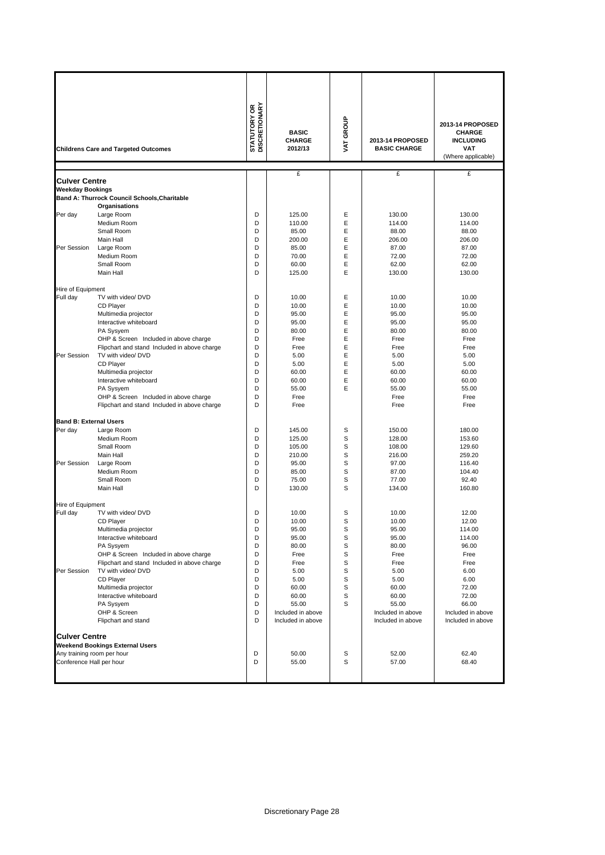|                                                        |                                                                                       | <b>STATUTORY OR<br/>DISCRETIONARY</b> |                   |           |                     |                    |
|--------------------------------------------------------|---------------------------------------------------------------------------------------|---------------------------------------|-------------------|-----------|---------------------|--------------------|
|                                                        |                                                                                       |                                       |                   | VAT GROUP |                     | 2013-14 PROPOSED   |
|                                                        |                                                                                       |                                       | <b>BASIC</b>      |           |                     | <b>CHARGE</b>      |
|                                                        |                                                                                       |                                       | <b>CHARGE</b>     |           | 2013-14 PROPOSED    | <b>INCLUDING</b>   |
|                                                        | <b>Childrens Care and Targeted Outcomes</b>                                           |                                       | 2012/13           |           | <b>BASIC CHARGE</b> | <b>VAT</b>         |
|                                                        |                                                                                       |                                       |                   |           |                     | (Where applicable) |
|                                                        |                                                                                       |                                       | £                 |           | £                   | £                  |
| <b>Culver Centre</b>                                   |                                                                                       |                                       |                   |           |                     |                    |
| <b>Weekday Bookings</b>                                |                                                                                       |                                       |                   |           |                     |                    |
|                                                        | Band A: Thurrock Council Schools, Charitable                                          |                                       |                   |           |                     |                    |
|                                                        | Organisations                                                                         |                                       |                   | Ε         |                     |                    |
| Per day                                                | Large Room<br>Medium Room                                                             | D<br>D                                | 125.00<br>110.00  | E         | 130.00<br>114.00    | 130.00<br>114.00   |
|                                                        | Small Room                                                                            | D                                     | 85.00             | E         | 88.00               | 88.00              |
|                                                        | Main Hall                                                                             | D                                     | 200.00            | Ε         | 206.00              | 206.00             |
| Per Session                                            | Large Room                                                                            | D                                     | 85.00             | E         | 87.00               | 87.00              |
|                                                        | Medium Room                                                                           | D                                     | 70.00             | E         | 72.00               | 72.00              |
|                                                        | Small Room                                                                            | D                                     | 60.00             | Ε         | 62.00               | 62.00              |
|                                                        | Main Hall                                                                             | D                                     | 125.00            | E         | 130.00              | 130.00             |
|                                                        |                                                                                       |                                       |                   |           |                     |                    |
| Hire of Equipment                                      |                                                                                       |                                       |                   |           |                     |                    |
| Full day                                               | TV with video/ DVD                                                                    | D                                     | 10.00             | Ε         | 10.00               | 10.00              |
|                                                        | CD Player                                                                             | D                                     | 10.00             | E         | 10.00               | 10.00              |
|                                                        | Multimedia projector                                                                  | D                                     | 95.00             | E         | 95.00               | 95.00              |
|                                                        | Interactive whiteboard                                                                | D                                     | 95.00             | E         | 95.00               | 95.00              |
|                                                        | PA Sysyem                                                                             | D                                     | 80.00             | E         | 80.00               | 80.00              |
|                                                        | OHP & Screen Included in above charge                                                 | D                                     | Free              | E         | Free                | Free               |
|                                                        | Flipchart and stand Included in above charge                                          | D                                     | Free              | E         | Free                | Free               |
| Per Session                                            | TV with video/ DVD                                                                    | D                                     | 5.00              | Ε         | 5.00                | 5.00               |
|                                                        | CD Player                                                                             | D                                     | 5.00              | E         | 5.00                | 5.00               |
|                                                        | Multimedia projector                                                                  | D                                     | 60.00             | E         | 60.00               | 60.00              |
|                                                        | Interactive whiteboard                                                                | D                                     | 60.00             | E         | 60.00               | 60.00              |
|                                                        | PA Sysyem                                                                             | D                                     | 55.00             | E         | 55.00               | 55.00              |
|                                                        | OHP & Screen Included in above charge                                                 | D                                     | Free              |           | Free                | Free               |
|                                                        | Flipchart and stand Included in above charge                                          | D                                     | Free              |           | Free                | Free               |
| <b>Band B: External Users</b>                          |                                                                                       |                                       |                   |           |                     |                    |
| Per day                                                | Large Room                                                                            | D                                     | 145.00            | S         | 150.00              | 180.00             |
|                                                        | Medium Room                                                                           | D                                     | 125.00            | S         | 128.00              | 153.60             |
|                                                        | Small Room                                                                            | D                                     | 105.00            | S         | 108.00              | 129.60             |
|                                                        | Main Hall                                                                             | D                                     | 210.00            | S         | 216.00              | 259.20             |
| Per Session                                            | Large Room                                                                            | D                                     | 95.00             | S         | 97.00               | 116.40             |
|                                                        | Medium Room                                                                           | D                                     | 85.00             | S         | 87.00               | 104.40             |
|                                                        | Small Room                                                                            | D                                     | 75.00             | S         | 77.00               | 92.40              |
|                                                        | Main Hall                                                                             | D                                     | 130.00            | S         | 134.00              | 160.80             |
|                                                        |                                                                                       |                                       |                   |           |                     |                    |
| Hire of Equipment                                      |                                                                                       |                                       |                   |           |                     |                    |
| Full day                                               | TV with video/ DVD                                                                    | D                                     | 10.00             | S         | 10.00               | 12.00              |
|                                                        | CD Player                                                                             | n                                     | 10.00             | S         | 10.00               | 12.00              |
|                                                        | Multimedia projector                                                                  | D                                     | 95.00             | S         | 95.00               | 114.00             |
|                                                        | Interactive whiteboard                                                                | D                                     | 95.00             | S         | 95.00               | 114.00             |
|                                                        | PA Sysyem                                                                             | D                                     | 80.00             | S<br>S    | 80.00               | 96.00              |
|                                                        | OHP & Screen Included in above charge<br>Flipchart and stand Included in above charge | D<br>D                                | Free              | S         | Free                | Free               |
| Per Session                                            | TV with video/ DVD                                                                    | D                                     | Free              | S         | Free                | Free<br>6.00       |
|                                                        | CD Player                                                                             | D                                     | 5.00<br>5.00      | S         | 5.00<br>5.00        | 6.00               |
|                                                        | Multimedia projector                                                                  | D                                     | 60.00             | S         | 60.00               | 72.00              |
|                                                        | Interactive whiteboard                                                                | D                                     | 60.00             | S         | 60.00               | 72.00              |
|                                                        | PA Sysyem                                                                             | D                                     | 55.00             | S         | 55.00               | 66.00              |
|                                                        | OHP & Screen                                                                          | D                                     | Included in above |           | Included in above   | Included in above  |
|                                                        | Flipchart and stand                                                                   | D                                     | Included in above |           | Included in above   | Included in above  |
|                                                        |                                                                                       |                                       |                   |           |                     |                    |
| <b>Culver Centre</b>                                   |                                                                                       |                                       |                   |           |                     |                    |
| <b>Weekend Bookings External Users</b>                 |                                                                                       |                                       |                   |           |                     |                    |
|                                                        |                                                                                       |                                       |                   |           |                     |                    |
| Any training room per hour<br>Conference Hall per hour |                                                                                       | D<br>D                                | 50.00<br>55.00    | S<br>S    | 52.00<br>57.00      | 62.40<br>68.40     |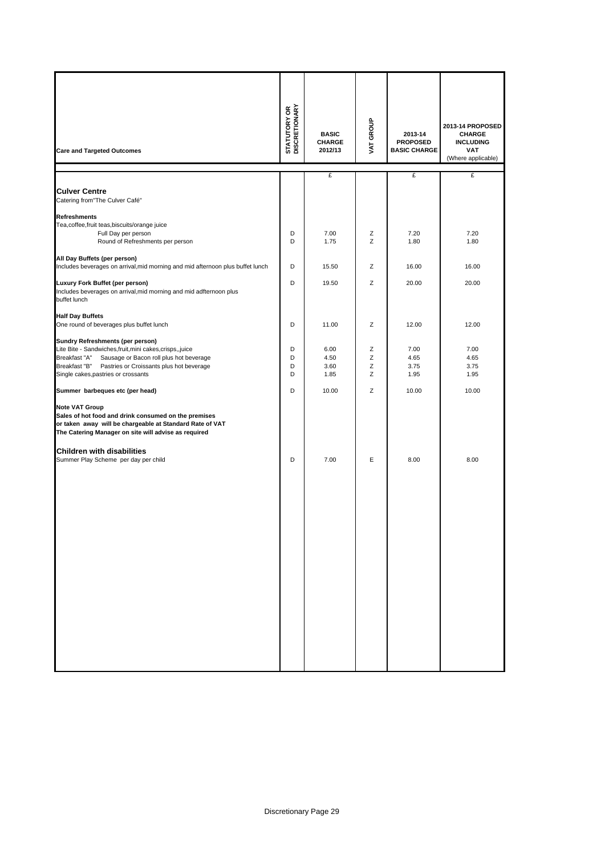| <b>Care and Targeted Outcomes</b>                                                                                                                                                                 | <b>STATUTORY OR<br/>DISCRETIONARY</b> | <b>BASIC</b><br><b>CHARGE</b><br>2012/13 | VAT GROUP | 2013-14<br><b>PROPOSED</b><br><b>BASIC CHARGE</b> | 2013-14 PROPOSED<br><b>CHARGE</b><br><b>INCLUDING</b><br><b>VAT</b><br>(Where applicable) |
|---------------------------------------------------------------------------------------------------------------------------------------------------------------------------------------------------|---------------------------------------|------------------------------------------|-----------|---------------------------------------------------|-------------------------------------------------------------------------------------------|
|                                                                                                                                                                                                   |                                       | £                                        |           | £                                                 | £                                                                                         |
| <b>Culver Centre</b><br>Catering from"The Culver Café"                                                                                                                                            |                                       |                                          |           |                                                   |                                                                                           |
| <b>Refreshments</b>                                                                                                                                                                               |                                       |                                          |           |                                                   |                                                                                           |
| Tea, coffee, fruit teas, biscuits/orange juice                                                                                                                                                    |                                       |                                          |           |                                                   |                                                                                           |
| Full Day per person                                                                                                                                                                               | D                                     | 7.00                                     | Ζ         | 7.20                                              | 7.20                                                                                      |
| Round of Refreshments per person                                                                                                                                                                  | D                                     | 1.75                                     | Z         | 1.80                                              | 1.80                                                                                      |
| All Day Buffets (per person)                                                                                                                                                                      |                                       |                                          |           |                                                   |                                                                                           |
| Includes beverages on arrival, mid morning and mid afternoon plus buffet lunch                                                                                                                    | D                                     | 15.50                                    | Z         | 16.00                                             | 16.00                                                                                     |
|                                                                                                                                                                                                   |                                       |                                          |           |                                                   |                                                                                           |
| Luxury Fork Buffet (per person)<br>Includes beverages on arrival, mid morning and mid adfternoon plus<br>buffet lunch                                                                             | D                                     | 19.50                                    | Z         | 20.00                                             | 20.00                                                                                     |
|                                                                                                                                                                                                   |                                       |                                          |           |                                                   |                                                                                           |
| <b>Half Day Buffets</b><br>One round of beverages plus buffet lunch                                                                                                                               | D                                     | 11.00                                    | Ζ         | 12.00                                             | 12.00                                                                                     |
|                                                                                                                                                                                                   |                                       |                                          |           |                                                   |                                                                                           |
| Sundry Refreshments (per person)<br>Lite Bite - Sandwiches, fruit, mini cakes, crisps,, juice                                                                                                     | D                                     | 6.00                                     | Ζ         | 7.00                                              | 7.00                                                                                      |
| Breakfast "A"<br>Sausage or Bacon roll plus hot beverage                                                                                                                                          | D                                     | 4.50                                     | Ζ         | 4.65                                              | 4.65                                                                                      |
| Breakfast "B"<br>Pastries or Croissants plus hot beverage                                                                                                                                         | D                                     | 3.60                                     | Ζ         | 3.75                                              | 3.75                                                                                      |
| Single cakes, pastries or crossants                                                                                                                                                               | D                                     | 1.85                                     | Z         | 1.95                                              | 1.95                                                                                      |
| Summer barbeques etc (per head)                                                                                                                                                                   | D                                     | 10.00                                    | Z         | 10.00                                             | 10.00                                                                                     |
| <b>Note VAT Group</b><br>Sales of hot food and drink consumed on the premises<br>or taken away will be chargeable at Standard Rate of VAT<br>The Catering Manager on site will advise as required |                                       |                                          |           |                                                   |                                                                                           |
| <b>Children with disabilities</b>                                                                                                                                                                 |                                       |                                          |           |                                                   |                                                                                           |
| Summer Play Scheme per day per child                                                                                                                                                              | D                                     | 7.00                                     | E         | 8.00                                              | 8.00                                                                                      |